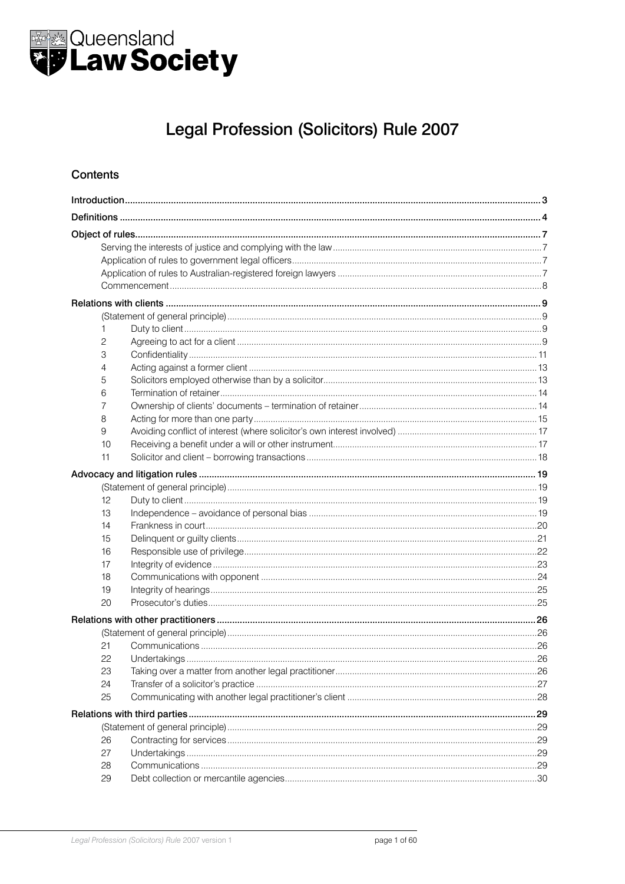

# Legal Profession (Solicitors) Rule 2007

#### **Contents**

|  | 1  |  |  |
|--|----|--|--|
|  | 2  |  |  |
|  | 3  |  |  |
|  | 4  |  |  |
|  | 5  |  |  |
|  | 6  |  |  |
|  | 7  |  |  |
|  | 8  |  |  |
|  | 9  |  |  |
|  | 10 |  |  |
|  | 11 |  |  |
|  |    |  |  |
|  |    |  |  |
|  | 12 |  |  |
|  | 13 |  |  |
|  | 14 |  |  |
|  | 15 |  |  |
|  | 16 |  |  |
|  | 17 |  |  |
|  | 18 |  |  |
|  | 19 |  |  |
|  | 20 |  |  |
|  |    |  |  |
|  |    |  |  |
|  | 21 |  |  |
|  | 22 |  |  |
|  | 23 |  |  |
|  | 24 |  |  |
|  | 25 |  |  |
|  |    |  |  |
|  |    |  |  |
|  | 26 |  |  |
|  | 27 |  |  |
|  | 28 |  |  |
|  | 29 |  |  |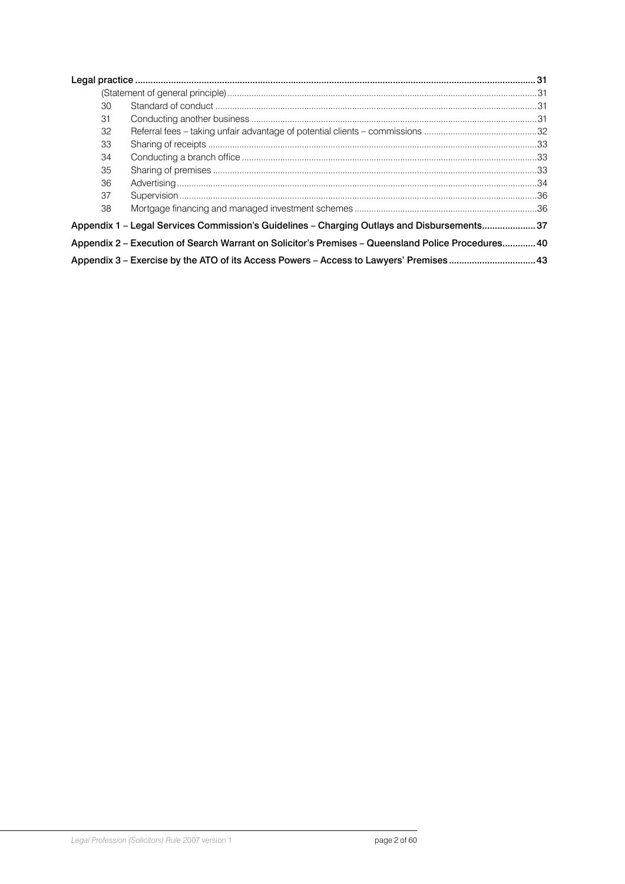|                                                                                                   | 30 |  |  |  |  |
|---------------------------------------------------------------------------------------------------|----|--|--|--|--|
|                                                                                                   | 31 |  |  |  |  |
|                                                                                                   | 32 |  |  |  |  |
|                                                                                                   | 33 |  |  |  |  |
|                                                                                                   | 34 |  |  |  |  |
|                                                                                                   | 35 |  |  |  |  |
|                                                                                                   | 36 |  |  |  |  |
|                                                                                                   | 37 |  |  |  |  |
|                                                                                                   | 38 |  |  |  |  |
| Appendix 1 - Legal Services Commission's Guidelines - Charging Outlays and Disbursements37        |    |  |  |  |  |
| Appendix 2 - Execution of Search Warrant on Solicitor's Premises - Queensland Police Procedures40 |    |  |  |  |  |
|                                                                                                   |    |  |  |  |  |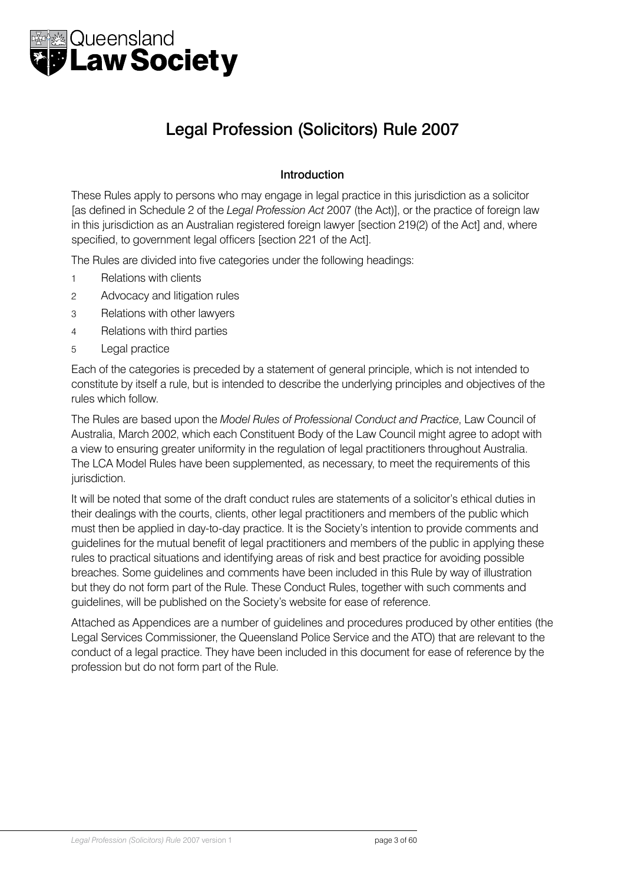<span id="page-2-0"></span>

# Legal Profession (Solicitors) Rule 2007

### Introduction

These Rules apply to persons who may engage in legal practice in this jurisdiction as a solicitor [as defined in Schedule 2 of the *Legal Profession Act* 2007 (the Act)], or the practice of foreign law in this jurisdiction as an Australian registered foreign lawyer [section 219(2) of the Act] and, where specified, to government legal officers [section 221 of the Act].

The Rules are divided into five categories under the following headings:

- 1 Relations with clients
- 2 Advocacy and litigation rules
- 3 Relations with other lawyers
- 4 Relations with third parties
- 5 Legal practice

Each of the categories is preceded by a statement of general principle, which is not intended to constitute by itself a rule, but is intended to describe the underlying principles and objectives of the rules which follow.

The Rules are based upon the *Model Rules of Professional Conduct and Practice*, Law Council of Australia, March 2002, which each Constituent Body of the Law Council might agree to adopt with a view to ensuring greater uniformity in the regulation of legal practitioners throughout Australia. The LCA Model Rules have been supplemented, as necessary, to meet the requirements of this jurisdiction.

It will be noted that some of the draft conduct rules are statements of a solicitor's ethical duties in their dealings with the courts, clients, other legal practitioners and members of the public which must then be applied in day-to-day practice. It is the Society's intention to provide comments and guidelines for the mutual benefit of legal practitioners and members of the public in applying these rules to practical situations and identifying areas of risk and best practice for avoiding possible breaches. Some guidelines and comments have been included in this Rule by way of illustration but they do not form part of the Rule. These Conduct Rules, together with such comments and guidelines, will be published on the Society's website for ease of reference.

Attached as Appendices are a number of guidelines and procedures produced by other entities (the Legal Services Commissioner, the Queensland Police Service and the ATO) that are relevant to the conduct of a legal practice. They have been included in this document for ease of reference by the profession but do not form part of the Rule.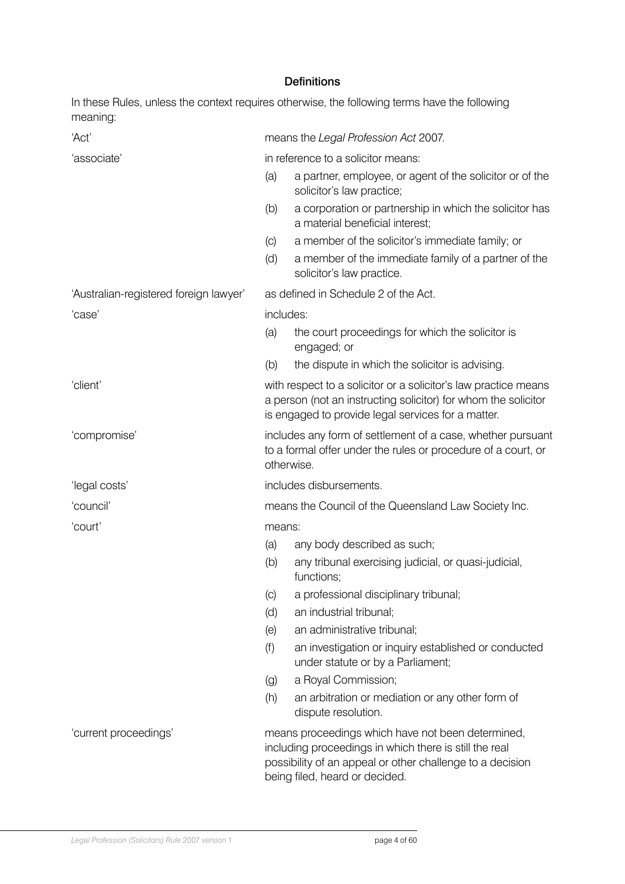### **Definitions**

<span id="page-3-0"></span>In these Rules, unless the context requires otherwise, the following terms have the following meaning:

| 'Act'                                  |                                                                                                                                                                                                            | means the Legal Profession Act 2007.                                                       |  |  |  |
|----------------------------------------|------------------------------------------------------------------------------------------------------------------------------------------------------------------------------------------------------------|--------------------------------------------------------------------------------------------|--|--|--|
| 'associate'                            |                                                                                                                                                                                                            | in reference to a solicitor means:                                                         |  |  |  |
|                                        | (a)                                                                                                                                                                                                        | a partner, employee, or agent of the solicitor or of the<br>solicitor's law practice;      |  |  |  |
|                                        | (b)                                                                                                                                                                                                        | a corporation or partnership in which the solicitor has<br>a material beneficial interest; |  |  |  |
|                                        | (C)                                                                                                                                                                                                        | a member of the solicitor's immediate family; or                                           |  |  |  |
|                                        | (d)                                                                                                                                                                                                        | a member of the immediate family of a partner of the<br>solicitor's law practice.          |  |  |  |
| 'Australian-registered foreign lawyer' |                                                                                                                                                                                                            | as defined in Schedule 2 of the Act.                                                       |  |  |  |
| 'case'                                 |                                                                                                                                                                                                            | includes:                                                                                  |  |  |  |
|                                        | (a)                                                                                                                                                                                                        | the court proceedings for which the solicitor is<br>engaged; or                            |  |  |  |
|                                        | (b)                                                                                                                                                                                                        | the dispute in which the solicitor is advising.                                            |  |  |  |
| 'client'                               | with respect to a solicitor or a solicitor's law practice means<br>a person (not an instructing solicitor) for whom the solicitor<br>is engaged to provide legal services for a matter.                    |                                                                                            |  |  |  |
| 'compromise'                           | includes any form of settlement of a case, whether pursuant<br>to a formal offer under the rules or procedure of a court, or<br>otherwise.                                                                 |                                                                                            |  |  |  |
| 'legal costs'                          | includes disbursements.                                                                                                                                                                                    |                                                                                            |  |  |  |
| 'council'                              | means the Council of the Queensland Law Society Inc.                                                                                                                                                       |                                                                                            |  |  |  |
| 'court'                                | means:                                                                                                                                                                                                     |                                                                                            |  |  |  |
|                                        | (a)                                                                                                                                                                                                        | any body described as such;                                                                |  |  |  |
|                                        | (b)                                                                                                                                                                                                        | any tribunal exercising judicial, or quasi-judicial,<br>functions;                         |  |  |  |
|                                        | (C)                                                                                                                                                                                                        | a professional disciplinary tribunal;                                                      |  |  |  |
|                                        | (d)                                                                                                                                                                                                        | an industrial tribunal;                                                                    |  |  |  |
|                                        | (e)                                                                                                                                                                                                        | an administrative tribunal;                                                                |  |  |  |
|                                        | (f)                                                                                                                                                                                                        | an investigation or inquiry established or conducted<br>under statute or by a Parliament;  |  |  |  |
|                                        | $\left( 9\right)$                                                                                                                                                                                          | a Royal Commission;                                                                        |  |  |  |
|                                        | (h)                                                                                                                                                                                                        | an arbitration or mediation or any other form of<br>dispute resolution.                    |  |  |  |
| 'current proceedings'                  | means proceedings which have not been determined,<br>including proceedings in which there is still the real<br>possibility of an appeal or other challenge to a decision<br>being filed, heard or decided. |                                                                                            |  |  |  |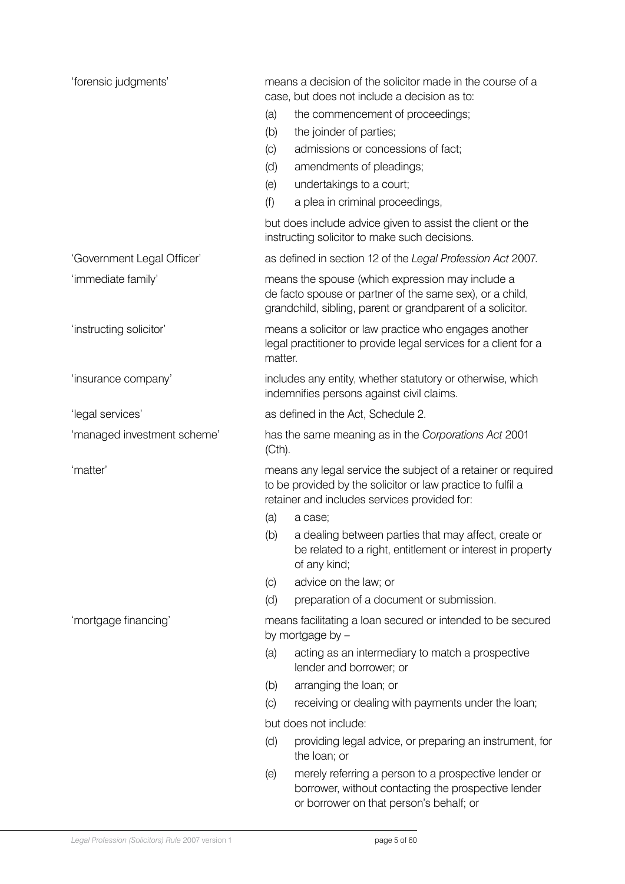| 'forensic judgments'        | means a decision of the solicitor made in the course of a<br>case, but does not include a decision as to:                                                                    |  |  |  |
|-----------------------------|------------------------------------------------------------------------------------------------------------------------------------------------------------------------------|--|--|--|
|                             | the commencement of proceedings;<br>(a)                                                                                                                                      |  |  |  |
|                             | the joinder of parties;<br>(b)                                                                                                                                               |  |  |  |
|                             | admissions or concessions of fact;<br>(C)                                                                                                                                    |  |  |  |
|                             | (d)<br>amendments of pleadings;                                                                                                                                              |  |  |  |
|                             | undertakings to a court;<br>(e)                                                                                                                                              |  |  |  |
|                             | (f)<br>a plea in criminal proceedings,                                                                                                                                       |  |  |  |
|                             | but does include advice given to assist the client or the<br>instructing solicitor to make such decisions.                                                                   |  |  |  |
| 'Government Legal Officer'  | as defined in section 12 of the Legal Profession Act 2007.                                                                                                                   |  |  |  |
| 'immediate family'          | means the spouse (which expression may include a<br>de facto spouse or partner of the same sex), or a child,<br>grandchild, sibling, parent or grandparent of a solicitor.   |  |  |  |
| 'instructing solicitor'     | means a solicitor or law practice who engages another<br>legal practitioner to provide legal services for a client for a<br>matter.                                          |  |  |  |
| 'insurance company'         | includes any entity, whether statutory or otherwise, which<br>indemnifies persons against civil claims.                                                                      |  |  |  |
| 'legal services'            | as defined in the Act, Schedule 2.                                                                                                                                           |  |  |  |
| 'managed investment scheme' | has the same meaning as in the Corporations Act 2001<br>$(Cth)$ .                                                                                                            |  |  |  |
| 'matter'                    | means any legal service the subject of a retainer or required<br>to be provided by the solicitor or law practice to fulfil a<br>retainer and includes services provided for: |  |  |  |
|                             | (a)<br>a case;                                                                                                                                                               |  |  |  |
|                             | a dealing between parties that may affect, create or<br>(b)<br>be related to a right, entitlement or interest in property<br>of any kind;                                    |  |  |  |
|                             | advice on the law; or<br>(C)                                                                                                                                                 |  |  |  |
|                             | (d)<br>preparation of a document or submission.                                                                                                                              |  |  |  |
| 'mortgage financing'        | means facilitating a loan secured or intended to be secured<br>by mortgage by -                                                                                              |  |  |  |
|                             | (a)<br>acting as an intermediary to match a prospective<br>lender and borrower; or                                                                                           |  |  |  |
|                             | arranging the loan; or<br>(b)                                                                                                                                                |  |  |  |
|                             | receiving or dealing with payments under the loan;<br>(C)                                                                                                                    |  |  |  |
|                             | but does not include:                                                                                                                                                        |  |  |  |
|                             | (d)<br>providing legal advice, or preparing an instrument, for<br>the loan; or                                                                                               |  |  |  |
|                             | merely referring a person to a prospective lender or<br>(e)<br>borrower, without contacting the prospective lender<br>or borrower on that person's behalf; or                |  |  |  |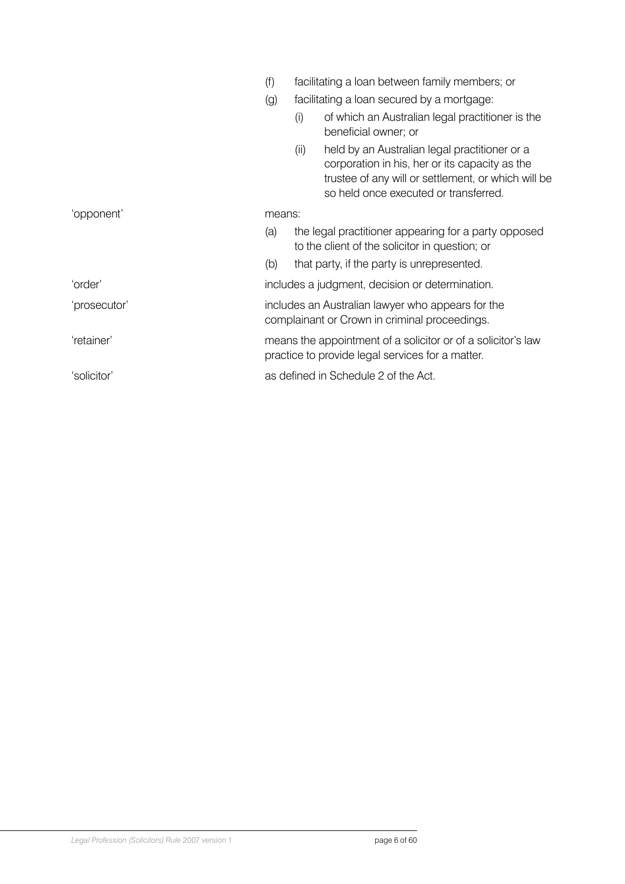|              | (f)                                                                                                              | facilitating a loan between family members; or                                                         |                                                                                                                                                                                                 |  |  |
|--------------|------------------------------------------------------------------------------------------------------------------|--------------------------------------------------------------------------------------------------------|-------------------------------------------------------------------------------------------------------------------------------------------------------------------------------------------------|--|--|
|              | (g)                                                                                                              | facilitating a loan secured by a mortgage:                                                             |                                                                                                                                                                                                 |  |  |
|              |                                                                                                                  | (i)                                                                                                    | of which an Australian legal practitioner is the<br>beneficial owner; or                                                                                                                        |  |  |
|              |                                                                                                                  | (ii)                                                                                                   | held by an Australian legal practitioner or a<br>corporation in his, her or its capacity as the<br>trustee of any will or settlement, or which will be<br>so held once executed or transferred. |  |  |
| 'opponent'   | means:                                                                                                           |                                                                                                        |                                                                                                                                                                                                 |  |  |
|              |                                                                                                                  | the legal practitioner appearing for a party opposed<br>to the client of the solicitor in question; or |                                                                                                                                                                                                 |  |  |
|              | (b)                                                                                                              |                                                                                                        | that party, if the party is unrepresented.                                                                                                                                                      |  |  |
| 'order'      |                                                                                                                  | includes a judgment, decision or determination.                                                        |                                                                                                                                                                                                 |  |  |
| 'prosecutor' | includes an Australian lawyer who appears for the<br>complainant or Crown in criminal proceedings.               |                                                                                                        |                                                                                                                                                                                                 |  |  |
| 'retainer'   | means the appointment of a solicitor or of a solicitor's law<br>practice to provide legal services for a matter. |                                                                                                        |                                                                                                                                                                                                 |  |  |
| 'solicitor'  |                                                                                                                  | as defined in Schedule 2 of the Act.                                                                   |                                                                                                                                                                                                 |  |  |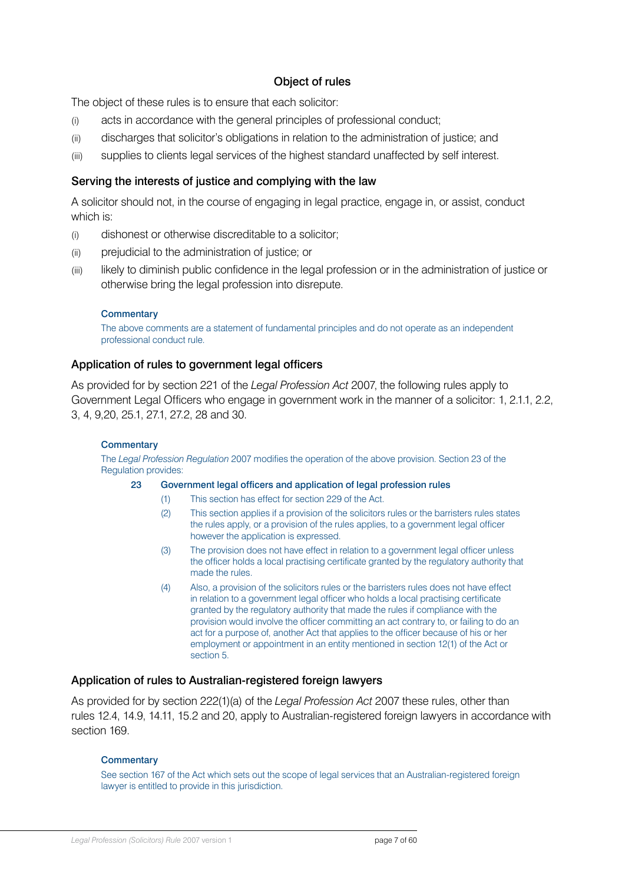### Object of rules

<span id="page-6-0"></span>The object of these rules is to ensure that each solicitor:

- (i) acts in accordance with the general principles of professional conduct;
- (ii) discharges that solicitor's obligations in relation to the administration of justice; and
- (iii) supplies to clients legal services of the highest standard unaffected by self interest.

### Serving the interests of justice and complying with the law

A solicitor should not, in the course of engaging in legal practice, engage in, or assist, conduct which is:

- (i) dishonest or otherwise discreditable to a solicitor;
- (ii) prejudicial to the administration of justice; or
- (iii) likely to diminish public confidence in the legal profession or in the administration of justice or otherwise bring the legal profession into disrepute.

#### **Commentary**

The above comments are a statement of fundamental principles and do not operate as an independent professional conduct rule.

#### Application of rules to government legal officers

As provided for by section 221 of the *Legal Profession Act* 2007, the following rules apply to Government Legal Officers who engage in government work in the manner of a solicitor: 1, 2.1.1, 2.2, 3, 4, 9,20, 25.1, 27.1, 27.2, 28 and 30.

#### **Commentary**

The *Legal Profession Regulation* 2007 modifies the operation of the above provision. Section 23 of the Regulation provides:

#### 23 Government legal officers and application of legal profession rules

- (1) This section has effect for section 229 of the Act.
- (2) This section applies if a provision of the solicitors rules or the barristers rules states the rules apply, or a provision of the rules applies, to a government legal officer however the application is expressed.
- (3) The provision does not have effect in relation to a government legal officer unless the officer holds a local practising certificate granted by the regulatory authority that made the rules.
- (4) Also, a provision of the solicitors rules or the barristers rules does not have effect in relation to a government legal officer who holds a local practising certificate granted by the regulatory authority that made the rules if compliance with the provision would involve the officer committing an act contrary to, or failing to do an act for a purpose of, another Act that applies to the officer because of his or her employment or appointment in an entity mentioned in section 12(1) of the Act or section 5.

#### Application of rules to Australian-registered foreign lawyers

As provided for by section 222(1)(a) of the *Legal Profession Act* 2007 these rules, other than rules 12.4, 14.9, 14.11, 15.2 and 20, apply to Australian-registered foreign lawyers in accordance with section 169.

#### **Commentary**

See section 167 of the Act which sets out the scope of legal services that an Australian-registered foreign lawyer is entitled to provide in this jurisdiction.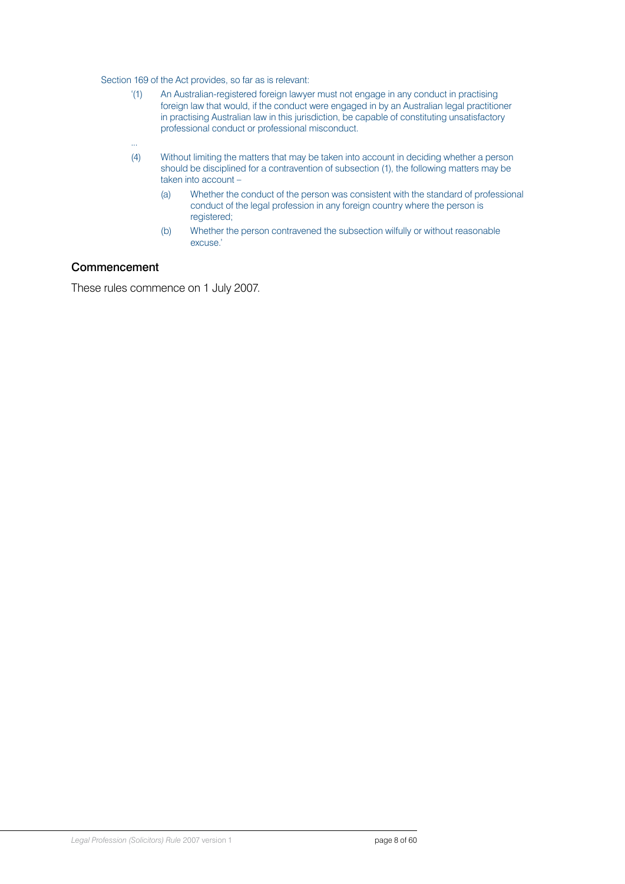<span id="page-7-0"></span>Section 169 of the Act provides, so far as is relevant:

- '(1) An Australian-registered foreign lawyer must not engage in any conduct in practising foreign law that would, if the conduct were engaged in by an Australian legal practitioner in practising Australian law in this jurisdiction, be capable of constituting unsatisfactory professional conduct or professional misconduct.
- (4) Without limiting the matters that may be taken into account in deciding whether a person should be disciplined for a contravention of subsection (1), the following matters may be taken into account –
	- (a) Whether the conduct of the person was consistent with the standard of professional conduct of the legal profession in any foreign country where the person is registered;
	- (b) Whether the person contravened the subsection wilfully or without reasonable excuse.'

#### **Commencement**

...

These rules commence on 1 July 2007.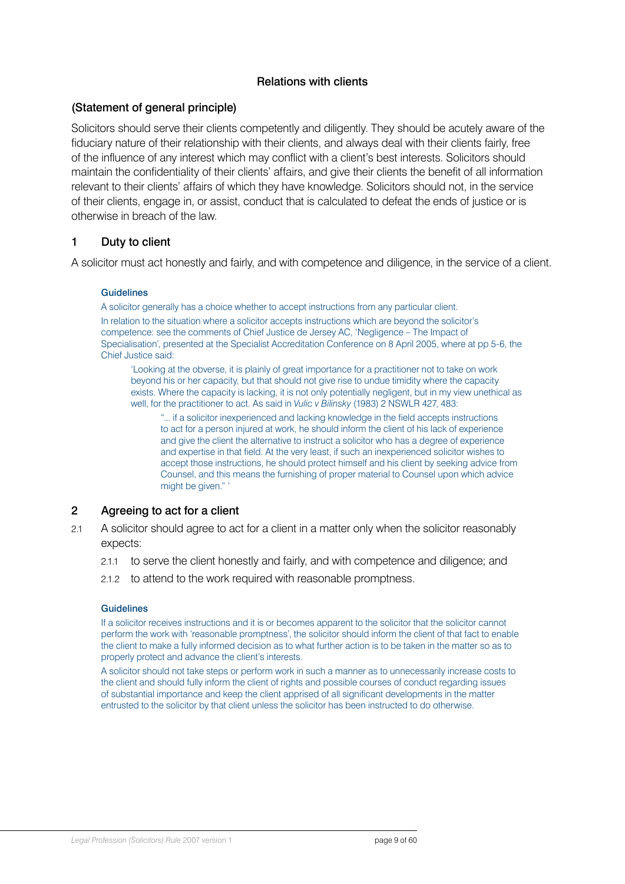### Relations with clients

### <span id="page-8-0"></span>(Statement of general principle)

Solicitors should serve their clients competently and diligently. They should be acutely aware of the fiduciary nature of their relationship with their clients, and always deal with their clients fairly, free of the influence of any interest which may conflict with a client's best interests. Solicitors should maintain the confidentiality of their clients' affairs, and give their clients the benefit of all information relevant to their clients' affairs of which they have knowledge. Solicitors should not, in the service of their clients, engage in, or assist, conduct that is calculated to defeat the ends of justice or is otherwise in breach of the law.

### 1 Duty to client

A solicitor must act honestly and fairly, and with competence and diligence, in the service of a client.

#### **Guidelines**

A solicitor generally has a choice whether to accept instructions from any particular client.

In relation to the situation where a solicitor accepts instructions which are beyond the solicitor's competence: see the comments of Chief Justice de Jersey AC, 'Negligence – The Impact of Specialisation', presented at the Specialist Accreditation Conference on 8 April 2005, where at pp 5-6, the Chief Justice said:

'Looking at the obverse, it is plainly of great importance for a practitioner not to take on work beyond his or her capacity, but that should not give rise to undue timidity where the capacity exists. Where the capacity is lacking, it is not only potentially negligent, but in my view unethical as well, for the practitioner to act. As said in *Vulic v Bilinsky* (1983) 2 NSWLR 427, 483:

"... if a solicitor inexperienced and lacking knowledge in the field accepts instructions to act for a person injured at work, he should inform the client of his lack of experience and give the client the alternative to instruct a solicitor who has a degree of experience and expertise in that field. At the very least, if such an inexperienced solicitor wishes to accept those instructions, he should protect himself and his client by seeking advice from Counsel, and this means the furnishing of proper material to Counsel upon which advice might be given." '

#### 2 Agreeing to act for a client

- 2.1 A solicitor should agree to act for a client in a matter only when the solicitor reasonably expects:
	- 2.1.1 to serve the client honestly and fairly, and with competence and diligence; and
	- 2.1.2 to attend to the work required with reasonable promptness.

#### Guidelines

If a solicitor receives instructions and it is or becomes apparent to the solicitor that the solicitor cannot perform the work with 'reasonable promptness', the solicitor should inform the client of that fact to enable the client to make a fully informed decision as to what further action is to be taken in the matter so as to properly protect and advance the client's interests.

A solicitor should not take steps or perform work in such a manner as to unnecessarily increase costs to the client and should fully inform the client of rights and possible courses of conduct regarding issues of substantial importance and keep the client apprised of all significant developments in the matter entrusted to the solicitor by that client unless the solicitor has been instructed to do otherwise.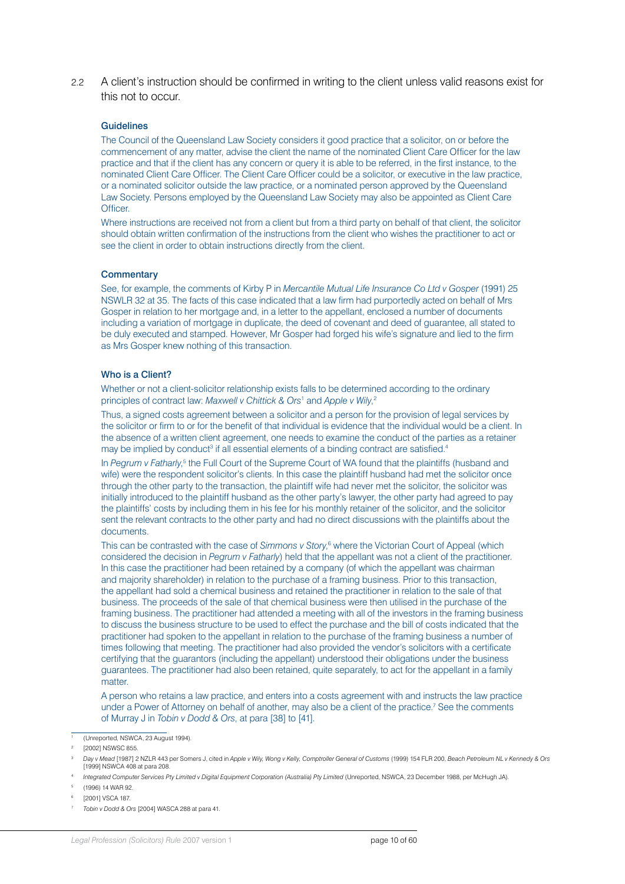2.2 A client's instruction should be confirmed in writing to the client unless valid reasons exist for this not to occur.

#### Guidelines

The Council of the Queensland Law Society considers it good practice that a solicitor, on or before the commencement of any matter, advise the client the name of the nominated Client Care Officer for the law practice and that if the client has any concern or query it is able to be referred, in the first instance, to the nominated Client Care Officer. The Client Care Officer could be a solicitor, or executive in the law practice, or a nominated solicitor outside the law practice, or a nominated person approved by the Queensland Law Society. Persons employed by the Queensland Law Society may also be appointed as Client Care **Officer** 

Where instructions are received not from a client but from a third party on behalf of that client, the solicitor should obtain written confirmation of the instructions from the client who wishes the practitioner to act or see the client in order to obtain instructions directly from the client.

#### **Commentary**

See, for example, the comments of Kirby P in *Mercantile Mutual Life Insurance Co Ltd v Gosper* (1991) 25 NSWLR 32 at 35. The facts of this case indicated that a law firm had purportedly acted on behalf of Mrs Gosper in relation to her mortgage and, in a letter to the appellant, enclosed a number of documents including a variation of mortgage in duplicate, the deed of covenant and deed of guarantee, all stated to be duly executed and stamped. However, Mr Gosper had forged his wife's signature and lied to the firm as Mrs Gosper knew nothing of this transaction.

#### Who is a Client?

Whether or not a client-solicitor relationship exists falls to be determined according to the ordinary principles of contract law: *Maxwell v Chittick & Ors*<sup>1</sup> and *Apple v Wily*, 2

Thus, a signed costs agreement between a solicitor and a person for the provision of legal services by the solicitor or firm to or for the benefit of that individual is evidence that the individual would be a client. In the absence of a written client agreement, one needs to examine the conduct of the parties as a retainer may be implied by conduct<sup>3</sup> if all essential elements of a binding contract are satisfied.<sup>4</sup>

In *Pegrum v Fatharly*,<sup>5</sup> the Full Court of the Supreme Court of WA found that the plaintiffs (husband and wife) were the respondent solicitor's clients. In this case the plaintiff husband had met the solicitor once through the other party to the transaction, the plaintiff wife had never met the solicitor, the solicitor was initially introduced to the plaintiff husband as the other party's lawyer, the other party had agreed to pay the plaintiffs' costs by including them in his fee for his monthly retainer of the solicitor, and the solicitor sent the relevant contracts to the other party and had no direct discussions with the plaintiffs about the documents.

This can be contrasted with the case of Simmons v Story,<sup>6</sup> where the Victorian Court of Appeal (which considered the decision in *Pegrum v Fatharly*) held that the appellant was not a client of the practitioner. In this case the practitioner had been retained by a company (of which the appellant was chairman and majority shareholder) in relation to the purchase of a framing business. Prior to this transaction, the appellant had sold a chemical business and retained the practitioner in relation to the sale of that business. The proceeds of the sale of that chemical business were then utilised in the purchase of the framing business. The practitioner had attended a meeting with all of the investors in the framing business to discuss the business structure to be used to effect the purchase and the bill of costs indicated that the practitioner had spoken to the appellant in relation to the purchase of the framing business a number of times following that meeting. The practitioner had also provided the vendor's solicitors with a certificate certifying that the guarantors (including the appellant) understood their obligations under the business guarantees. The practitioner had also been retained, quite separately, to act for the appellant in a family matter.

A person who retains a law practice, and enters into a costs agreement with and instructs the law practice under a Power of Attorney on behalf of another, may also be a client of the practice.<sup>7</sup> See the comments of Murray J in *Tobin v Dodd & Ors*, at para [38] to [41].

<sup>5</sup> (1996) 14 WAR 92.

<sup>1</sup> (Unreported, NSWCA, 23 August 1994).

<sup>[2002]</sup> NSWSC 855.

<sup>3</sup> *Day v Mead* [1987] 2 NZLR 443 per Somers J, cited in *Apple v Wily, Wong v Kelly, Comptroller General of Customs* (1999) 154 FLR 200, *Beach Petroleum NL v Kennedy & Ors* [1999] NSWCA 408 at para 208.

Integrated Computer Services Pty Limited v Digital Equipment Corporation (Australia) Pty Limited (Unreported, NSWCA, 23 December 1988, per McHugh JA).

<sup>6</sup> [2001] VSCA 187.

<sup>7</sup> *Tobin v Dodd & Ors* [2004] WASCA 288 at para 41.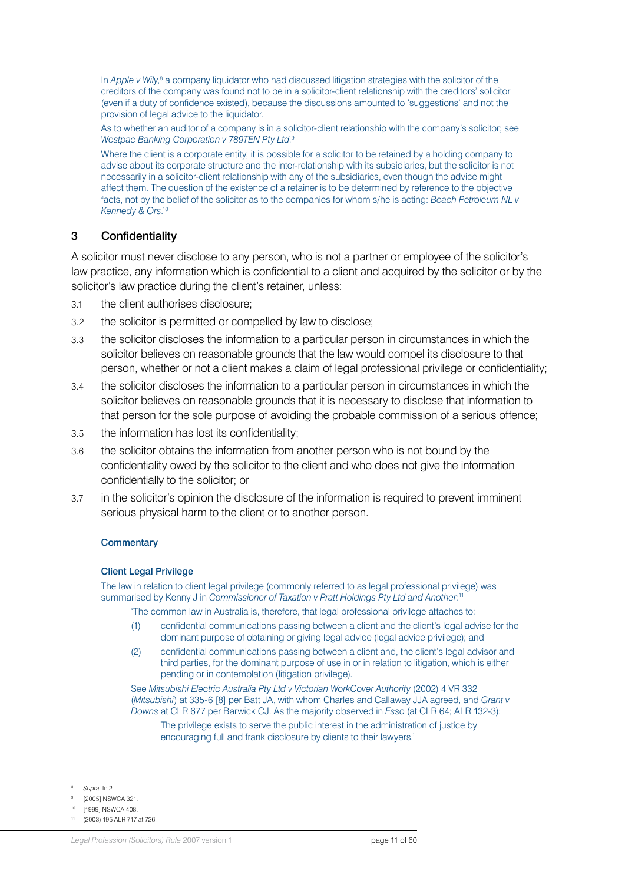<span id="page-10-0"></span>In Apple v Wily,<sup>8</sup> a company liquidator who had discussed litigation strategies with the solicitor of the creditors of the company was found not to be in a solicitor-client relationship with the creditors' solicitor (even if a duty of confidence existed), because the discussions amounted to 'suggestions' and not the provision of legal advice to the liquidator.

As to whether an auditor of a company is in a solicitor-client relationship with the company's solicitor; see *Westpac Banking Corporation v 789TEN Pty Ltd*. 9

Where the client is a corporate entity, it is possible for a solicitor to be retained by a holding company to advise about its corporate structure and the inter-relationship with its subsidiaries, but the solicitor is not necessarily in a solicitor-client relationship with any of the subsidiaries, even though the advice might affect them. The question of the existence of a retainer is to be determined by reference to the objective facts, not by the belief of the solicitor as to the companies for whom s/he is acting: *Beach Petroleum NL v Kennedy & Ors*. 10

### 3 Confidentiality

A solicitor must never disclose to any person, who is not a partner or employee of the solicitor's law practice, any information which is confidential to a client and acquired by the solicitor or by the solicitor's law practice during the client's retainer, unless:

- 3.1 the client authorises disclosure;
- 3.2 the solicitor is permitted or compelled by law to disclose;
- 3.3 the solicitor discloses the information to a particular person in circumstances in which the solicitor believes on reasonable grounds that the law would compel its disclosure to that person, whether or not a client makes a claim of legal professional privilege or confidentiality;
- 3.4 the solicitor discloses the information to a particular person in circumstances in which the solicitor believes on reasonable grounds that it is necessary to disclose that information to that person for the sole purpose of avoiding the probable commission of a serious offence;
- 3.5 the information has lost its confidentiality;
- 3.6 the solicitor obtains the information from another person who is not bound by the confidentiality owed by the solicitor to the client and who does not give the information confidentially to the solicitor; or
- 3.7 in the solicitor's opinion the disclosure of the information is required to prevent imminent serious physical harm to the client or to another person.

#### **Commentary**

#### Client Legal Privilege

The law in relation to client legal privilege (commonly referred to as legal professional privilege) was summarised by Kenny J in *Commissioner of Taxation v Pratt Holdings Pty Ltd and Another*: 11

'The common law in Australia is, therefore, that legal professional privilege attaches to:

- (1) confidential communications passing between a client and the client's legal advise for the dominant purpose of obtaining or giving legal advice (legal advice privilege); and
- (2) confidential communications passing between a client and, the client's legal advisor and third parties, for the dominant purpose of use in or in relation to litigation, which is either pending or in contemplation (litigation privilege).

See *Mitsubishi Electric Australia Pty Ltd v Victorian WorkCover Authority* (2002) 4 VR 332 (*Mitsubishi*) at 335-6 [8] per Batt JA, with whom Charles and Callaway JJA agreed, and *Grant v Downs* at CLR 677 per Barwick CJ. As the majority observed in *Esso* (at CLR 64; ALR 132-3):

The privilege exists to serve the public interest in the administration of justice by encouraging full and frank disclosure by clients to their lawyers.'

<sup>8</sup> *Supra*, fn 2.

<sup>[2005]</sup> NSWCA 321.

<sup>[1999]</sup> NSWCA 408

<sup>(2003) 195</sup> ALR 717 at 726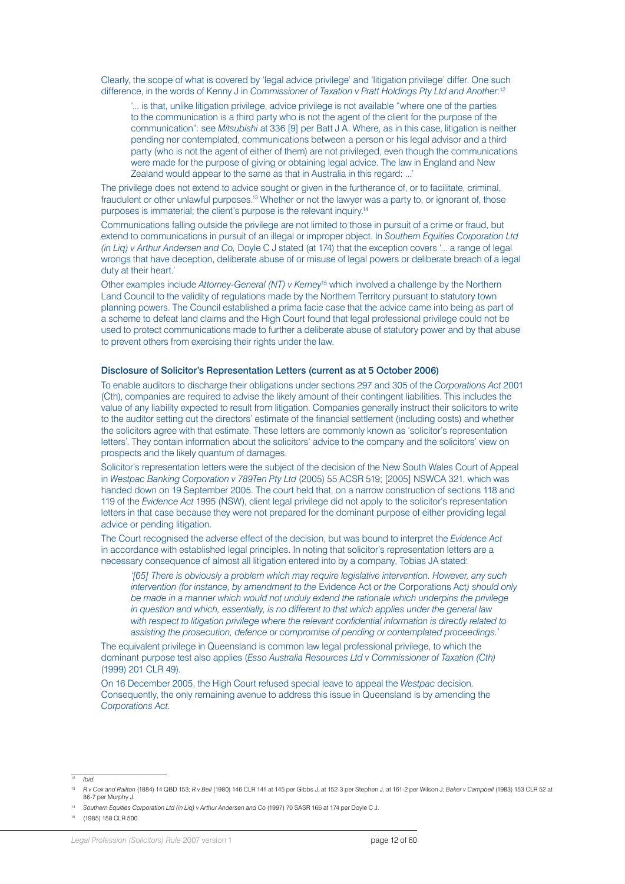Clearly, the scope of what is covered by 'legal advice privilege' and 'litigation privilege' differ. One such difference, in the words of Kenny J in *Commissioner of Taxation v Pratt Holdings Pty Ltd and Another*:<sup>12</sup>

'... is that, unlike litigation privilege, advice privilege is not available "where one of the parties to the communication is a third party who is not the agent of the client for the purpose of the communication": see *Mitsubishi* at 336 [9] per Batt J A. Where, as in this case, litigation is neither pending nor contemplated, communications between a person or his legal advisor and a third party (who is not the agent of either of them) are not privileged, even though the communications were made for the purpose of giving or obtaining legal advice. The law in England and New Zealand would appear to the same as that in Australia in this regard: ...'

The privilege does not extend to advice sought or given in the furtherance of, or to facilitate, criminal, fraudulent or other unlawful purposes.<sup>13</sup> Whether or not the lawyer was a party to, or ignorant of, those purposes is immaterial; the client's purpose is the relevant inquiry.14

Communications falling outside the privilege are not limited to those in pursuit of a crime or fraud, but extend to communications in pursuit of an illegal or improper object. In *Southern Equities Corporation Ltd (in Liq) v Arthur Andersen and Co,* Doyle C J stated (at 174) that the exception covers '... a range of legal wrongs that have deception, deliberate abuse of or misuse of legal powers or deliberate breach of a legal duty at their heart.'

Other examples include *Attorney-General (NT) v Kerney*<sup>15</sup> which involved a challenge by the Northern Land Council to the validity of regulations made by the Northern Territory pursuant to statutory town planning powers. The Council established a prima facie case that the advice came into being as part of a scheme to defeat land claims and the High Court found that legal professional privilege could not be used to protect communications made to further a deliberate abuse of statutory power and by that abuse to prevent others from exercising their rights under the law.

#### Disclosure of Solicitor's Representation Letters (current as at 5 October 2006)

To enable auditors to discharge their obligations under sections 297 and 305 of the *Corporations Act* 2001 (Cth), companies are required to advise the likely amount of their contingent liabilities. This includes the value of any liability expected to result from litigation. Companies generally instruct their solicitors to write to the auditor setting out the directors' estimate of the financial settlement (including costs) and whether the solicitors agree with that estimate. These letters are commonly known as 'solicitor's representation letters'. They contain information about the solicitors' advice to the company and the solicitors' view on prospects and the likely quantum of damages.

Solicitor's representation letters were the subject of the decision of the New South Wales Court of Appeal in *Westpac Banking Corporation v 789Ten Pty Ltd* (2005) 55 ACSR 519; [2005] NSWCA 321, which was handed down on 19 September 2005. The court held that, on a narrow construction of sections 118 and 119 of the *Evidence Act* 1995 (NSW), client legal privilege did not apply to the solicitor's representation letters in that case because they were not prepared for the dominant purpose of either providing legal advice or pending litigation.

The Court recognised the adverse effect of the decision, but was bound to interpret the *Evidence Act* in accordance with established legal principles. In noting that solicitor's representation letters are a necessary consequence of almost all litigation entered into by a company, Tobias JA stated:

*'[65] There is obviously a problem which may require legislative intervention. However, any such intervention (for instance, by amendment to the* Evidence Act *or the* Corporations Act*) should only be made in a manner which would not unduly extend the rationale which underpins the privilege in question and which, essentially, is no different to that which applies under the general law with respect to litigation privilege where the relevant confidential information is directly related to assisting the prosecution, defence or compromise of pending or contemplated proceedings.'*

The equivalent privilege in Queensland is common law legal professional privilege, to which the dominant purpose test also applies (*Esso Australia Resources Ltd v Commissioner of Taxation (Cth)* (1999) 201 CLR 49).

On 16 December 2005, the High Court refused special leave to appeal the *Westpac* decision. Consequently, the only remaining avenue to address this issue in Queensland is by amending the *Corporations Act*.

<sup>12</sup> *Ibid.*

<sup>13</sup> *R v Cox and Railton* (1884) 14 QBD 153; *R v Bell* (1980) 146 CLR 141 at 145 per Gibbs J, at 152-3 per Stephen J, at 161-2 per Wilson J; *Baker v Campbell* (1983) 153 CLR 52 at 86-7 per Murphy J.

<sup>14</sup> *Southern Equities Corporation Ltd (in Liq) v Arthur Andersen and Co* (1997) 70 SASR 166 at 174 per Doyle C J.

<sup>15</sup> (1985) 158 CLR 500.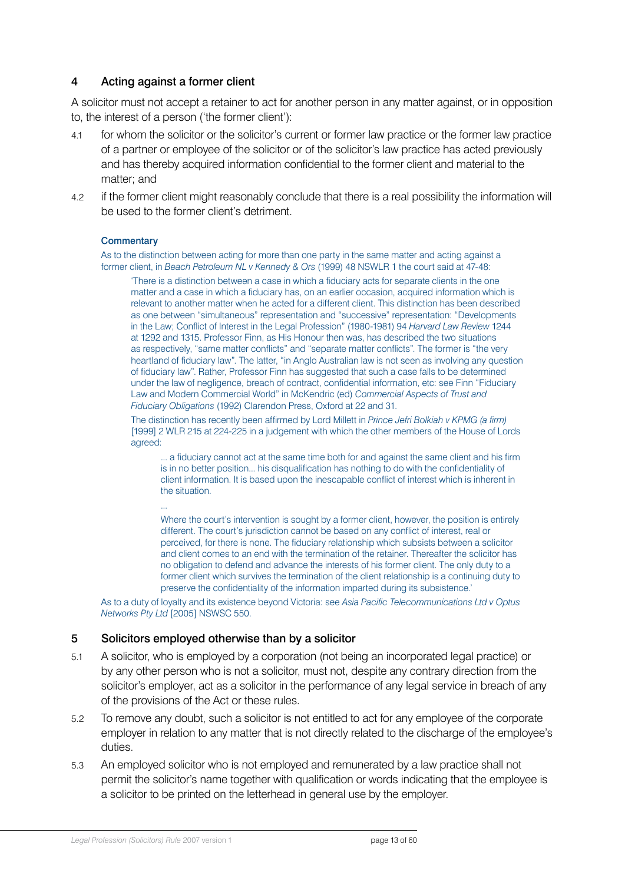### <span id="page-12-0"></span>4 Acting against a former client

A solicitor must not accept a retainer to act for another person in any matter against, or in opposition to, the interest of a person ('the former client'):

- 4.1 for whom the solicitor or the solicitor's current or former law practice or the former law practice of a partner or employee of the solicitor or of the solicitor's law practice has acted previously and has thereby acquired information confidential to the former client and material to the matter; and
- 4.2 if the former client might reasonably conclude that there is a real possibility the information will be used to the former client's detriment.

#### **Commentary**

As to the distinction between acting for more than one party in the same matter and acting against a former client, in *Beach Petroleum NL v Kennedy & Ors* (1999) 48 NSWLR 1 the court said at 47-48:

'There is a distinction between a case in which a fiduciary acts for separate clients in the one matter and a case in which a fiduciary has, on an earlier occasion, acquired information which is relevant to another matter when he acted for a different client. This distinction has been described as one between "simultaneous" representation and "successive" representation: "Developments in the Law; Conflict of Interest in the Legal Profession" (1980-1981) 94 *Harvard Law Review* 1244 at 1292 and 1315. Professor Finn, as His Honour then was, has described the two situations as respectively, "same matter conflicts" and "separate matter conflicts". The former is "the very heartland of fiduciary law". The latter, "in Anglo Australian law is not seen as involving any question of fiduciary law". Rather, Professor Finn has suggested that such a case falls to be determined under the law of negligence, breach of contract, confidential information, etc: see Finn "Fiduciary Law and Modern Commercial World" in McKendric (ed) *Commercial Aspects of Trust and Fiduciary Obligations* (1992) Clarendon Press, Oxford at 22 and 31.

The distinction has recently been affirmed by Lord Millett in *Prince Jefri Bolkiah v KPMG (a firm)* [1999] 2 WLR 215 at 224-225 in a judgement with which the other members of the House of Lords agreed:

... a fiduciary cannot act at the same time both for and against the same client and his firm is in no better position... his disqualification has nothing to do with the confidentiality of client information. It is based upon the inescapable conflict of interest which is inherent in the situation.

Where the court's intervention is sought by a former client, however, the position is entirely different. The court's jurisdiction cannot be based on any conflict of interest, real or perceived, for there is none. The fiduciary relationship which subsists between a solicitor and client comes to an end with the termination of the retainer. Thereafter the solicitor has no obligation to defend and advance the interests of his former client. The only duty to a former client which survives the termination of the client relationship is a continuing duty to preserve the confidentiality of the information imparted during its subsistence.'

As to a duty of loyalty and its existence beyond Victoria: see *Asia Pacific Telecommunications Ltd v Optus Networks Pty Ltd* [2005] NSWSC 550.

#### 5 Solicitors employed otherwise than by a solicitor

...

- 5.1 A solicitor, who is employed by a corporation (not being an incorporated legal practice) or by any other person who is not a solicitor, must not, despite any contrary direction from the solicitor's employer, act as a solicitor in the performance of any legal service in breach of any of the provisions of the Act or these rules.
- 5.2 To remove any doubt, such a solicitor is not entitled to act for any employee of the corporate employer in relation to any matter that is not directly related to the discharge of the employee's duties.
- 5.3 An employed solicitor who is not employed and remunerated by a law practice shall not permit the solicitor's name together with qualification or words indicating that the employee is a solicitor to be printed on the letterhead in general use by the employer.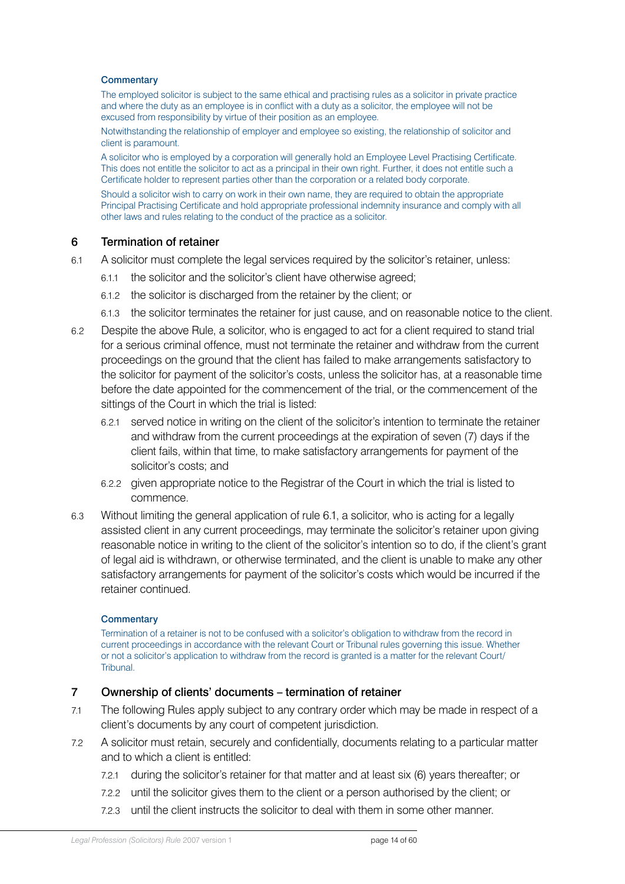#### <span id="page-13-0"></span>**Commentary**

The employed solicitor is subject to the same ethical and practising rules as a solicitor in private practice and where the duty as an employee is in conflict with a duty as a solicitor, the employee will not be excused from responsibility by virtue of their position as an employee.

Notwithstanding the relationship of employer and employee so existing, the relationship of solicitor and client is paramount.

A solicitor who is employed by a corporation will generally hold an Employee Level Practising Certificate. This does not entitle the solicitor to act as a principal in their own right. Further, it does not entitle such a Certificate holder to represent parties other than the corporation or a related body corporate.

Should a solicitor wish to carry on work in their own name, they are required to obtain the appropriate Principal Practising Certificate and hold appropriate professional indemnity insurance and comply with all other laws and rules relating to the conduct of the practice as a solicitor.

#### 6 Termination of retainer

- 6.1 A solicitor must complete the legal services required by the solicitor's retainer, unless:
	- 6.1.1 the solicitor and the solicitor's client have otherwise agreed;
	- 6.1.2 the solicitor is discharged from the retainer by the client; or
	- 6.1.3 the solicitor terminates the retainer for just cause, and on reasonable notice to the client.
- 6.2 Despite the above Rule, a solicitor, who is engaged to act for a client required to stand trial for a serious criminal offence, must not terminate the retainer and withdraw from the current proceedings on the ground that the client has failed to make arrangements satisfactory to the solicitor for payment of the solicitor's costs, unless the solicitor has, at a reasonable time before the date appointed for the commencement of the trial, or the commencement of the sittings of the Court in which the trial is listed:
	- 6.2.1 served notice in writing on the client of the solicitor's intention to terminate the retainer and withdraw from the current proceedings at the expiration of seven (7) days if the client fails, within that time, to make satisfactory arrangements for payment of the solicitor's costs; and
	- 6.2.2 given appropriate notice to the Registrar of the Court in which the trial is listed to commence.
- 6.3 Without limiting the general application of rule 6.1, a solicitor, who is acting for a legally assisted client in any current proceedings, may terminate the solicitor's retainer upon giving reasonable notice in writing to the client of the solicitor's intention so to do, if the client's grant of legal aid is withdrawn, or otherwise terminated, and the client is unable to make any other satisfactory arrangements for payment of the solicitor's costs which would be incurred if the retainer continued.

#### **Commentary**

Termination of a retainer is not to be confused with a solicitor's obligation to withdraw from the record in current proceedings in accordance with the relevant Court or Tribunal rules governing this issue. Whether or not a solicitor's application to withdraw from the record is granted is a matter for the relevant Court/ Tribunal.

#### 7 Ownership of clients' documents – termination of retainer

- 7.1 The following Rules apply subject to any contrary order which may be made in respect of a client's documents by any court of competent jurisdiction.
- 7.2 A solicitor must retain, securely and confidentially, documents relating to a particular matter and to which a client is entitled:
	- 7.2.1 during the solicitor's retainer for that matter and at least six (6) years thereafter; or
	- 7.2.2 until the solicitor gives them to the client or a person authorised by the client; or
	- 7.2.3 until the client instructs the solicitor to deal with them in some other manner.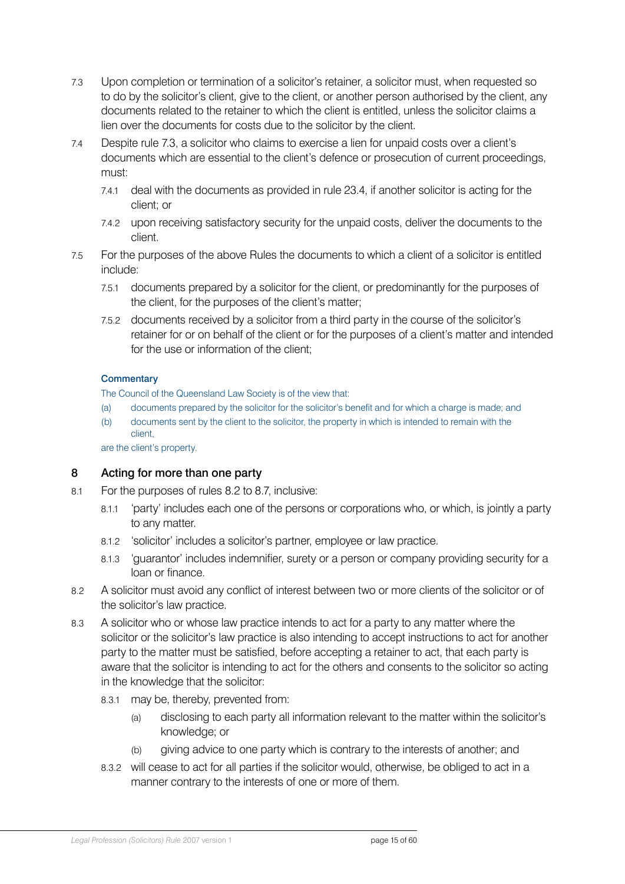- <span id="page-14-0"></span>7.3 Upon completion or termination of a solicitor's retainer, a solicitor must, when requested so to do by the solicitor's client, give to the client, or another person authorised by the client, any documents related to the retainer to which the client is entitled, unless the solicitor claims a lien over the documents for costs due to the solicitor by the client.
- 7.4 Despite rule 7.3, a solicitor who claims to exercise a lien for unpaid costs over a client's documents which are essential to the client's defence or prosecution of current proceedings, must:
	- 7.4.1 deal with the documents as provided in rule 23.4, if another solicitor is acting for the client; or
	- 7.4.2 upon receiving satisfactory security for the unpaid costs, deliver the documents to the client.
- 7.5 For the purposes of the above Rules the documents to which a client of a solicitor is entitled include:
	- 7.5.1 documents prepared by a solicitor for the client, or predominantly for the purposes of the client, for the purposes of the client's matter;
	- 7.5.2 documents received by a solicitor from a third party in the course of the solicitor's retainer for or on behalf of the client or for the purposes of a client's matter and intended for the use or information of the client;

#### **Commentary**

The Council of the Queensland Law Society is of the view that:

- (a) documents prepared by the solicitor for the solicitor's benefit and for which a charge is made; and
- (b) documents sent by the client to the solicitor, the property in which is intended to remain with the client,

are the client's property.

### 8 Acting for more than one party

- 8.1 For the purposes of rules 8.2 to 8.7, inclusive:
	- 8.1.1 'party' includes each one of the persons or corporations who, or which, is jointly a party to any matter.
	- 8.1.2 'solicitor' includes a solicitor's partner, employee or law practice.
	- 8.1.3 'guarantor' includes indemnifier, surety or a person or company providing security for a loan or finance.
- 8.2 A solicitor must avoid any conflict of interest between two or more clients of the solicitor or of the solicitor's law practice.
- 8.3 A solicitor who or whose law practice intends to act for a party to any matter where the solicitor or the solicitor's law practice is also intending to accept instructions to act for another party to the matter must be satisfied, before accepting a retainer to act, that each party is aware that the solicitor is intending to act for the others and consents to the solicitor so acting in the knowledge that the solicitor:
	- 8.3.1 may be, thereby, prevented from:
		- (a) disclosing to each party all information relevant to the matter within the solicitor's knowledge; or
		- (b) giving advice to one party which is contrary to the interests of another; and
	- 8.3.2 will cease to act for all parties if the solicitor would, otherwise, be obliged to act in a manner contrary to the interests of one or more of them.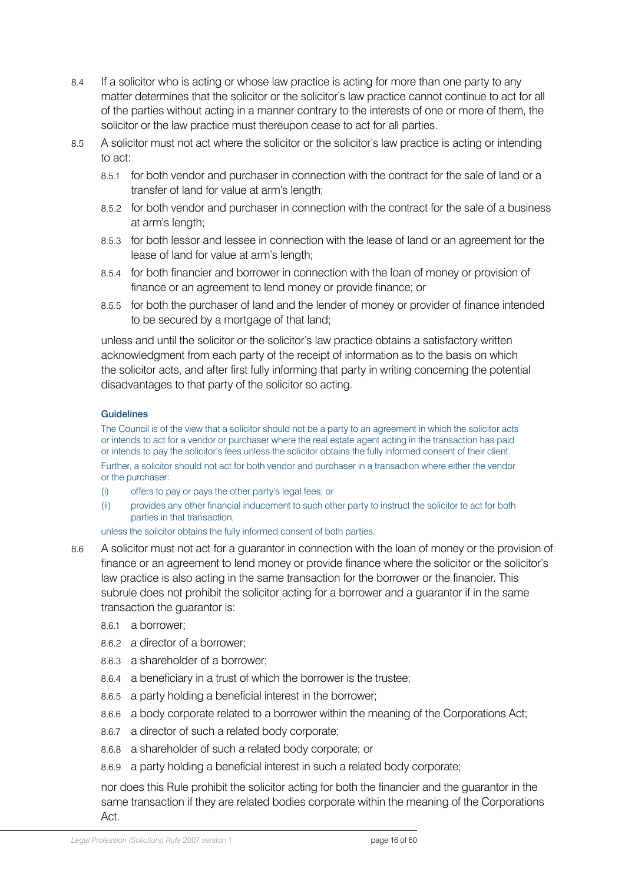- 8.4 If a solicitor who is acting or whose law practice is acting for more than one party to any matter determines that the solicitor or the solicitor's law practice cannot continue to act for all of the parties without acting in a manner contrary to the interests of one or more of them, the solicitor or the law practice must thereupon cease to act for all parties.
- 8.5 A solicitor must not act where the solicitor or the solicitor's law practice is acting or intending to act:
	- 8.5.1 for both vendor and purchaser in connection with the contract for the sale of land or a transfer of land for value at arm's length;
	- 8.5.2 for both vendor and purchaser in connection with the contract for the sale of a business at arm's length;
	- 8.5.3 for both lessor and lessee in connection with the lease of land or an agreement for the lease of land for value at arm's length;
	- 8.5.4 for both financier and borrower in connection with the loan of money or provision of finance or an agreement to lend money or provide finance; or
	- 8.5.5 for both the purchaser of land and the lender of money or provider of finance intended to be secured by a mortgage of that land;

unless and until the solicitor or the solicitor's law practice obtains a satisfactory written acknowledgment from each party of the receipt of information as to the basis on which the solicitor acts, and after first fully informing that party in writing concerning the potential disadvantages to that party of the solicitor so acting.

#### **Guidelines**

The Council is of the view that a solicitor should not be a party to an agreement in which the solicitor acts or intends to act for a vendor or purchaser where the real estate agent acting in the transaction has paid or intends to pay the solicitor's fees unless the solicitor obtains the fully informed consent of their client. Further, a solicitor should not act for both vendor and purchaser in a transaction where either the vendor or the purchaser:

- (i) offers to pay or pays the other party's legal fees; or
- (ii) provides any other financial inducement to such other party to instruct the solicitor to act for both parties in that transaction,

unless the solicitor obtains the fully informed consent of both parties.

- 8.6 A solicitor must not act for a guarantor in connection with the loan of money or the provision of finance or an agreement to lend money or provide finance where the solicitor or the solicitor's law practice is also acting in the same transaction for the borrower or the financier. This subrule does not prohibit the solicitor acting for a borrower and a guarantor if in the same transaction the guarantor is:
	- 8.6.1 a borrower;
	- 8.6.2 a director of a borrower;
	- 8.6.3 a shareholder of a borrower;
	- 8.6.4 a beneficiary in a trust of which the borrower is the trustee;
	- 8.6.5 a party holding a beneficial interest in the borrower;
	- 8.6.6 a body corporate related to a borrower within the meaning of the Corporations Act;
	- 8.6.7 a director of such a related body corporate;
	- 8.6.8 a shareholder of such a related body corporate; or
	- 8.6.9 a party holding a beneficial interest in such a related body corporate;

nor does this Rule prohibit the solicitor acting for both the financier and the guarantor in the same transaction if they are related bodies corporate within the meaning of the Corporations Act.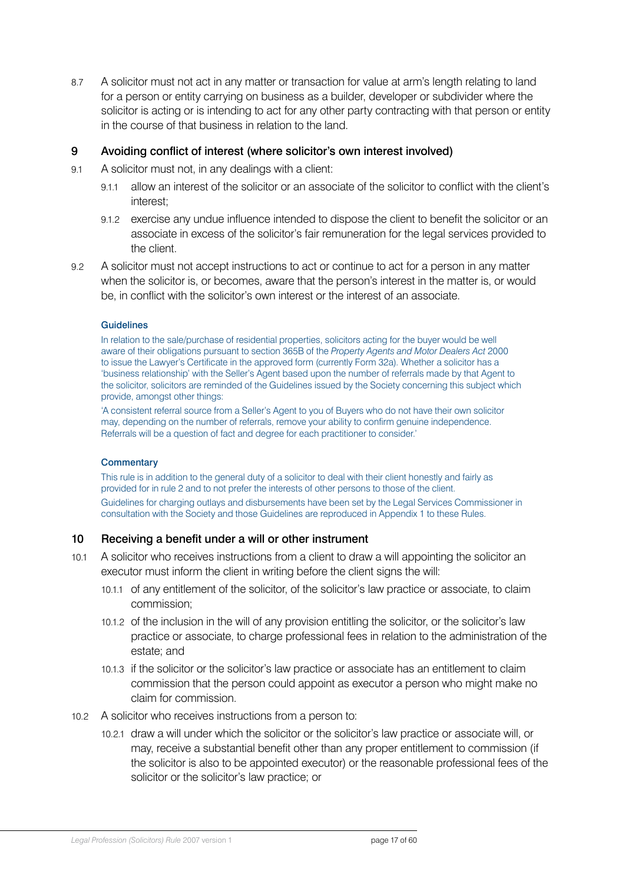<span id="page-16-0"></span>8.7 A solicitor must not act in any matter or transaction for value at arm's length relating to land for a person or entity carrying on business as a builder, developer or subdivider where the solicitor is acting or is intending to act for any other party contracting with that person or entity in the course of that business in relation to the land.

### 9 Avoiding conflict of interest (where solicitor's own interest involved)

- 9.1 A solicitor must not, in any dealings with a client:
	- 9.1.1 allow an interest of the solicitor or an associate of the solicitor to conflict with the client's interest;
	- 9.1.2 exercise any undue influence intended to dispose the client to benefit the solicitor or an associate in excess of the solicitor's fair remuneration for the legal services provided to the client.
- 9.2 A solicitor must not accept instructions to act or continue to act for a person in any matter when the solicitor is, or becomes, aware that the person's interest in the matter is, or would be, in conflict with the solicitor's own interest or the interest of an associate.

#### **Guidelines**

In relation to the sale/purchase of residential properties, solicitors acting for the buyer would be well aware of their obligations pursuant to section 365B of the *Property Agents and Motor Dealers Act* 2000 to issue the Lawyer's Certificate in the approved form (currently Form 32a). Whether a solicitor has a 'business relationship' with the Seller's Agent based upon the number of referrals made by that Agent to the solicitor, solicitors are reminded of the Guidelines issued by the Society concerning this subject which provide, amongst other things:

'A consistent referral source from a Seller's Agent to you of Buyers who do not have their own solicitor may, depending on the number of referrals, remove your ability to confirm genuine independence. Referrals will be a question of fact and degree for each practitioner to consider.'

#### **Commentary**

This rule is in addition to the general duty of a solicitor to deal with their client honestly and fairly as provided for in rule 2 and to not prefer the interests of other persons to those of the client. Guidelines for charging outlays and disbursements have been set by the Legal Services Commissioner in consultation with the Society and those Guidelines are reproduced in Appendix 1 to these Rules.

#### 10 Receiving a benefit under a will or other instrument

- 10.1 A solicitor who receives instructions from a client to draw a will appointing the solicitor an executor must inform the client in writing before the client signs the will:
	- 10.1.1 of any entitlement of the solicitor, of the solicitor's law practice or associate, to claim commission;
	- 10.1.2 of the inclusion in the will of any provision entitling the solicitor, or the solicitor's law practice or associate, to charge professional fees in relation to the administration of the estate; and
	- 10.1.3 if the solicitor or the solicitor's law practice or associate has an entitlement to claim commission that the person could appoint as executor a person who might make no claim for commission.
- 10.2 A solicitor who receives instructions from a person to:
	- 10.2.1 draw a will under which the solicitor or the solicitor's law practice or associate will, or may, receive a substantial benefit other than any proper entitlement to commission (if the solicitor is also to be appointed executor) or the reasonable professional fees of the solicitor or the solicitor's law practice; or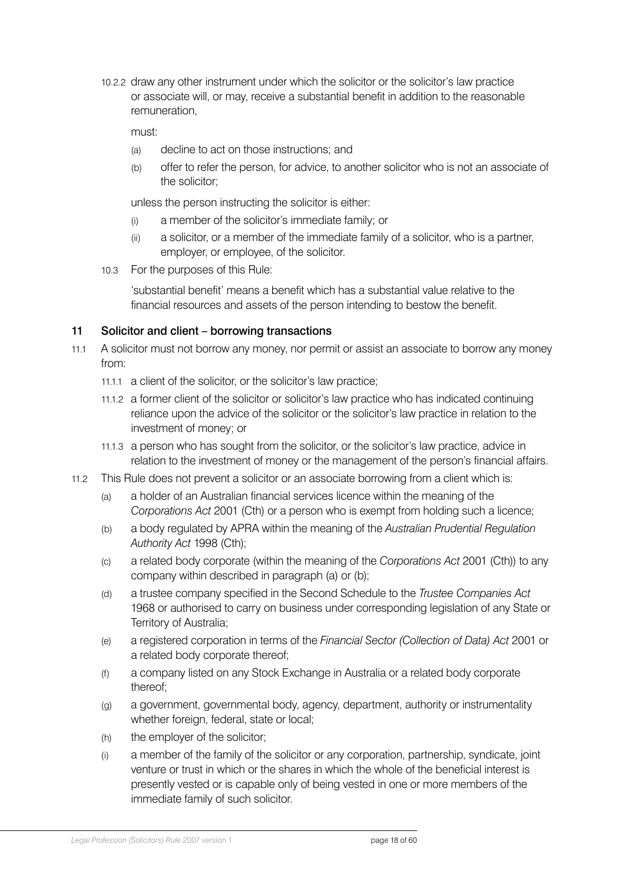<span id="page-17-0"></span>10.2.2 draw any other instrument under which the solicitor or the solicitor's law practice or associate will, or may, receive a substantial benefit in addition to the reasonable remuneration,

must:

- (a) decline to act on those instructions; and
- (b) offer to refer the person, for advice, to another solicitor who is not an associate of the solicitor;

unless the person instructing the solicitor is either:

- (i) a member of the solicitor's immediate family; or
- (ii) a solicitor, or a member of the immediate family of a solicitor, who is a partner, employer, or employee, of the solicitor.
- 10.3 For the purposes of this Rule:

'substantial benefit' means a benefit which has a substantial value relative to the financial resources and assets of the person intending to bestow the benefit.

### 11 Solicitor and client – borrowing transactions

- 11.1 A solicitor must not borrow any money, nor permit or assist an associate to borrow any money from:
	- 11.1.1 a client of the solicitor, or the solicitor's law practice;
	- 11.1.2 a former client of the solicitor or solicitor's law practice who has indicated continuing reliance upon the advice of the solicitor or the solicitor's law practice in relation to the investment of money; or
	- 11.1.3 a person who has sought from the solicitor, or the solicitor's law practice, advice in relation to the investment of money or the management of the person's financial affairs.
- 11.2 This Rule does not prevent a solicitor or an associate borrowing from a client which is:
	- (a) a holder of an Australian financial services licence within the meaning of the *Corporations Act* 2001 (Cth) or a person who is exempt from holding such a licence;
	- (b) a body regulated by APRA within the meaning of the *Australian Prudential Regulation Authority Act* 1998 (Cth);
	- (c) a related body corporate (within the meaning of the *Corporations Act* 2001 (Cth)) to any company within described in paragraph (a) or (b);
	- (d) a trustee company specified in the Second Schedule to the *Trustee Companies Act* 1968 or authorised to carry on business under corresponding legislation of any State or Territory of Australia;
	- (e) a registered corporation in terms of the *Financial Sector (Collection of Data) Act* 2001 or a related body corporate thereof;
	- (f) a company listed on any Stock Exchange in Australia or a related body corporate thereof;
	- (g) a government, governmental body, agency, department, authority or instrumentality whether foreign, federal, state or local;
	- (h) the employer of the solicitor;
	- (i) a member of the family of the solicitor or any corporation, partnership, syndicate, joint venture or trust in which or the shares in which the whole of the beneficial interest is presently vested or is capable only of being vested in one or more members of the immediate family of such solicitor.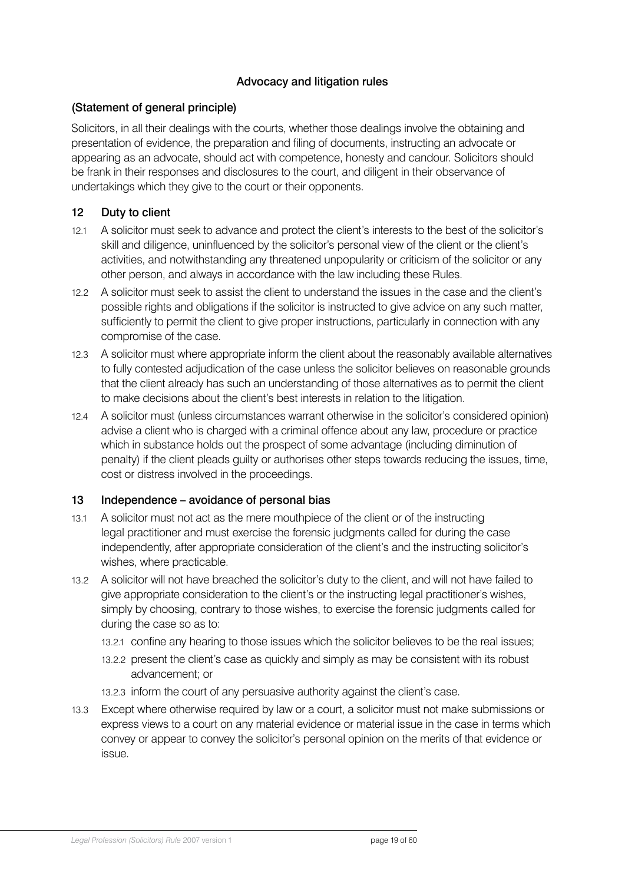# Advocacy and litigation rules

### <span id="page-18-0"></span>(Statement of general principle)

Solicitors, in all their dealings with the courts, whether those dealings involve the obtaining and presentation of evidence, the preparation and filing of documents, instructing an advocate or appearing as an advocate, should act with competence, honesty and candour. Solicitors should be frank in their responses and disclosures to the court, and diligent in their observance of undertakings which they give to the court or their opponents.

# 12 Duty to client

- 12.1 A solicitor must seek to advance and protect the client's interests to the best of the solicitor's skill and diligence, uninfluenced by the solicitor's personal view of the client or the client's activities, and notwithstanding any threatened unpopularity or criticism of the solicitor or any other person, and always in accordance with the law including these Rules.
- 12.2 A solicitor must seek to assist the client to understand the issues in the case and the client's possible rights and obligations if the solicitor is instructed to give advice on any such matter, sufficiently to permit the client to give proper instructions, particularly in connection with any compromise of the case.
- 12.3 A solicitor must where appropriate inform the client about the reasonably available alternatives to fully contested adjudication of the case unless the solicitor believes on reasonable grounds that the client already has such an understanding of those alternatives as to permit the client to make decisions about the client's best interests in relation to the litigation.
- 12.4 A solicitor must (unless circumstances warrant otherwise in the solicitor's considered opinion) advise a client who is charged with a criminal offence about any law, procedure or practice which in substance holds out the prospect of some advantage (including diminution of penalty) if the client pleads guilty or authorises other steps towards reducing the issues, time, cost or distress involved in the proceedings.

### 13 Independence – avoidance of personal bias

- 13.1 A solicitor must not act as the mere mouthpiece of the client or of the instructing legal practitioner and must exercise the forensic judgments called for during the case independently, after appropriate consideration of the client's and the instructing solicitor's wishes, where practicable.
- 13.2 A solicitor will not have breached the solicitor's duty to the client, and will not have failed to give appropriate consideration to the client's or the instructing legal practitioner's wishes, simply by choosing, contrary to those wishes, to exercise the forensic judgments called for during the case so as to:
	- 13.2.1 confine any hearing to those issues which the solicitor believes to be the real issues;
	- 13.2.2 present the client's case as quickly and simply as may be consistent with its robust advancement; or
	- 13.2.3 inform the court of any persuasive authority against the client's case.
- 13.3 Except where otherwise required by law or a court, a solicitor must not make submissions or express views to a court on any material evidence or material issue in the case in terms which convey or appear to convey the solicitor's personal opinion on the merits of that evidence or issue.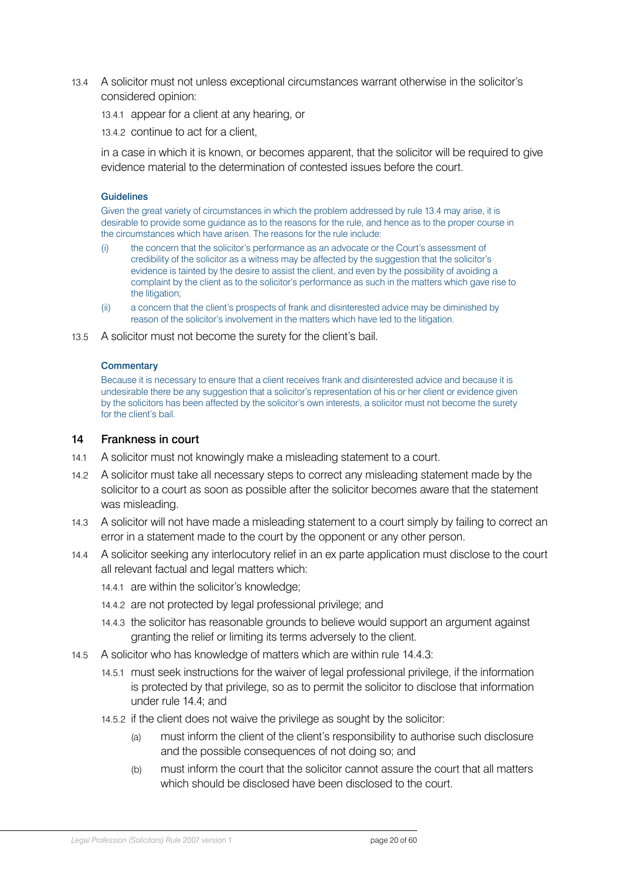- <span id="page-19-0"></span>13.4 A solicitor must not unless exceptional circumstances warrant otherwise in the solicitor's considered opinion:
	- 13.4.1 appear for a client at any hearing, or
	- 13.4.2 continue to act for a client,

in a case in which it is known, or becomes apparent, that the solicitor will be required to give evidence material to the determination of contested issues before the court.

#### **Guidelines**

Given the great variety of circumstances in which the problem addressed by rule 13.4 may arise, it is desirable to provide some guidance as to the reasons for the rule, and hence as to the proper course in the circumstances which have arisen. The reasons for the rule include:

- (i) the concern that the solicitor's performance as an advocate or the Court's assessment of credibility of the solicitor as a witness may be affected by the suggestion that the solicitor's evidence is tainted by the desire to assist the client, and even by the possibility of avoiding a complaint by the client as to the solicitor's performance as such in the matters which gave rise to the litigation;
- (ii) a concern that the client's prospects of frank and disinterested advice may be diminished by reason of the solicitor's involvement in the matters which have led to the litigation.
- 13.5 A solicitor must not become the surety for the client's bail.

#### **Commentary**

Because it is necessary to ensure that a client receives frank and disinterested advice and because it is undesirable there be any suggestion that a solicitor's representation of his or her client or evidence given by the solicitors has been affected by the solicitor's own interests, a solicitor must not become the surety for the client's bail.

#### 14 Frankness in court

- 14.1 A solicitor must not knowingly make a misleading statement to a court.
- 14.2 A solicitor must take all necessary steps to correct any misleading statement made by the solicitor to a court as soon as possible after the solicitor becomes aware that the statement was misleading.
- 14.3 A solicitor will not have made a misleading statement to a court simply by failing to correct an error in a statement made to the court by the opponent or any other person.
- 14.4 A solicitor seeking any interlocutory relief in an ex parte application must disclose to the court all relevant factual and legal matters which:
	- 14.4.1 are within the solicitor's knowledge;
	- 14.4.2 are not protected by legal professional privilege; and
	- 14.4.3 the solicitor has reasonable grounds to believe would support an argument against granting the relief or limiting its terms adversely to the client.
- 14.5 A solicitor who has knowledge of matters which are within rule 14.4.3:
	- 14.5.1 must seek instructions for the waiver of legal professional privilege, if the information is protected by that privilege, so as to permit the solicitor to disclose that information under rule 14.4; and
	- 14.5.2 if the client does not waive the privilege as sought by the solicitor:
		- (a) must inform the client of the client's responsibility to authorise such disclosure and the possible consequences of not doing so; and
		- (b) must inform the court that the solicitor cannot assure the court that all matters which should be disclosed have been disclosed to the court.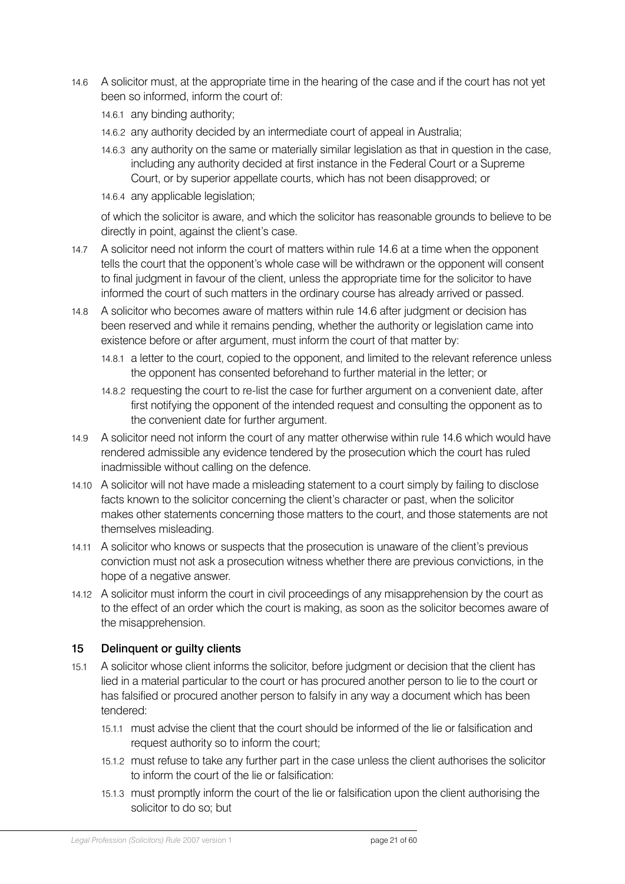- <span id="page-20-0"></span>14.6 A solicitor must, at the appropriate time in the hearing of the case and if the court has not yet been so informed, inform the court of:
	- 14.6.1 any binding authority;
	- 14.6.2 any authority decided by an intermediate court of appeal in Australia;
	- 14.6.3 any authority on the same or materially similar legislation as that in question in the case, including any authority decided at first instance in the Federal Court or a Supreme Court, or by superior appellate courts, which has not been disapproved; or
	- 14.6.4 any applicable legislation;

of which the solicitor is aware, and which the solicitor has reasonable grounds to believe to be directly in point, against the client's case.

- 14.7 A solicitor need not inform the court of matters within rule 14.6 at a time when the opponent tells the court that the opponent's whole case will be withdrawn or the opponent will consent to final judgment in favour of the client, unless the appropriate time for the solicitor to have informed the court of such matters in the ordinary course has already arrived or passed.
- 14.8 A solicitor who becomes aware of matters within rule 14.6 after judgment or decision has been reserved and while it remains pending, whether the authority or legislation came into existence before or after argument, must inform the court of that matter by:
	- 14.8.1 a letter to the court, copied to the opponent, and limited to the relevant reference unless the opponent has consented beforehand to further material in the letter; or
	- 14.8.2 requesting the court to re-list the case for further argument on a convenient date, after first notifying the opponent of the intended request and consulting the opponent as to the convenient date for further argument.
- 14.9 A solicitor need not inform the court of any matter otherwise within rule 14.6 which would have rendered admissible any evidence tendered by the prosecution which the court has ruled inadmissible without calling on the defence.
- 14.10 A solicitor will not have made a misleading statement to a court simply by failing to disclose facts known to the solicitor concerning the client's character or past, when the solicitor makes other statements concerning those matters to the court, and those statements are not themselves misleading.
- 14.11 A solicitor who knows or suspects that the prosecution is unaware of the client's previous conviction must not ask a prosecution witness whether there are previous convictions, in the hope of a negative answer.
- 14.12 A solicitor must inform the court in civil proceedings of any misapprehension by the court as to the effect of an order which the court is making, as soon as the solicitor becomes aware of the misapprehension.

### 15 Delinquent or guilty clients

- 15.1 A solicitor whose client informs the solicitor, before judgment or decision that the client has lied in a material particular to the court or has procured another person to lie to the court or has falsified or procured another person to falsify in any way a document which has been tendered:
	- 15.1.1 must advise the client that the court should be informed of the lie or falsification and request authority so to inform the court;
	- 15.1.2 must refuse to take any further part in the case unless the client authorises the solicitor to inform the court of the lie or falsification:
	- 15.1.3 must promptly inform the court of the lie or falsification upon the client authorising the solicitor to do so; but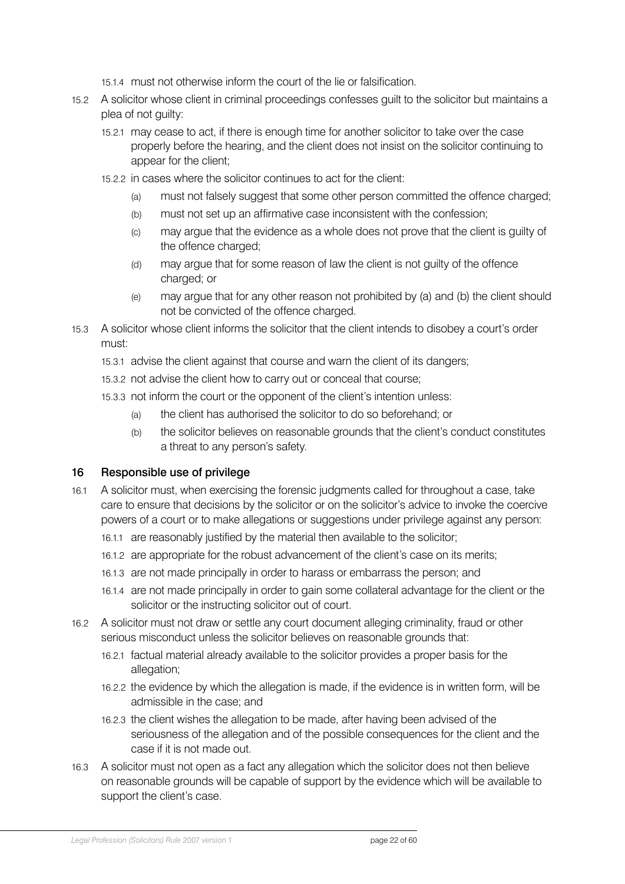- 15.1.4 must not otherwise inform the court of the lie or falsification.
- <span id="page-21-0"></span>15.2 A solicitor whose client in criminal proceedings confesses guilt to the solicitor but maintains a plea of not guilty:
	- 15.2.1 may cease to act, if there is enough time for another solicitor to take over the case properly before the hearing, and the client does not insist on the solicitor continuing to appear for the client;
	- 15.2.2 in cases where the solicitor continues to act for the client:
		- (a) must not falsely suggest that some other person committed the offence charged;
		- (b) must not set up an affirmative case inconsistent with the confession;
		- (c) may argue that the evidence as a whole does not prove that the client is guilty of the offence charged;
		- (d) may argue that for some reason of law the client is not guilty of the offence charged; or
		- (e) may argue that for any other reason not prohibited by (a) and (b) the client should not be convicted of the offence charged.
- 15.3 A solicitor whose client informs the solicitor that the client intends to disobey a court's order must:
	- 15.3.1 advise the client against that course and warn the client of its dangers;
	- 15.3.2 not advise the client how to carry out or conceal that course;
	- 15.3.3 not inform the court or the opponent of the client's intention unless:
		- (a) the client has authorised the solicitor to do so beforehand; or
		- (b) the solicitor believes on reasonable grounds that the client's conduct constitutes a threat to any person's safety.

### 16 Responsible use of privilege

- 16.1 A solicitor must, when exercising the forensic judgments called for throughout a case, take care to ensure that decisions by the solicitor or on the solicitor's advice to invoke the coercive powers of a court or to make allegations or suggestions under privilege against any person:
	- 16.1.1 are reasonably justified by the material then available to the solicitor;
	- 16.1.2 are appropriate for the robust advancement of the client's case on its merits;
	- 16.1.3 are not made principally in order to harass or embarrass the person; and
	- 16.1.4 are not made principally in order to gain some collateral advantage for the client or the solicitor or the instructing solicitor out of court.
- 16.2 A solicitor must not draw or settle any court document alleging criminality, fraud or other serious misconduct unless the solicitor believes on reasonable grounds that:
	- 16.2.1 factual material already available to the solicitor provides a proper basis for the allegation;
	- 16.2.2 the evidence by which the allegation is made, if the evidence is in written form, will be admissible in the case; and
	- 16.2.3 the client wishes the allegation to be made, after having been advised of the seriousness of the allegation and of the possible consequences for the client and the case if it is not made out.
- 16.3 A solicitor must not open as a fact any allegation which the solicitor does not then believe on reasonable grounds will be capable of support by the evidence which will be available to support the client's case.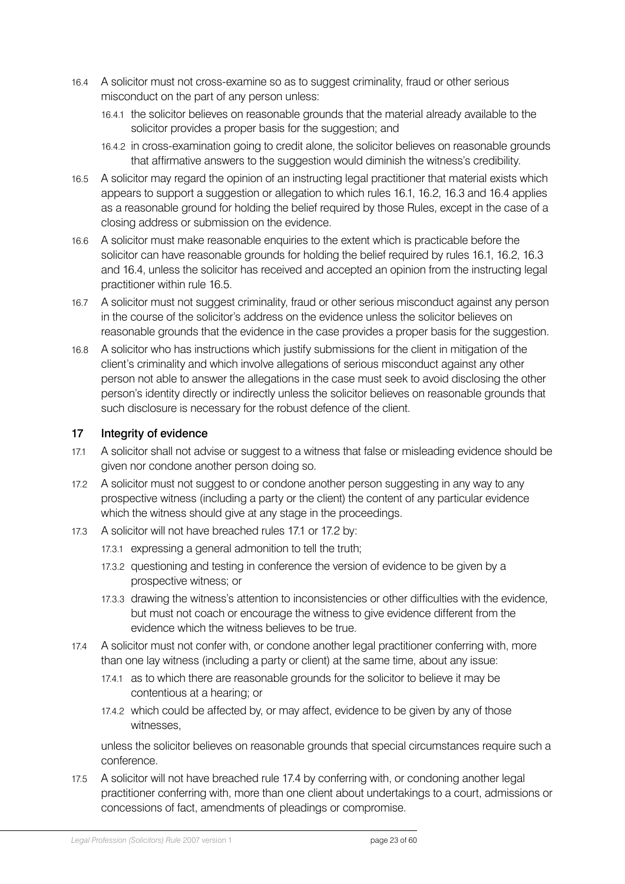- <span id="page-22-0"></span>16.4 A solicitor must not cross-examine so as to suggest criminality, fraud or other serious misconduct on the part of any person unless:
	- 16.4.1 the solicitor believes on reasonable grounds that the material already available to the solicitor provides a proper basis for the suggestion; and
	- 16.4.2 in cross-examination going to credit alone, the solicitor believes on reasonable grounds that affirmative answers to the suggestion would diminish the witness's credibility.
- 16.5 A solicitor may regard the opinion of an instructing legal practitioner that material exists which appears to support a suggestion or allegation to which rules 16.1, 16.2, 16.3 and 16.4 applies as a reasonable ground for holding the belief required by those Rules, except in the case of a closing address or submission on the evidence.
- 16.6 A solicitor must make reasonable enquiries to the extent which is practicable before the solicitor can have reasonable grounds for holding the belief required by rules 16.1, 16.2, 16.3 and 16.4, unless the solicitor has received and accepted an opinion from the instructing legal practitioner within rule 16.5.
- 16.7 A solicitor must not suggest criminality, fraud or other serious misconduct against any person in the course of the solicitor's address on the evidence unless the solicitor believes on reasonable grounds that the evidence in the case provides a proper basis for the suggestion.
- 16.8 A solicitor who has instructions which justify submissions for the client in mitigation of the client's criminality and which involve allegations of serious misconduct against any other person not able to answer the allegations in the case must seek to avoid disclosing the other person's identity directly or indirectly unless the solicitor believes on reasonable grounds that such disclosure is necessary for the robust defence of the client.

### 17 Integrity of evidence

- 17.1 A solicitor shall not advise or suggest to a witness that false or misleading evidence should be given nor condone another person doing so.
- 17.2 A solicitor must not suggest to or condone another person suggesting in any way to any prospective witness (including a party or the client) the content of any particular evidence which the witness should give at any stage in the proceedings.
- 17.3 A solicitor will not have breached rules 17.1 or 17.2 by:
	- 17.3.1 expressing a general admonition to tell the truth;
	- 17.3.2 questioning and testing in conference the version of evidence to be given by a prospective witness; or
	- 17.3.3 drawing the witness's attention to inconsistencies or other difficulties with the evidence, but must not coach or encourage the witness to give evidence different from the evidence which the witness believes to be true.
- 17.4 A solicitor must not confer with, or condone another legal practitioner conferring with, more than one lay witness (including a party or client) at the same time, about any issue:
	- 17.4.1 as to which there are reasonable grounds for the solicitor to believe it may be contentious at a hearing; or
	- 17.4.2 which could be affected by, or may affect, evidence to be given by any of those witnesses,

unless the solicitor believes on reasonable grounds that special circumstances require such a conference.

17.5 A solicitor will not have breached rule 17.4 by conferring with, or condoning another legal practitioner conferring with, more than one client about undertakings to a court, admissions or concessions of fact, amendments of pleadings or compromise.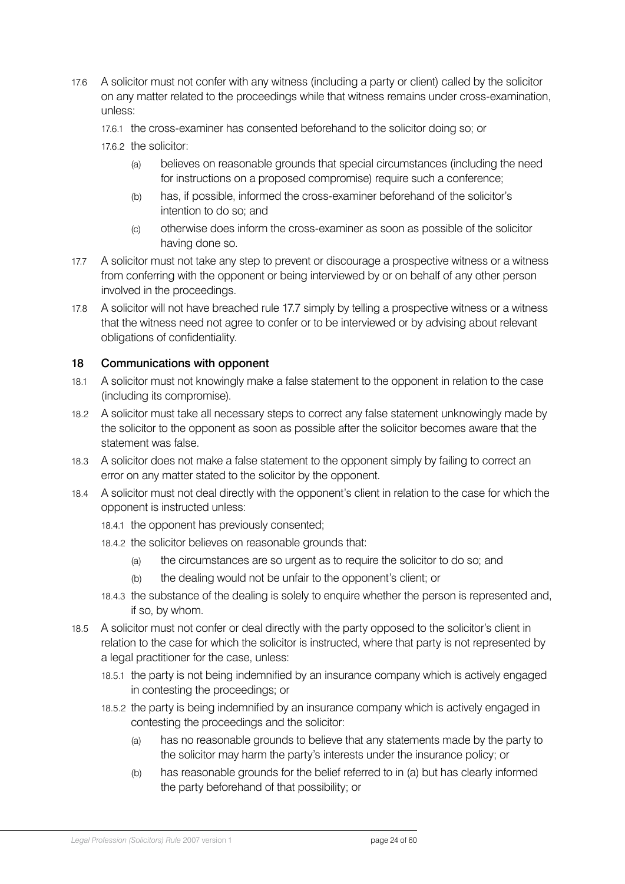- <span id="page-23-0"></span>17.6 A solicitor must not confer with any witness (including a party or client) called by the solicitor on any matter related to the proceedings while that witness remains under cross-examination, unless:
	- 17.6.1 the cross-examiner has consented beforehand to the solicitor doing so; or
	- 17.6.2 the solicitor:
		- (a) believes on reasonable grounds that special circumstances (including the need for instructions on a proposed compromise) require such a conference;
		- (b) has, if possible, informed the cross-examiner beforehand of the solicitor's intention to do so; and
		- (c) otherwise does inform the cross-examiner as soon as possible of the solicitor having done so.
- 17.7 A solicitor must not take any step to prevent or discourage a prospective witness or a witness from conferring with the opponent or being interviewed by or on behalf of any other person involved in the proceedings.
- 17.8 A solicitor will not have breached rule 17.7 simply by telling a prospective witness or a witness that the witness need not agree to confer or to be interviewed or by advising about relevant obligations of confidentiality.

### 18 Communications with opponent

- 18.1 A solicitor must not knowingly make a false statement to the opponent in relation to the case (including its compromise).
- 18.2 A solicitor must take all necessary steps to correct any false statement unknowingly made by the solicitor to the opponent as soon as possible after the solicitor becomes aware that the statement was false.
- 18.3 A solicitor does not make a false statement to the opponent simply by failing to correct an error on any matter stated to the solicitor by the opponent.
- 18.4 A solicitor must not deal directly with the opponent's client in relation to the case for which the opponent is instructed unless:
	- 18.4.1 the opponent has previously consented;
	- 18.4.2 the solicitor believes on reasonable grounds that:
		- (a) the circumstances are so urgent as to require the solicitor to do so; and
		- (b) the dealing would not be unfair to the opponent's client; or
	- 18.4.3 the substance of the dealing is solely to enquire whether the person is represented and, if so, by whom.
- 18.5 A solicitor must not confer or deal directly with the party opposed to the solicitor's client in relation to the case for which the solicitor is instructed, where that party is not represented by a legal practitioner for the case, unless:
	- 18.5.1 the party is not being indemnified by an insurance company which is actively engaged in contesting the proceedings; or
	- 18.5.2 the party is being indemnified by an insurance company which is actively engaged in contesting the proceedings and the solicitor:
		- (a) has no reasonable grounds to believe that any statements made by the party to the solicitor may harm the party's interests under the insurance policy; or
		- (b) has reasonable grounds for the belief referred to in (a) but has clearly informed the party beforehand of that possibility; or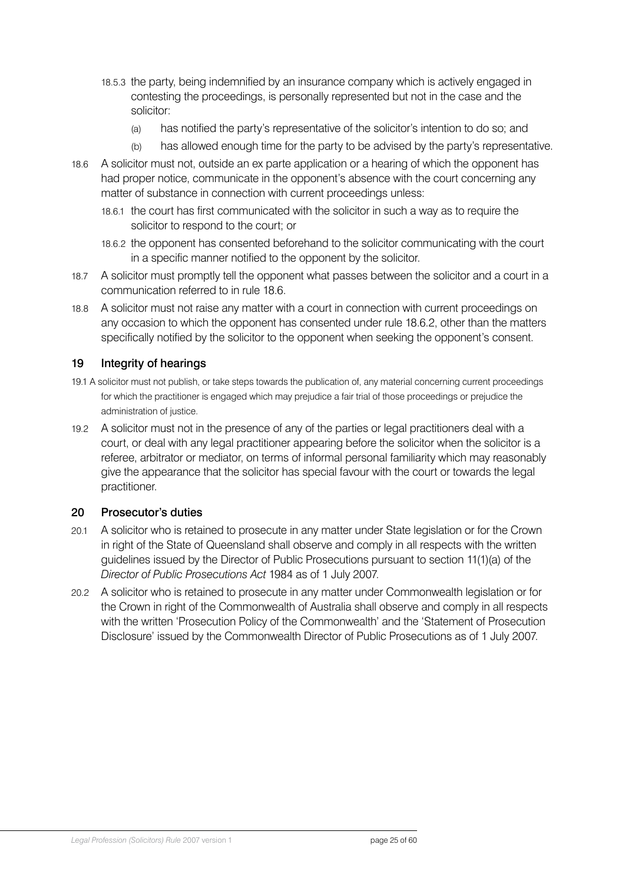- <span id="page-24-0"></span>18.5.3 the party, being indemnified by an insurance company which is actively engaged in contesting the proceedings, is personally represented but not in the case and the solicitor:
	- (a) has notified the party's representative of the solicitor's intention to do so; and
	- (b) has allowed enough time for the party to be advised by the party's representative.
- 18.6 A solicitor must not, outside an ex parte application or a hearing of which the opponent has had proper notice, communicate in the opponent's absence with the court concerning any matter of substance in connection with current proceedings unless:
	- 18.6.1 the court has first communicated with the solicitor in such a way as to require the solicitor to respond to the court; or
	- 18.6.2 the opponent has consented beforehand to the solicitor communicating with the court in a specific manner notified to the opponent by the solicitor.
- 18.7 A solicitor must promptly tell the opponent what passes between the solicitor and a court in a communication referred to in rule 18.6.
- 18.8 A solicitor must not raise any matter with a court in connection with current proceedings on any occasion to which the opponent has consented under rule 18.6.2, other than the matters specifically notified by the solicitor to the opponent when seeking the opponent's consent.

### 19 Integrity of hearings

- 19.1 A solicitor must not publish, or take steps towards the publication of, any material concerning current proceedings for which the practitioner is engaged which may prejudice a fair trial of those proceedings or prejudice the administration of justice.
- 19.2 A solicitor must not in the presence of any of the parties or legal practitioners deal with a court, or deal with any legal practitioner appearing before the solicitor when the solicitor is a referee, arbitrator or mediator, on terms of informal personal familiarity which may reasonably give the appearance that the solicitor has special favour with the court or towards the legal practitioner.

### 20 Prosecutor's duties

- 20.1 A solicitor who is retained to prosecute in any matter under State legislation or for the Crown in right of the State of Queensland shall observe and comply in all respects with the written guidelines issued by the Director of Public Prosecutions pursuant to section 11(1)(a) of the *Director of Public Prosecutions Act* 1984 as of 1 July 2007.
- 20.2 A solicitor who is retained to prosecute in any matter under Commonwealth legislation or for the Crown in right of the Commonwealth of Australia shall observe and comply in all respects with the written 'Prosecution Policy of the Commonwealth' and the 'Statement of Prosecution Disclosure' issued by the Commonwealth Director of Public Prosecutions as of 1 July 2007.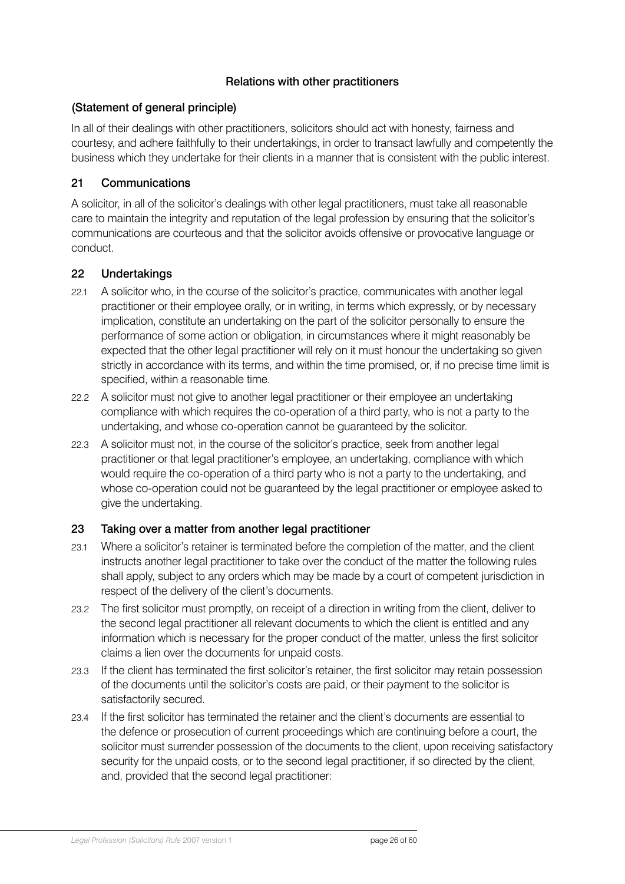# Relations with other practitioners

### <span id="page-25-0"></span>(Statement of general principle)

In all of their dealings with other practitioners, solicitors should act with honesty, fairness and courtesy, and adhere faithfully to their undertakings, in order to transact lawfully and competently the business which they undertake for their clients in a manner that is consistent with the public interest.

# 21 Communications

A solicitor, in all of the solicitor's dealings with other legal practitioners, must take all reasonable care to maintain the integrity and reputation of the legal profession by ensuring that the solicitor's communications are courteous and that the solicitor avoids offensive or provocative language or conduct.

### 22 Undertakings

- 22.1 A solicitor who, in the course of the solicitor's practice, communicates with another legal practitioner or their employee orally, or in writing, in terms which expressly, or by necessary implication, constitute an undertaking on the part of the solicitor personally to ensure the performance of some action or obligation, in circumstances where it might reasonably be expected that the other legal practitioner will rely on it must honour the undertaking so given strictly in accordance with its terms, and within the time promised, or, if no precise time limit is specified, within a reasonable time.
- 22.2 A solicitor must not give to another legal practitioner or their employee an undertaking compliance with which requires the co-operation of a third party, who is not a party to the undertaking, and whose co-operation cannot be guaranteed by the solicitor.
- 22.3 A solicitor must not, in the course of the solicitor's practice, seek from another legal practitioner or that legal practitioner's employee, an undertaking, compliance with which would require the co-operation of a third party who is not a party to the undertaking, and whose co-operation could not be guaranteed by the legal practitioner or employee asked to give the undertaking.

### 23 Taking over a matter from another legal practitioner

- 23.1 Where a solicitor's retainer is terminated before the completion of the matter, and the client instructs another legal practitioner to take over the conduct of the matter the following rules shall apply, subject to any orders which may be made by a court of competent jurisdiction in respect of the delivery of the client's documents.
- 23.2 The first solicitor must promptly, on receipt of a direction in writing from the client, deliver to the second legal practitioner all relevant documents to which the client is entitled and any information which is necessary for the proper conduct of the matter, unless the first solicitor claims a lien over the documents for unpaid costs.
- 23.3 If the client has terminated the first solicitor's retainer, the first solicitor may retain possession of the documents until the solicitor's costs are paid, or their payment to the solicitor is satisfactorily secured.
- 23.4 If the first solicitor has terminated the retainer and the client's documents are essential to the defence or prosecution of current proceedings which are continuing before a court, the solicitor must surrender possession of the documents to the client, upon receiving satisfactory security for the unpaid costs, or to the second legal practitioner, if so directed by the client, and, provided that the second legal practitioner: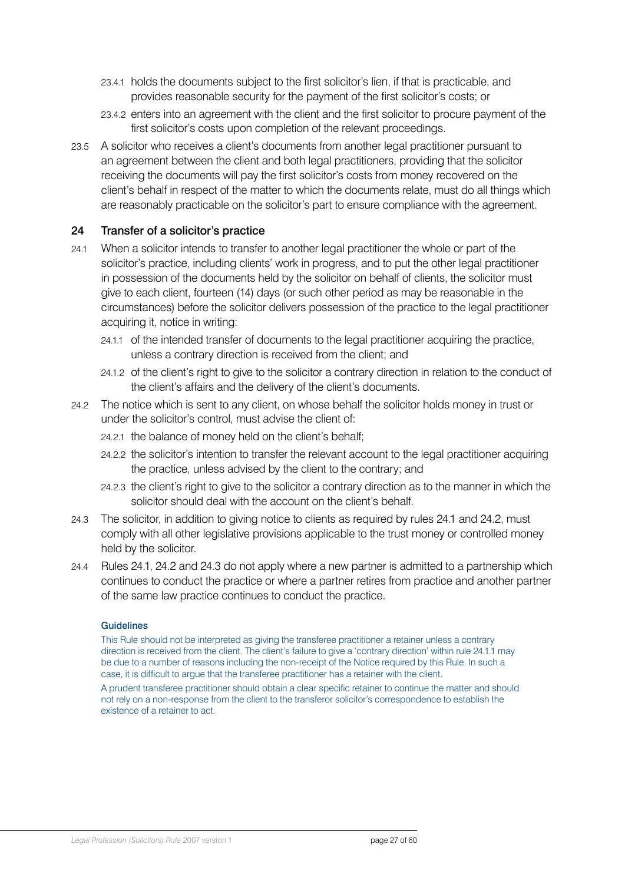- <span id="page-26-0"></span>23.4.1 holds the documents subject to the first solicitor's lien, if that is practicable, and provides reasonable security for the payment of the first solicitor's costs; or
- 23.4.2 enters into an agreement with the client and the first solicitor to procure payment of the first solicitor's costs upon completion of the relevant proceedings.
- 23.5 A solicitor who receives a client's documents from another legal practitioner pursuant to an agreement between the client and both legal practitioners, providing that the solicitor receiving the documents will pay the first solicitor's costs from money recovered on the client's behalf in respect of the matter to which the documents relate, must do all things which are reasonably practicable on the solicitor's part to ensure compliance with the agreement.

### 24 Transfer of a solicitor's practice

- 24.1 When a solicitor intends to transfer to another legal practitioner the whole or part of the solicitor's practice, including clients' work in progress, and to put the other legal practitioner in possession of the documents held by the solicitor on behalf of clients, the solicitor must give to each client, fourteen (14) days (or such other period as may be reasonable in the circumstances) before the solicitor delivers possession of the practice to the legal practitioner acquiring it, notice in writing:
	- 24.1.1 of the intended transfer of documents to the legal practitioner acquiring the practice, unless a contrary direction is received from the client; and
	- 24.1.2 of the client's right to give to the solicitor a contrary direction in relation to the conduct of the client's affairs and the delivery of the client's documents.
- 24.2 The notice which is sent to any client, on whose behalf the solicitor holds money in trust or under the solicitor's control, must advise the client of:
	- 24.2.1 the balance of money held on the client's behalf;
	- 24.2.2 the solicitor's intention to transfer the relevant account to the legal practitioner acquiring the practice, unless advised by the client to the contrary; and
	- 24.2.3 the client's right to give to the solicitor a contrary direction as to the manner in which the solicitor should deal with the account on the client's behalf.
- 24.3 The solicitor, in addition to giving notice to clients as required by rules 24.1 and 24.2, must comply with all other legislative provisions applicable to the trust money or controlled money held by the solicitor.
- 24.4 Rules 24.1, 24.2 and 24.3 do not apply where a new partner is admitted to a partnership which continues to conduct the practice or where a partner retires from practice and another partner of the same law practice continues to conduct the practice.

#### **Guidelines**

This Rule should not be interpreted as giving the transferee practitioner a retainer unless a contrary direction is received from the client. The client's failure to give a 'contrary direction' within rule 24.1.1 may be due to a number of reasons including the non-receipt of the Notice required by this Rule. In such a case, it is difficult to argue that the transferee practitioner has a retainer with the client.

A prudent transferee practitioner should obtain a clear specific retainer to continue the matter and should not rely on a non-response from the client to the transferor solicitor's correspondence to establish the existence of a retainer to act.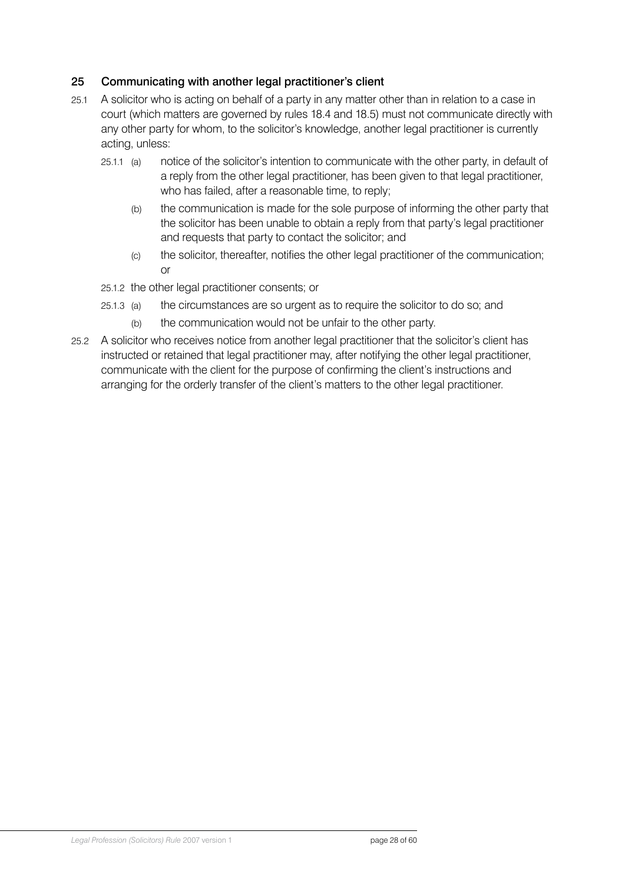# <span id="page-27-0"></span>25 Communicating with another legal practitioner's client

- 25.1 A solicitor who is acting on behalf of a party in any matter other than in relation to a case in court (which matters are governed by rules 18.4 and 18.5) must not communicate directly with any other party for whom, to the solicitor's knowledge, another legal practitioner is currently acting, unless:
	- 25.1.1 (a) notice of the solicitor's intention to communicate with the other party, in default of a reply from the other legal practitioner, has been given to that legal practitioner, who has failed, after a reasonable time, to reply;
		- (b) the communication is made for the sole purpose of informing the other party that the solicitor has been unable to obtain a reply from that party's legal practitioner and requests that party to contact the solicitor; and
		- (c) the solicitor, thereafter, notifies the other legal practitioner of the communication; or
	- 25.1.2 the other legal practitioner consents; or
	- 25.1.3 (a) the circumstances are so urgent as to require the solicitor to do so; and
		- (b) the communication would not be unfair to the other party.
- 25.2 A solicitor who receives notice from another legal practitioner that the solicitor's client has instructed or retained that legal practitioner may, after notifying the other legal practitioner, communicate with the client for the purpose of confirming the client's instructions and arranging for the orderly transfer of the client's matters to the other legal practitioner.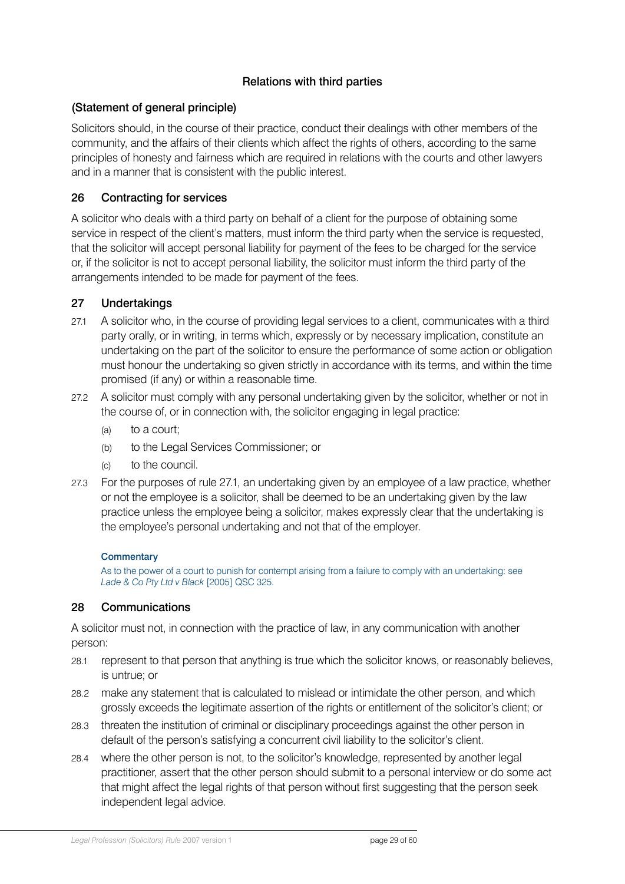# Relations with third parties

# <span id="page-28-0"></span>(Statement of general principle)

Solicitors should, in the course of their practice, conduct their dealings with other members of the community, and the affairs of their clients which affect the rights of others, according to the same principles of honesty and fairness which are required in relations with the courts and other lawyers and in a manner that is consistent with the public interest.

# 26 Contracting for services

A solicitor who deals with a third party on behalf of a client for the purpose of obtaining some service in respect of the client's matters, must inform the third party when the service is requested, that the solicitor will accept personal liability for payment of the fees to be charged for the service or, if the solicitor is not to accept personal liability, the solicitor must inform the third party of the arrangements intended to be made for payment of the fees.

### 27 Undertakings

- 27.1 A solicitor who, in the course of providing legal services to a client, communicates with a third party orally, or in writing, in terms which, expressly or by necessary implication, constitute an undertaking on the part of the solicitor to ensure the performance of some action or obligation must honour the undertaking so given strictly in accordance with its terms, and within the time promised (if any) or within a reasonable time.
- 27.2 A solicitor must comply with any personal undertaking given by the solicitor, whether or not in the course of, or in connection with, the solicitor engaging in legal practice:
	- (a) to a court;
	- (b) to the Legal Services Commissioner; or
	- (c) to the council.
- 27.3 For the purposes of rule 27.1, an undertaking given by an employee of a law practice, whether or not the employee is a solicitor, shall be deemed to be an undertaking given by the law practice unless the employee being a solicitor, makes expressly clear that the undertaking is the employee's personal undertaking and not that of the employer.

#### **Commentary**

As to the power of a court to punish for contempt arising from a failure to comply with an undertaking: see *Lade & Co Pty Ltd v Black* [2005] QSC 325.

### 28 Communications

A solicitor must not, in connection with the practice of law, in any communication with another person:

- 28.1 represent to that person that anything is true which the solicitor knows, or reasonably believes, is untrue; or
- 28.2 make any statement that is calculated to mislead or intimidate the other person, and which grossly exceeds the legitimate assertion of the rights or entitlement of the solicitor's client; or
- 28.3 threaten the institution of criminal or disciplinary proceedings against the other person in default of the person's satisfying a concurrent civil liability to the solicitor's client.
- 28.4 where the other person is not, to the solicitor's knowledge, represented by another legal practitioner, assert that the other person should submit to a personal interview or do some act that might affect the legal rights of that person without first suggesting that the person seek independent legal advice.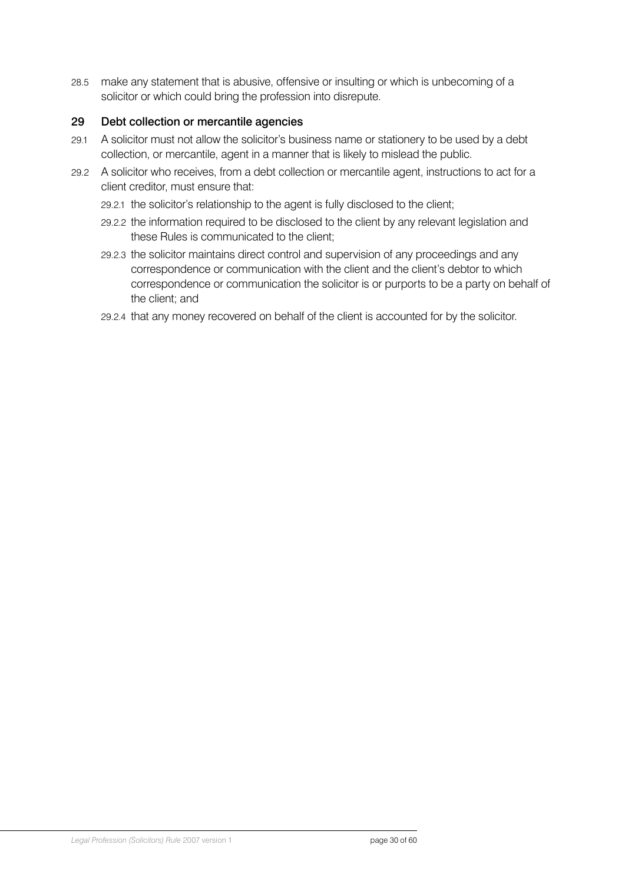<span id="page-29-0"></span>28.5 make any statement that is abusive, offensive or insulting or which is unbecoming of a solicitor or which could bring the profession into disrepute.

# 29 Debt collection or mercantile agencies

- 29.1 A solicitor must not allow the solicitor's business name or stationery to be used by a debt collection, or mercantile, agent in a manner that is likely to mislead the public.
- 29.2 A solicitor who receives, from a debt collection or mercantile agent, instructions to act for a client creditor, must ensure that:
	- 29.2.1 the solicitor's relationship to the agent is fully disclosed to the client;
	- 29.2.2 the information required to be disclosed to the client by any relevant legislation and these Rules is communicated to the client;
	- 29.2.3 the solicitor maintains direct control and supervision of any proceedings and any correspondence or communication with the client and the client's debtor to which correspondence or communication the solicitor is or purports to be a party on behalf of the client; and
	- 29.2.4 that any money recovered on behalf of the client is accounted for by the solicitor.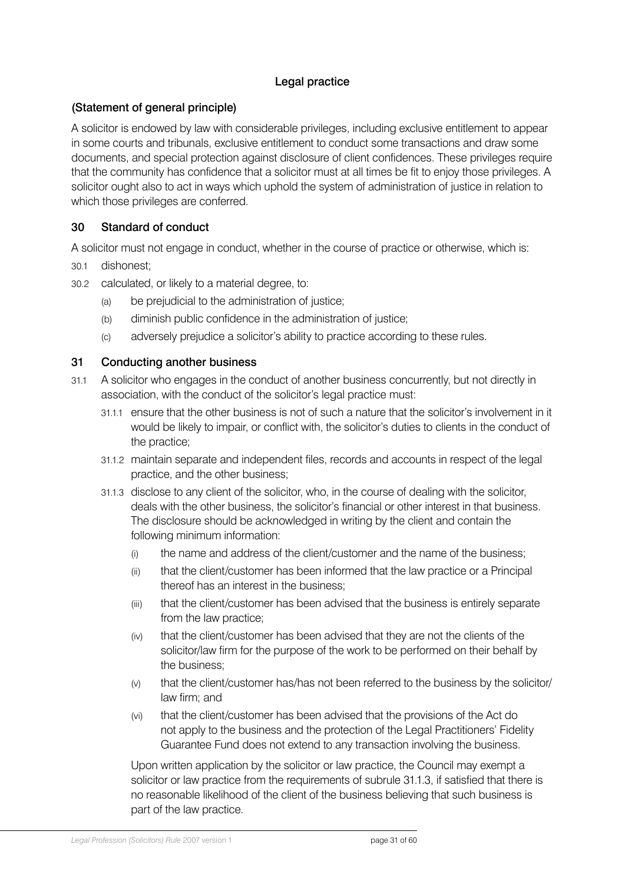# Legal practice

# <span id="page-30-0"></span>(Statement of general principle)

A solicitor is endowed by law with considerable privileges, including exclusive entitlement to appear in some courts and tribunals, exclusive entitlement to conduct some transactions and draw some documents, and special protection against disclosure of client confidences. These privileges require that the community has confidence that a solicitor must at all times be fit to enjoy those privileges. A solicitor ought also to act in ways which uphold the system of administration of justice in relation to which those privileges are conferred.

### 30 Standard of conduct

A solicitor must not engage in conduct, whether in the course of practice or otherwise, which is:

- 30.1 dishonest;
- 30.2 calculated, or likely to a material degree, to:
	- (a) be prejudicial to the administration of justice;
	- (b) diminish public confidence in the administration of justice;
	- (c) adversely prejudice a solicitor's ability to practice according to these rules.

### 31 Conducting another business

- 31.1 A solicitor who engages in the conduct of another business concurrently, but not directly in association, with the conduct of the solicitor's legal practice must:
	- 31.1.1 ensure that the other business is not of such a nature that the solicitor's involvement in it would be likely to impair, or conflict with, the solicitor's duties to clients in the conduct of the practice;
	- 31.1.2 maintain separate and independent files, records and accounts in respect of the legal practice, and the other business;
	- 31.1.3 disclose to any client of the solicitor, who, in the course of dealing with the solicitor, deals with the other business, the solicitor's financial or other interest in that business. The disclosure should be acknowledged in writing by the client and contain the following minimum information:
		- (i) the name and address of the client/customer and the name of the business;
		- (ii) that the client/customer has been informed that the law practice or a Principal thereof has an interest in the business;
		- (iii) that the client/customer has been advised that the business is entirely separate from the law practice;
		- (iv) that the client/customer has been advised that they are not the clients of the solicitor/law firm for the purpose of the work to be performed on their behalf by the business;
		- (v) that the client/customer has/has not been referred to the business by the solicitor/ law firm; and
		- (vi) that the client/customer has been advised that the provisions of the Act do not apply to the business and the protection of the Legal Practitioners' Fidelity Guarantee Fund does not extend to any transaction involving the business.

Upon written application by the solicitor or law practice, the Council may exempt a solicitor or law practice from the requirements of subrule 31.1.3, if satisfied that there is no reasonable likelihood of the client of the business believing that such business is part of the law practice.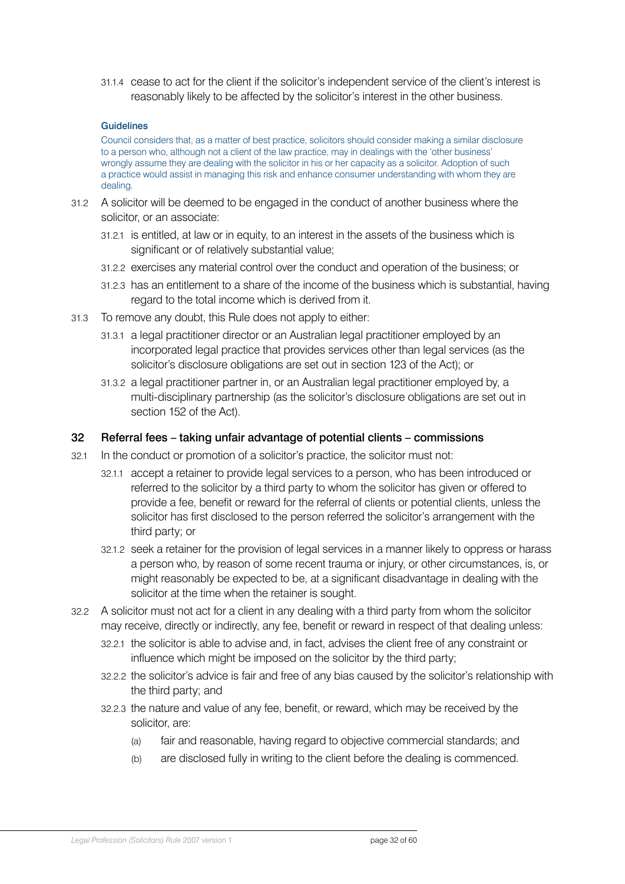<span id="page-31-0"></span>31.1.4 cease to act for the client if the solicitor's independent service of the client's interest is reasonably likely to be affected by the solicitor's interest in the other business.

#### Guidelines

Council considers that, as a matter of best practice, solicitors should consider making a similar disclosure to a person who, although not a client of the law practice, may in dealings with the 'other business' wrongly assume they are dealing with the solicitor in his or her capacity as a solicitor. Adoption of such a practice would assist in managing this risk and enhance consumer understanding with whom they are dealing.

- 31.2 A solicitor will be deemed to be engaged in the conduct of another business where the solicitor, or an associate:
	- 31.2.1 is entitled, at law or in equity, to an interest in the assets of the business which is significant or of relatively substantial value;
	- 31.2.2 exercises any material control over the conduct and operation of the business; or
	- 31.2.3 has an entitlement to a share of the income of the business which is substantial, having regard to the total income which is derived from it.
- 31.3 To remove any doubt, this Rule does not apply to either:
	- 31.3.1 a legal practitioner director or an Australian legal practitioner employed by an incorporated legal practice that provides services other than legal services (as the solicitor's disclosure obligations are set out in section 123 of the Act); or
	- 31.3.2 a legal practitioner partner in, or an Australian legal practitioner employed by, a multi-disciplinary partnership (as the solicitor's disclosure obligations are set out in section 152 of the Act).

#### 32 Referral fees – taking unfair advantage of potential clients – commissions

- 32.1 In the conduct or promotion of a solicitor's practice, the solicitor must not:
	- 32.1.1 accept a retainer to provide legal services to a person, who has been introduced or referred to the solicitor by a third party to whom the solicitor has given or offered to provide a fee, benefit or reward for the referral of clients or potential clients, unless the solicitor has first disclosed to the person referred the solicitor's arrangement with the third party; or
	- 32.1.2 seek a retainer for the provision of legal services in a manner likely to oppress or harass a person who, by reason of some recent trauma or injury, or other circumstances, is, or might reasonably be expected to be, at a significant disadvantage in dealing with the solicitor at the time when the retainer is sought.
- 32.2 A solicitor must not act for a client in any dealing with a third party from whom the solicitor may receive, directly or indirectly, any fee, benefit or reward in respect of that dealing unless:
	- 32.2.1 the solicitor is able to advise and, in fact, advises the client free of any constraint or influence which might be imposed on the solicitor by the third party;
	- 32.2.2 the solicitor's advice is fair and free of any bias caused by the solicitor's relationship with the third party; and
	- 32.2.3 the nature and value of any fee, benefit, or reward, which may be received by the solicitor, are:
		- (a) fair and reasonable, having regard to objective commercial standards; and
		- (b) are disclosed fully in writing to the client before the dealing is commenced.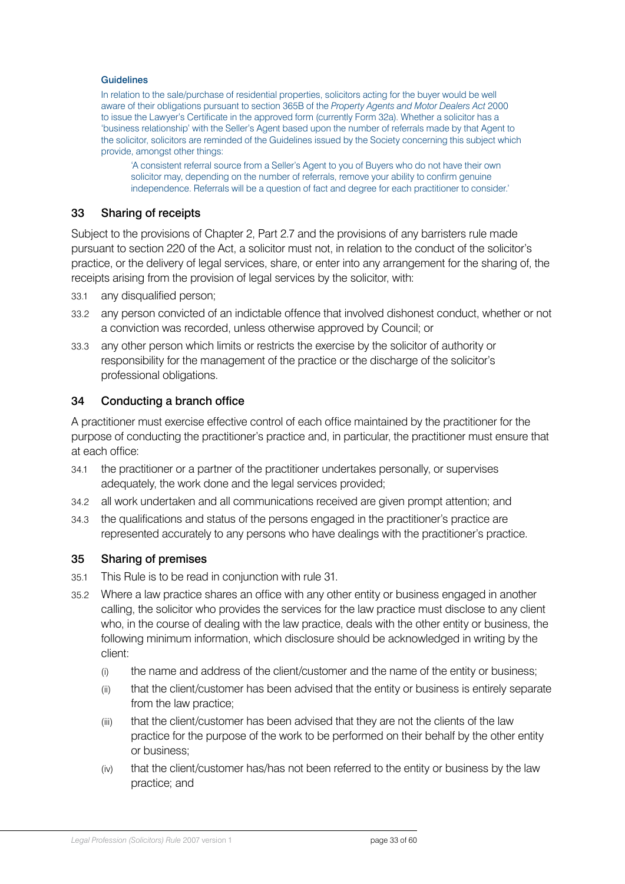#### <span id="page-32-0"></span>**Guidelines**

In relation to the sale/purchase of residential properties, solicitors acting for the buyer would be well aware of their obligations pursuant to section 365B of the *Property Agents and Motor Dealers Act* 2000 to issue the Lawyer's Certificate in the approved form (currently Form 32a). Whether a solicitor has a 'business relationship' with the Seller's Agent based upon the number of referrals made by that Agent to the solicitor, solicitors are reminded of the Guidelines issued by the Society concerning this subject which provide, amongst other things:

'A consistent referral source from a Seller's Agent to you of Buyers who do not have their own solicitor may, depending on the number of referrals, remove your ability to confirm genuine independence. Referrals will be a question of fact and degree for each practitioner to consider.'

### 33 Sharing of receipts

Subject to the provisions of Chapter 2, Part 2.7 and the provisions of any barristers rule made pursuant to section 220 of the Act, a solicitor must not, in relation to the conduct of the solicitor's practice, or the delivery of legal services, share, or enter into any arrangement for the sharing of, the receipts arising from the provision of legal services by the solicitor, with:

- 33.1 any disqualified person;
- 33.2 any person convicted of an indictable offence that involved dishonest conduct, whether or not a conviction was recorded, unless otherwise approved by Council; or
- 33.3 any other person which limits or restricts the exercise by the solicitor of authority or responsibility for the management of the practice or the discharge of the solicitor's professional obligations.

### 34 Conducting a branch office

A practitioner must exercise effective control of each office maintained by the practitioner for the purpose of conducting the practitioner's practice and, in particular, the practitioner must ensure that at each office:

- 34.1 the practitioner or a partner of the practitioner undertakes personally, or supervises adequately, the work done and the legal services provided;
- 34.2 all work undertaken and all communications received are given prompt attention; and
- 34.3 the qualifications and status of the persons engaged in the practitioner's practice are represented accurately to any persons who have dealings with the practitioner's practice.

### 35 Sharing of premises

- 35.1 This Rule is to be read in conjunction with rule 31.
- 35.2 Where a law practice shares an office with any other entity or business engaged in another calling, the solicitor who provides the services for the law practice must disclose to any client who, in the course of dealing with the law practice, deals with the other entity or business, the following minimum information, which disclosure should be acknowledged in writing by the client:
	- (i) the name and address of the client/customer and the name of the entity or business;
	- (ii) that the client/customer has been advised that the entity or business is entirely separate from the law practice;
	- (iii) that the client/customer has been advised that they are not the clients of the law practice for the purpose of the work to be performed on their behalf by the other entity or business;
	- (iv) that the client/customer has/has not been referred to the entity or business by the law practice; and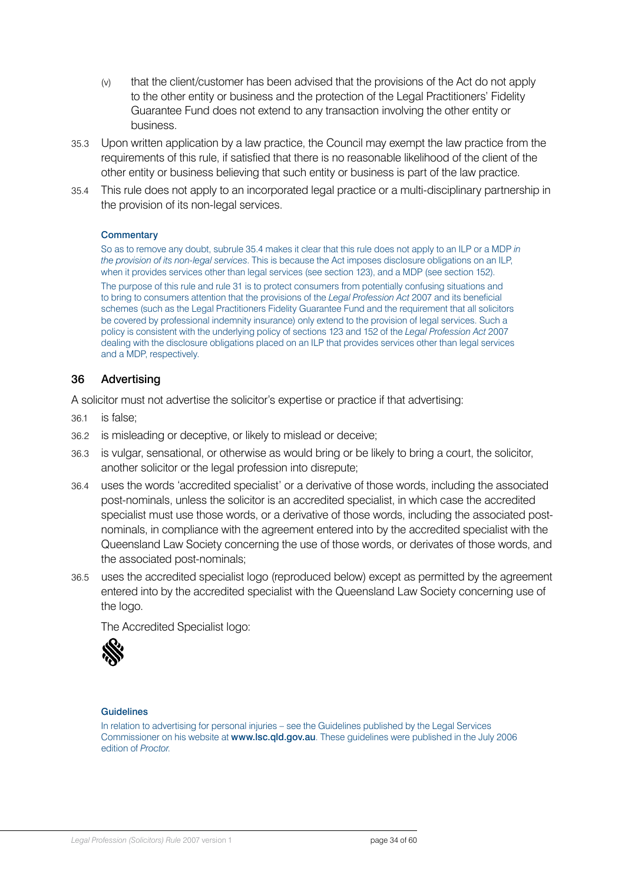- <span id="page-33-0"></span>(v) that the client/customer has been advised that the provisions of the Act do not apply to the other entity or business and the protection of the Legal Practitioners' Fidelity Guarantee Fund does not extend to any transaction involving the other entity or business.
- 35.3 Upon written application by a law practice, the Council may exempt the law practice from the requirements of this rule, if satisfied that there is no reasonable likelihood of the client of the other entity or business believing that such entity or business is part of the law practice.
- 35.4 This rule does not apply to an incorporated legal practice or a multi-disciplinary partnership in the provision of its non-legal services.

#### **Commentary**

So as to remove any doubt, subrule 35.4 makes it clear that this rule does not apply to an ILP or a MDP *in the provision of its non-legal services*. This is because the Act imposes disclosure obligations on an ILP, when it provides services other than legal services (see section 123), and a MDP (see section 152). The purpose of this rule and rule 31 is to protect consumers from potentially confusing situations and to bring to consumers attention that the provisions of the *Legal Profession Act* 2007 and its beneficial schemes (such as the Legal Practitioners Fidelity Guarantee Fund and the requirement that all solicitors be covered by professional indemnity insurance) only extend to the provision of legal services. Such a policy is consistent with the underlying policy of sections 123 and 152 of the *Legal Profession Act* 2007 dealing with the disclosure obligations placed on an ILP that provides services other than legal services and a MDP, respectively.

### 36 Advertising

A solicitor must not advertise the solicitor's expertise or practice if that advertising:

- 36.1 is false;
- 36.2 is misleading or deceptive, or likely to mislead or deceive;
- 36.3 is vulgar, sensational, or otherwise as would bring or be likely to bring a court, the solicitor, another solicitor or the legal profession into disrepute;
- 36.4 uses the words 'accredited specialist' or a derivative of those words, including the associated post-nominals, unless the solicitor is an accredited specialist, in which case the accredited specialist must use those words, or a derivative of those words, including the associated postnominals, in compliance with the agreement entered into by the accredited specialist with the Queensland Law Society concerning the use of those words, or derivates of those words, and the associated post-nominals;
- 36.5 uses the accredited specialist logo (reproduced below) except as permitted by the agreement entered into by the accredited specialist with the Queensland Law Society concerning use of the logo.

The Accredited Specialist logo:



#### **Guidelines**

In relation to advertising for personal injuries – see the Guidelines published by the Legal Services Commissioner on his website at www.lsc.qld.gov.au. These guidelines were published in the July 2006 edition of *Proctor*.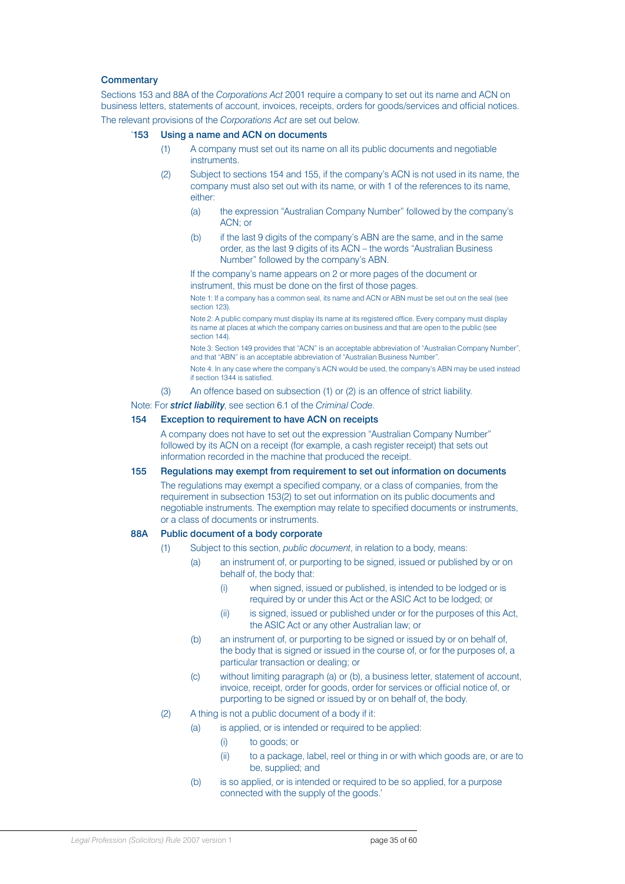#### **Commentary**

Sections 153 and 88A of the *Corporations Act* 2001 require a company to set out its name and ACN on business letters, statements of account, invoices, receipts, orders for goods/services and official notices.

The relevant provisions of the *Corporations Act* are set out below.

#### '153 Using a name and ACN on documents

- (1) A company must set out its name on all its public documents and negotiable instruments.
- (2) Subject to sections 154 and 155, if the company's ACN is not used in its name, the company must also set out with its name, or with 1 of the references to its name, either:
	- (a) the expression "Australian Company Number" followed by the company's ACN; or
	- (b) if the last 9 digits of the company's ABN are the same, and in the same order, as the last 9 digits of its ACN – the words "Australian Business Number" followed by the company's ABN.

If the company's name appears on 2 or more pages of the document or instrument, this must be done on the first of those pages.

Note 1: If a company has a common seal, its name and ACN or ABN must be set out on the seal (see section 123)

Note 2: A public company must display its name at its registered office. Every company must display its name at places at which the company carries on business and that are open to the public (see section 144).

Note 3: Section 149 provides that "ACN" is an acceptable abbreviation of "Australian Company Number", and that "ABN" is an acceptable abbreviation of "Australian Business Number".

Note 4: In any case where the company's ACN would be used, the company's ABN may be used instead if section 1344 is satisfied.

(3) An offence based on subsection (1) or (2) is an offence of strict liability.

#### Note: For *strict liability*, see section 6.1 of the *Criminal Code*.

#### 154 Exception to requirement to have ACN on receipts

A company does not have to set out the expression "Australian Company Number" followed by its ACN on a receipt (for example, a cash register receipt) that sets out information recorded in the machine that produced the receipt.

#### 155 Regulations may exempt from requirement to set out information on documents

The regulations may exempt a specified company, or a class of companies, from the requirement in subsection 153(2) to set out information on its public documents and negotiable instruments. The exemption may relate to specified documents or instruments, or a class of documents or instruments.

#### 88A Public document of a body corporate

- Subject to this section, *public document*, in relation to a body, means:
	- (a) an instrument of, or purporting to be signed, issued or published by or on behalf of, the body that:
		- (i) when signed, issued or published, is intended to be lodged or is required by or under this Act or the ASIC Act to be lodged; or
		- (ii) is signed, issued or published under or for the purposes of this Act, the ASIC Act or any other Australian law; or
	- (b) an instrument of, or purporting to be signed or issued by or on behalf of, the body that is signed or issued in the course of, or for the purposes of, a particular transaction or dealing; or
	- (c) without limiting paragraph (a) or (b), a business letter, statement of account, invoice, receipt, order for goods, order for services or official notice of, or purporting to be signed or issued by or on behalf of, the body.
- (2) A thing is not a public document of a body if it:
	- (a) is applied, or is intended or required to be applied:
		- (i) to goods; or
		- (ii) to a package, label, reel or thing in or with which goods are, or are to be, supplied; and
	- (b) is so applied, or is intended or required to be so applied, for a purpose connected with the supply of the goods.'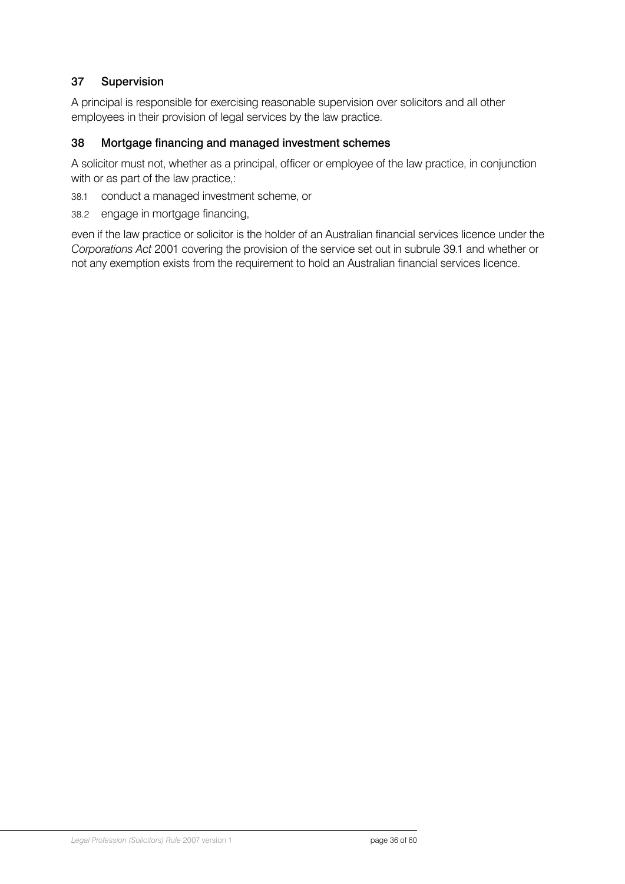# <span id="page-35-0"></span>37 Supervision

A principal is responsible for exercising reasonable supervision over solicitors and all other employees in their provision of legal services by the law practice.

### 38 Mortgage financing and managed investment schemes

A solicitor must not, whether as a principal, officer or employee of the law practice, in conjunction with or as part of the law practice,:

- 38.1 conduct a managed investment scheme, or
- 38.2 engage in mortgage financing,

even if the law practice or solicitor is the holder of an Australian financial services licence under the *Corporations Act* 2001 covering the provision of the service set out in subrule 39.1 and whether or not any exemption exists from the requirement to hold an Australian financial services licence.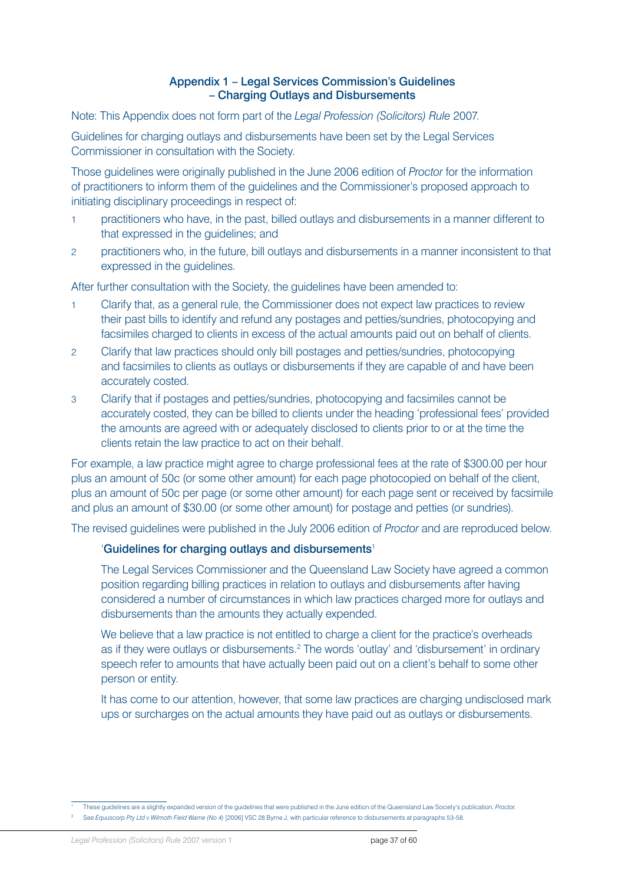#### Appendix 1 – Legal Services Commission's Guidelines – Charging Outlays and Disbursements

<span id="page-36-0"></span>Note: This Appendix does not form part of the *Legal Profession (Solicitors) Rule* 2007.

Guidelines for charging outlays and disbursements have been set by the Legal Services Commissioner in consultation with the Society.

Those guidelines were originally published in the June 2006 edition of *Proctor* for the information of practitioners to inform them of the guidelines and the Commissioner's proposed approach to initiating disciplinary proceedings in respect of:

- 1 practitioners who have, in the past, billed outlays and disbursements in a manner different to that expressed in the guidelines; and
- 2 practitioners who, in the future, bill outlays and disbursements in a manner inconsistent to that expressed in the guidelines.

After further consultation with the Society, the guidelines have been amended to:

- 1 Clarify that, as a general rule, the Commissioner does not expect law practices to review their past bills to identify and refund any postages and petties/sundries, photocopying and facsimiles charged to clients in excess of the actual amounts paid out on behalf of clients.
- 2 Clarify that law practices should only bill postages and petties/sundries, photocopying and facsimiles to clients as outlays or disbursements if they are capable of and have been accurately costed.
- 3 Clarify that if postages and petties/sundries, photocopying and facsimiles cannot be accurately costed, they can be billed to clients under the heading 'professional fees' provided the amounts are agreed with or adequately disclosed to clients prior to or at the time the clients retain the law practice to act on their behalf.

For example, a law practice might agree to charge professional fees at the rate of \$300.00 per hour plus an amount of 50c (or some other amount) for each page photocopied on behalf of the client, plus an amount of 50c per page (or some other amount) for each page sent or received by facsimile and plus an amount of \$30.00 (or some other amount) for postage and petties (or sundries).

The revised guidelines were published in the July 2006 edition of *Proctor* and are reproduced below.

#### 'Guidelines for charging outlays and disbursements<sup>1</sup>

The Legal Services Commissioner and the Queensland Law Society have agreed a common position regarding billing practices in relation to outlays and disbursements after having considered a number of circumstances in which law practices charged more for outlays and disbursements than the amounts they actually expended.

We believe that a law practice is not entitled to charge a client for the practice's overheads as if they were outlays or disbursements.<sup>2</sup> The words 'outlay' and 'disbursement' in ordinary speech refer to amounts that have actually been paid out on a client's behalf to some other person or entity.

It has come to our attention, however, that some law practices are charging undisclosed mark ups or surcharges on the actual amounts they have paid out as outlays or disbursements.

<sup>1</sup> These guidelines are a slightly expanded version of the guidelines that were published in the June edition of the Queensland Law Society's publication, *Proctor*.

<sup>2</sup> See *Equuscorp Pty Ltd v Wilmoth Field Warne (No 4)* [2006] VSC 28 Byrne J, with particular reference to disbursements at paragraphs 53-58.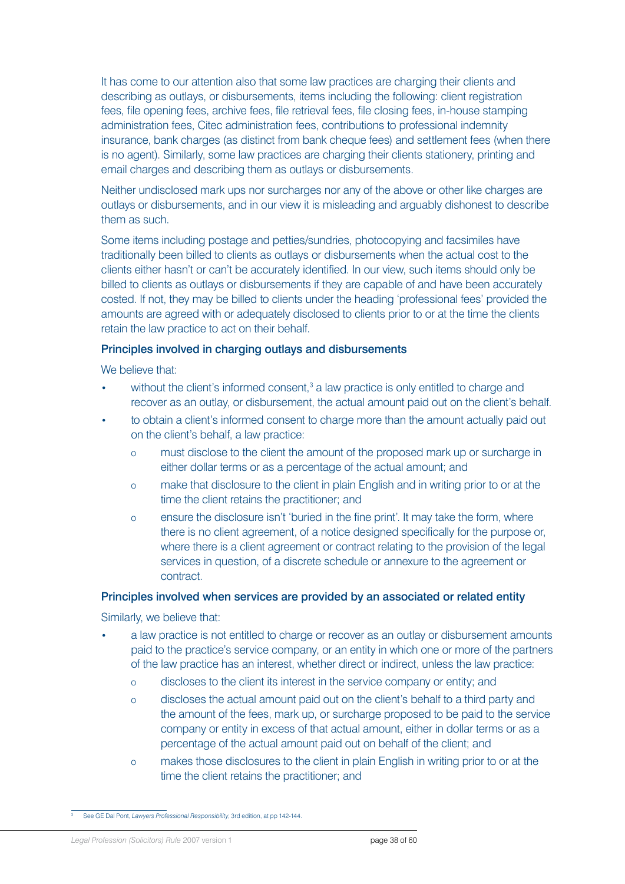It has come to our attention also that some law practices are charging their clients and describing as outlays, or disbursements, items including the following: client registration fees, file opening fees, archive fees, file retrieval fees, file closing fees, in-house stamping administration fees, Citec administration fees, contributions to professional indemnity insurance, bank charges (as distinct from bank cheque fees) and settlement fees (when there is no agent). Similarly, some law practices are charging their clients stationery, printing and email charges and describing them as outlays or disbursements.

Neither undisclosed mark ups nor surcharges nor any of the above or other like charges are outlays or disbursements, and in our view it is misleading and arguably dishonest to describe them as such.

Some items including postage and petties/sundries, photocopying and facsimiles have traditionally been billed to clients as outlays or disbursements when the actual cost to the clients either hasn't or can't be accurately identified. In our view, such items should only be billed to clients as outlays or disbursements if they are capable of and have been accurately costed. If not, they may be billed to clients under the heading 'professional fees' provided the amounts are agreed with or adequately disclosed to clients prior to or at the time the clients retain the law practice to act on their behalf.

#### Principles involved in charging outlays and disbursements

We believe that:

- $\bullet$  without the client's informed consent,<sup>3</sup> a law practice is only entitled to charge and recover as an outlay, or disbursement, the actual amount paid out on the client's behalf.
- to obtain a client's informed consent to charge more than the amount actually paid out on the client's behalf, a law practice:
	- o must disclose to the client the amount of the proposed mark up or surcharge in either dollar terms or as a percentage of the actual amount; and
	- o make that disclosure to the client in plain English and in writing prior to or at the time the client retains the practitioner; and
	- o ensure the disclosure isn't 'buried in the fine print'. It may take the form, where there is no client agreement, of a notice designed specifically for the purpose or, where there is a client agreement or contract relating to the provision of the legal services in question, of a discrete schedule or annexure to the agreement or contract.

#### Principles involved when services are provided by an associated or related entity

Similarly, we believe that:

- a law practice is not entitled to charge or recover as an outlay or disbursement amounts paid to the practice's service company, or an entity in which one or more of the partners of the law practice has an interest, whether direct or indirect, unless the law practice:
	- o discloses to the client its interest in the service company or entity; and
	- o discloses the actual amount paid out on the client's behalf to a third party and the amount of the fees, mark up, or surcharge proposed to be paid to the service company or entity in excess of that actual amount, either in dollar terms or as a percentage of the actual amount paid out on behalf of the client; and
	- o makes those disclosures to the client in plain English in writing prior to or at the time the client retains the practitioner; and

<sup>3</sup> See GE Dal Pont, *Lawyers Professional Responsibility*, 3rd edition, at pp 142-144.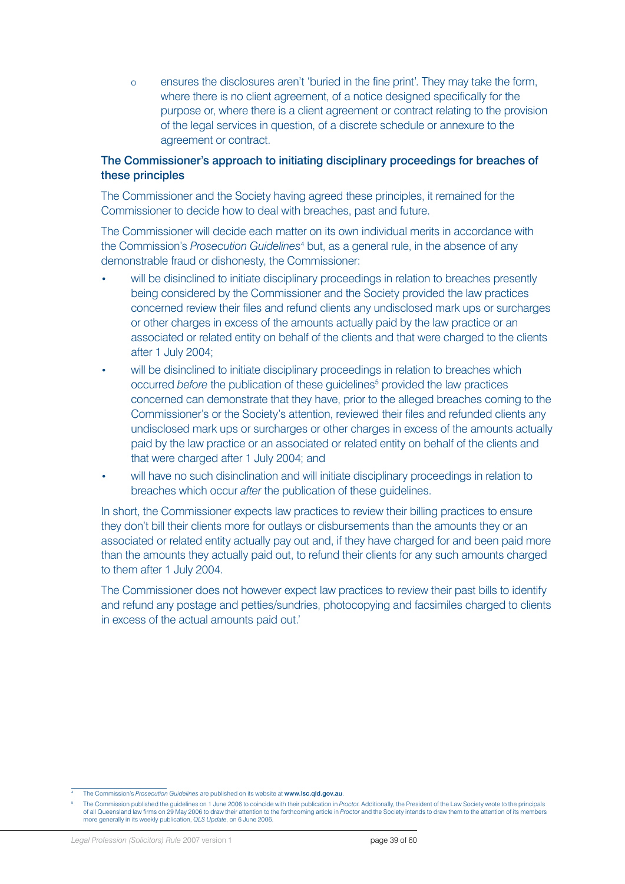o ensures the disclosures aren't 'buried in the fine print'. They may take the form, where there is no client agreement, of a notice designed specifically for the purpose or, where there is a client agreement or contract relating to the provision of the legal services in question, of a discrete schedule or annexure to the agreement or contract.

### The Commissioner's approach to initiating disciplinary proceedings for breaches of these principles

The Commissioner and the Society having agreed these principles, it remained for the Commissioner to decide how to deal with breaches, past and future.

The Commissioner will decide each matter on its own individual merits in accordance with the Commission's *Prosecution Guidelines*<sup>4</sup> but, as a general rule, in the absence of any demonstrable fraud or dishonesty, the Commissioner:

- will be disinclined to initiate disciplinary proceedings in relation to breaches presently being considered by the Commissioner and the Society provided the law practices concerned review their files and refund clients any undisclosed mark ups or surcharges or other charges in excess of the amounts actually paid by the law practice or an associated or related entity on behalf of the clients and that were charged to the clients after 1 July 2004;
- will be disinclined to initiate disciplinary proceedings in relation to breaches which occurred before the publication of these guidelines<sup>5</sup> provided the law practices concerned can demonstrate that they have, prior to the alleged breaches coming to the Commissioner's or the Society's attention, reviewed their files and refunded clients any undisclosed mark ups or surcharges or other charges in excess of the amounts actually paid by the law practice or an associated or related entity on behalf of the clients and that were charged after 1 July 2004; and
- will have no such disinclination and will initiate disciplinary proceedings in relation to breaches which occur *after* the publication of these guidelines.

In short, the Commissioner expects law practices to review their billing practices to ensure they don't bill their clients more for outlays or disbursements than the amounts they or an associated or related entity actually pay out and, if they have charged for and been paid more than the amounts they actually paid out, to refund their clients for any such amounts charged to them after 1 July 2004.

The Commissioner does not however expect law practices to review their past bills to identify and refund any postage and petties/sundries, photocopying and facsimiles charged to clients in excess of the actual amounts paid out.'

<sup>4</sup> The Commission's *Prosecution Guidelines* are published on its website at www.lsc.qld.gov.au.

<sup>5</sup> The Commission published the guidelines on 1 June 2006 to coincide with their publication in *Proctor*. Additionally, the President of the Law Society wrote to the principals of all Queensland law firms on 29 May 2006 to draw their attention to the forthcoming article in *Proctor* and the Society intends to draw them to the attention of its members more generally in its weekly publication, *QLS Update*, on 6 June 2006.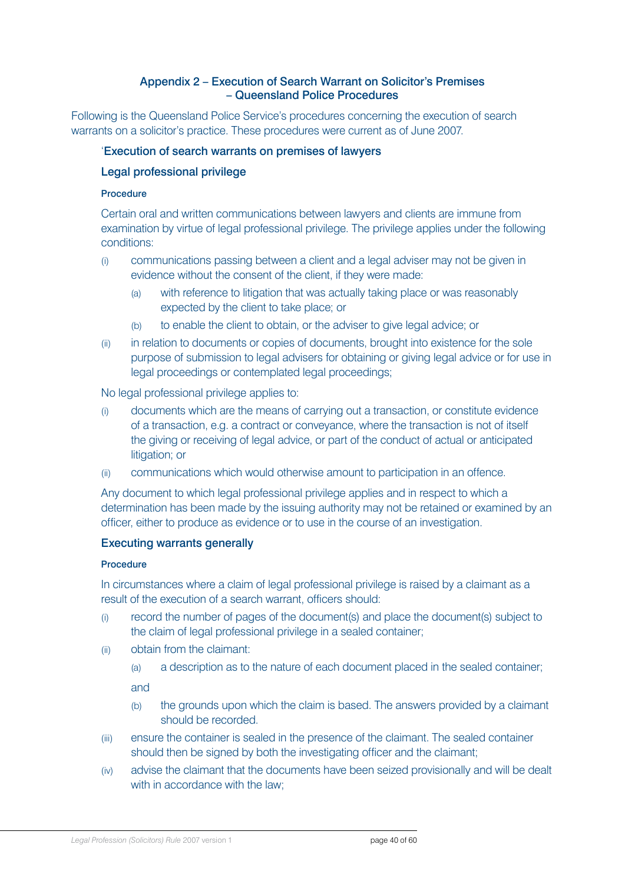### Appendix 2 – Execution of Search Warrant on Solicitor's Premises – Queensland Police Procedures

<span id="page-39-0"></span>Following is the Queensland Police Service's procedures concerning the execution of search warrants on a solicitor's practice. These procedures were current as of June 2007.

### 'Execution of search warrants on premises of lawyers

### Legal professional privilege

#### Procedure

Certain oral and written communications between lawyers and clients are immune from examination by virtue of legal professional privilege. The privilege applies under the following conditions:

- (i) communications passing between a client and a legal adviser may not be given in evidence without the consent of the client, if they were made:
	- (a) with reference to litigation that was actually taking place or was reasonably expected by the client to take place; or
	- (b) to enable the client to obtain, or the adviser to give legal advice; or
- (ii) in relation to documents or copies of documents, brought into existence for the sole purpose of submission to legal advisers for obtaining or giving legal advice or for use in legal proceedings or contemplated legal proceedings;

#### No legal professional privilege applies to:

- (i) documents which are the means of carrying out a transaction, or constitute evidence of a transaction, e.g. a contract or conveyance, where the transaction is not of itself the giving or receiving of legal advice, or part of the conduct of actual or anticipated litigation; or
- (ii) communications which would otherwise amount to participation in an offence.

Any document to which legal professional privilege applies and in respect to which a determination has been made by the issuing authority may not be retained or examined by an officer, either to produce as evidence or to use in the course of an investigation.

#### Executing warrants generally

#### **Procedure**

In circumstances where a claim of legal professional privilege is raised by a claimant as a result of the execution of a search warrant, officers should:

- (i) record the number of pages of the document(s) and place the document(s) subject to the claim of legal professional privilege in a sealed container;
- (ii) obtain from the claimant:
	- (a) a description as to the nature of each document placed in the sealed container;

and

- (b) the grounds upon which the claim is based. The answers provided by a claimant should be recorded.
- (iii) ensure the container is sealed in the presence of the claimant. The sealed container should then be signed by both the investigating officer and the claimant;
- (iv) advise the claimant that the documents have been seized provisionally and will be dealt with in accordance with the law: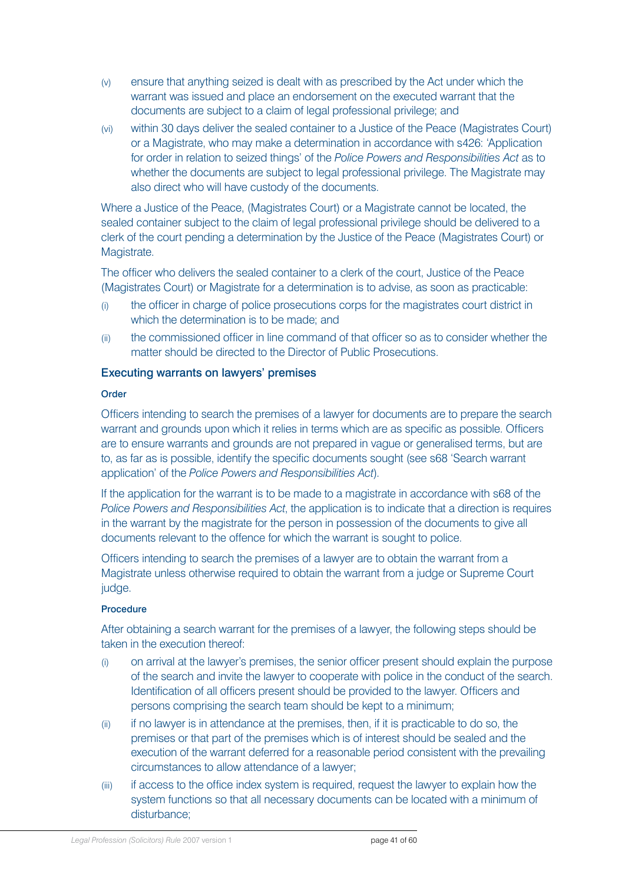- (v) ensure that anything seized is dealt with as prescribed by the Act under which the warrant was issued and place an endorsement on the executed warrant that the documents are subject to a claim of legal professional privilege; and
- (vi) within 30 days deliver the sealed container to a Justice of the Peace (Magistrates Court) or a Magistrate, who may make a determination in accordance with s426: 'Application for order in relation to seized things' of the *Police Powers and Responsibilities Act* as to whether the documents are subject to legal professional privilege. The Magistrate may also direct who will have custody of the documents.

Where a Justice of the Peace, (Magistrates Court) or a Magistrate cannot be located, the sealed container subject to the claim of legal professional privilege should be delivered to a clerk of the court pending a determination by the Justice of the Peace (Magistrates Court) or Magistrate.

The officer who delivers the sealed container to a clerk of the court, Justice of the Peace (Magistrates Court) or Magistrate for a determination is to advise, as soon as practicable:

- (i) the officer in charge of police prosecutions corps for the magistrates court district in which the determination is to be made; and
- (ii) the commissioned officer in line command of that officer so as to consider whether the matter should be directed to the Director of Public Prosecutions.

#### Executing warrants on lawyers' premises

#### **Order**

Officers intending to search the premises of a lawyer for documents are to prepare the search warrant and grounds upon which it relies in terms which are as specific as possible. Officers are to ensure warrants and grounds are not prepared in vague or generalised terms, but are to, as far as is possible, identify the specific documents sought (see s68 'Search warrant application' of the *Police Powers and Responsibilities Act*).

If the application for the warrant is to be made to a magistrate in accordance with s68 of the *Police Powers and Responsibilities Act*, the application is to indicate that a direction is requires in the warrant by the magistrate for the person in possession of the documents to give all documents relevant to the offence for which the warrant is sought to police.

Officers intending to search the premises of a lawyer are to obtain the warrant from a Magistrate unless otherwise required to obtain the warrant from a judge or Supreme Court judge.

#### Procedure

After obtaining a search warrant for the premises of a lawyer, the following steps should be taken in the execution thereof:

- (i) on arrival at the lawyer's premises, the senior officer present should explain the purpose of the search and invite the lawyer to cooperate with police in the conduct of the search. Identification of all officers present should be provided to the lawyer. Officers and persons comprising the search team should be kept to a minimum;
- (ii) if no lawyer is in attendance at the premises, then, if it is practicable to do so, the premises or that part of the premises which is of interest should be sealed and the execution of the warrant deferred for a reasonable period consistent with the prevailing circumstances to allow attendance of a lawyer;
- (iii) if access to the office index system is required, request the lawyer to explain how the system functions so that all necessary documents can be located with a minimum of disturbance;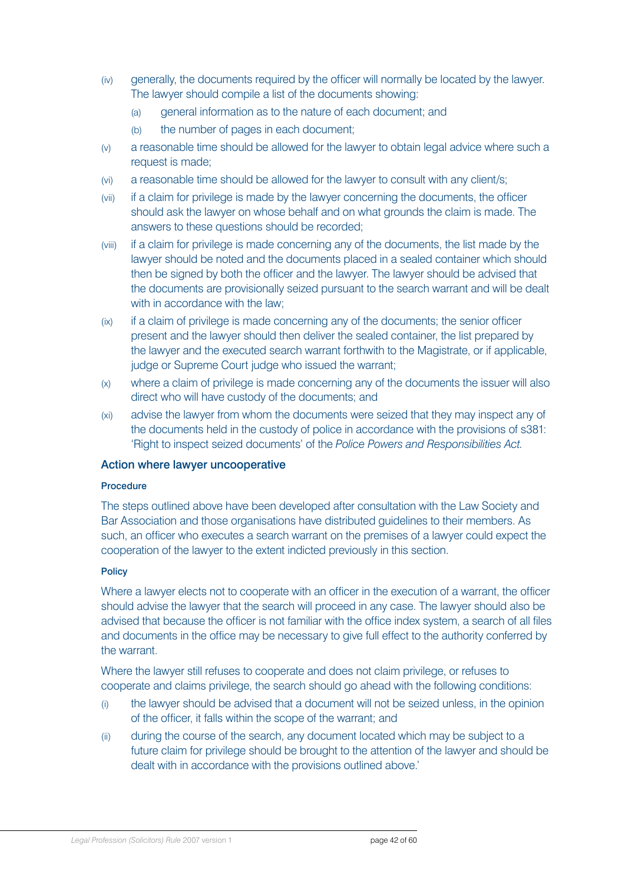- (iv) generally, the documents required by the officer will normally be located by the lawyer. The lawyer should compile a list of the documents showing:
	- (a) general information as to the nature of each document; and
	- (b) the number of pages in each document;
- (v) a reasonable time should be allowed for the lawyer to obtain legal advice where such a request is made;
- (vi) a reasonable time should be allowed for the lawyer to consult with any client/s;
- (vii) if a claim for privilege is made by the lawyer concerning the documents, the officer should ask the lawyer on whose behalf and on what grounds the claim is made. The answers to these questions should be recorded;
- (viii) if a claim for privilege is made concerning any of the documents, the list made by the lawyer should be noted and the documents placed in a sealed container which should then be signed by both the officer and the lawyer. The lawyer should be advised that the documents are provisionally seized pursuant to the search warrant and will be dealt with in accordance with the law;
- (ix) if a claim of privilege is made concerning any of the documents; the senior officer present and the lawyer should then deliver the sealed container, the list prepared by the lawyer and the executed search warrant forthwith to the Magistrate, or if applicable, judge or Supreme Court judge who issued the warrant;
- (x) where a claim of privilege is made concerning any of the documents the issuer will also direct who will have custody of the documents; and
- (xi) advise the lawyer from whom the documents were seized that they may inspect any of the documents held in the custody of police in accordance with the provisions of s381: 'Right to inspect seized documents' of the *Police Powers and Responsibilities Act.*

#### Action where lawyer uncooperative

#### Procedure

The steps outlined above have been developed after consultation with the Law Society and Bar Association and those organisations have distributed guidelines to their members. As such, an officer who executes a search warrant on the premises of a lawyer could expect the cooperation of the lawyer to the extent indicted previously in this section.

#### **Policy**

Where a lawyer elects not to cooperate with an officer in the execution of a warrant, the officer should advise the lawyer that the search will proceed in any case. The lawyer should also be advised that because the officer is not familiar with the office index system, a search of all files and documents in the office may be necessary to give full effect to the authority conferred by the warrant.

Where the lawyer still refuses to cooperate and does not claim privilege, or refuses to cooperate and claims privilege, the search should go ahead with the following conditions:

- (i) the lawyer should be advised that a document will not be seized unless, in the opinion of the officer, it falls within the scope of the warrant; and
- (ii) during the course of the search, any document located which may be subject to a future claim for privilege should be brought to the attention of the lawyer and should be dealt with in accordance with the provisions outlined above.'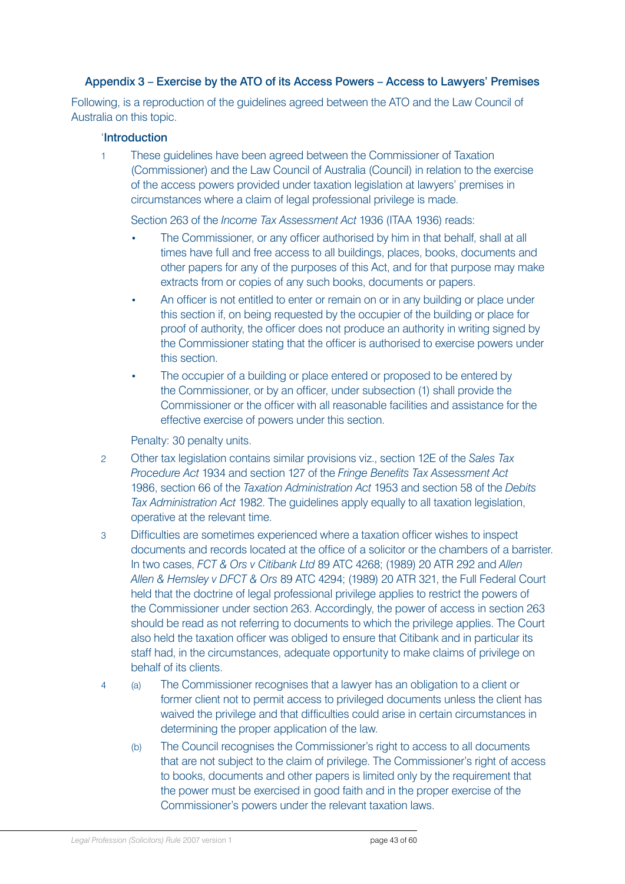### <span id="page-42-0"></span>Appendix 3 – Exercise by the ATO of its Access Powers – Access to Lawyers' Premises

Following, is a reproduction of the guidelines agreed between the ATO and the Law Council of Australia on this topic.

#### 'Introduction

1 These guidelines have been agreed between the Commissioner of Taxation (Commissioner) and the Law Council of Australia (Council) in relation to the exercise of the access powers provided under taxation legislation at lawyers' premises in circumstances where a claim of legal professional privilege is made.

Section 263 of the *Income Tax Assessment Act* 1936 (ITAA 1936) reads:

- The Commissioner, or any officer authorised by him in that behalf, shall at all times have full and free access to all buildings, places, books, documents and other papers for any of the purposes of this Act, and for that purpose may make extracts from or copies of any such books, documents or papers.
- An officer is not entitled to enter or remain on or in any building or place under this section if, on being requested by the occupier of the building or place for proof of authority, the officer does not produce an authority in writing signed by the Commissioner stating that the officer is authorised to exercise powers under this section.
- The occupier of a building or place entered or proposed to be entered by the Commissioner, or by an officer, under subsection (1) shall provide the Commissioner or the officer with all reasonable facilities and assistance for the effective exercise of powers under this section.

Penalty: 30 penalty units.

- 2 Other tax legislation contains similar provisions viz., section 12E of the *Sales Tax Procedure Act* 1934 and section 127 of the *Fringe Benefits Tax Assessment Act* 1986, section 66 of the *Taxation Administration Act* 1953 and section 58 of the *Debits Tax Administration Act* 1982. The guidelines apply equally to all taxation legislation, operative at the relevant time.
- 3 Difficulties are sometimes experienced where a taxation officer wishes to inspect documents and records located at the office of a solicitor or the chambers of a barrister. In two cases, *FCT & Ors v Citibank Ltd* 89 ATC 4268; (1989) 20 ATR 292 and *Allen Allen & Hemsley v DFCT & Ors* 89 ATC 4294; (1989) 20 ATR 321, the Full Federal Court held that the doctrine of legal professional privilege applies to restrict the powers of the Commissioner under section 263. Accordingly, the power of access in section 263 should be read as not referring to documents to which the privilege applies. The Court also held the taxation officer was obliged to ensure that Citibank and in particular its staff had, in the circumstances, adequate opportunity to make claims of privilege on behalf of its clients.
- 4 (a) The Commissioner recognises that a lawyer has an obligation to a client or former client not to permit access to privileged documents unless the client has waived the privilege and that difficulties could arise in certain circumstances in determining the proper application of the law.
	- (b) The Council recognises the Commissioner's right to access to all documents that are not subject to the claim of privilege. The Commissioner's right of access to books, documents and other papers is limited only by the requirement that the power must be exercised in good faith and in the proper exercise of the Commissioner's powers under the relevant taxation laws.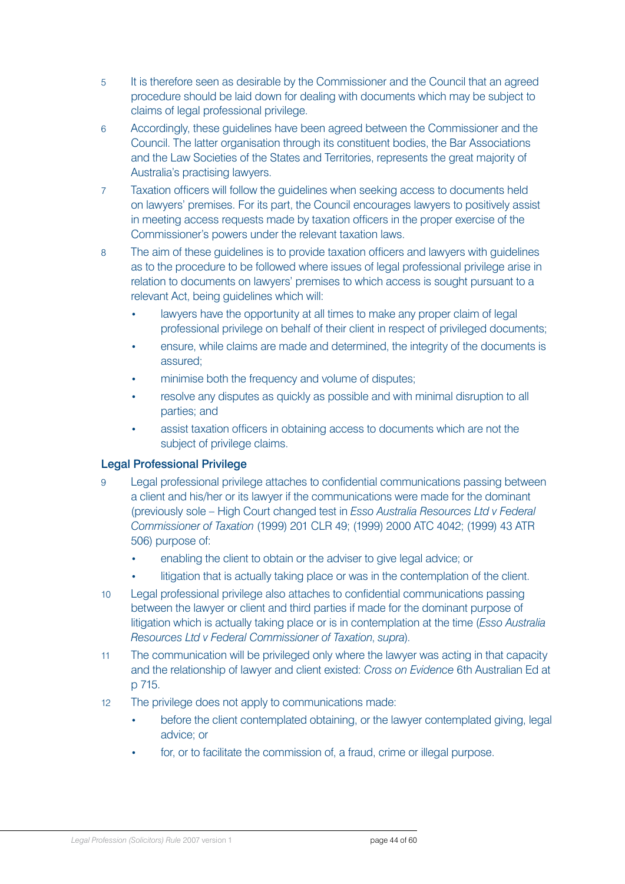- 5 It is therefore seen as desirable by the Commissioner and the Council that an agreed procedure should be laid down for dealing with documents which may be subject to claims of legal professional privilege.
- 6 Accordingly, these guidelines have been agreed between the Commissioner and the Council. The latter organisation through its constituent bodies, the Bar Associations and the Law Societies of the States and Territories, represents the great majority of Australia's practising lawyers.
- 7 Taxation officers will follow the guidelines when seeking access to documents held on lawyers' premises. For its part, the Council encourages lawyers to positively assist in meeting access requests made by taxation officers in the proper exercise of the Commissioner's powers under the relevant taxation laws.
- 8 The aim of these guidelines is to provide taxation officers and lawyers with guidelines as to the procedure to be followed where issues of legal professional privilege arise in relation to documents on lawyers' premises to which access is sought pursuant to a relevant Act, being guidelines which will:
	- lawyers have the opportunity at all times to make any proper claim of legal professional privilege on behalf of their client in respect of privileged documents;
	- ensure, while claims are made and determined, the integrity of the documents is assured;
	- minimise both the frequency and volume of disputes;
	- resolve any disputes as quickly as possible and with minimal disruption to all parties; and
	- assist taxation officers in obtaining access to documents which are not the subject of privilege claims.

### Legal Professional Privilege

- 9 Legal professional privilege attaches to confidential communications passing between a client and his/her or its lawyer if the communications were made for the dominant (previously sole – High Court changed test in *Esso Australia Resources Ltd v Federal Commissioner of Taxation* (1999) 201 CLR 49; (1999) 2000 ATC 4042; (1999) 43 ATR 506) purpose of:
	- enabling the client to obtain or the adviser to give legal advice; or
	- litigation that is actually taking place or was in the contemplation of the client.
- 10 Legal professional privilege also attaches to confidential communications passing between the lawyer or client and third parties if made for the dominant purpose of litigation which is actually taking place or is in contemplation at the time (*Esso Australia Resources Ltd v Federal Commissioner of Taxation*, *supra*).
- 11 The communication will be privileged only where the lawyer was acting in that capacity and the relationship of lawyer and client existed: *Cross on Evidence* 6th Australian Ed at p 715.
- 12 The privilege does not apply to communications made:
	- before the client contemplated obtaining, or the lawyer contemplated giving, legal advice; or
	- for, or to facilitate the commission of, a fraud, crime or illegal purpose.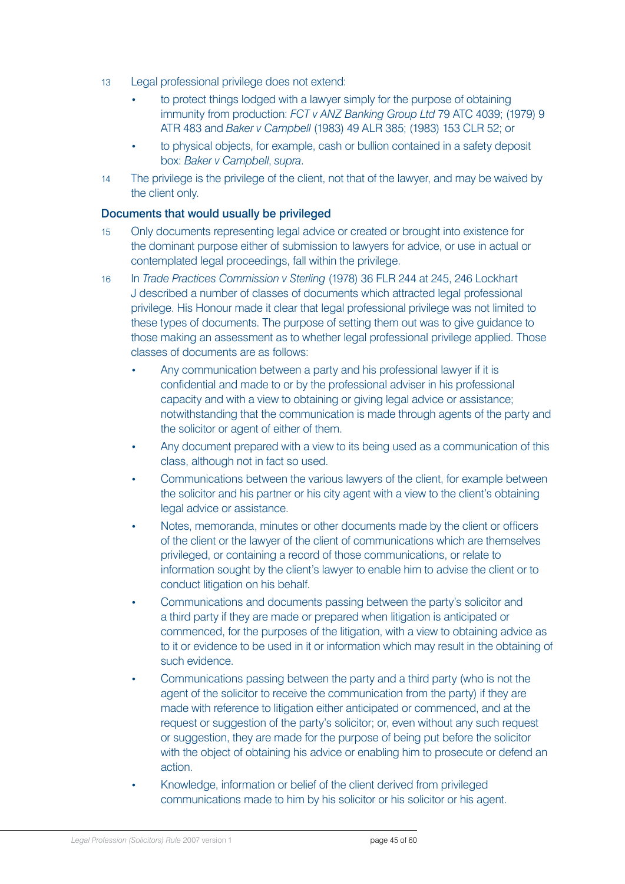- 13 Legal professional privilege does not extend:
	- to protect things lodged with a lawyer simply for the purpose of obtaining immunity from production: *FCT v ANZ Banking Group Ltd* 79 ATC 4039; (1979) 9 ATR 483 and *Baker v Campbell* (1983) 49 ALR 385; (1983) 153 CLR 52; or
	- to physical objects, for example, cash or bullion contained in a safety deposit box: *Baker v Campbell*, *supra*.
- 14 The privilege is the privilege of the client, not that of the lawyer, and may be waived by the client only.

### Documents that would usually be privileged

- 15 Only documents representing legal advice or created or brought into existence for the dominant purpose either of submission to lawyers for advice, or use in actual or contemplated legal proceedings, fall within the privilege.
- 16 In *Trade Practices Commission v Sterling* (1978) 36 FLR 244 at 245, 246 Lockhart J described a number of classes of documents which attracted legal professional privilege. His Honour made it clear that legal professional privilege was not limited to these types of documents. The purpose of setting them out was to give guidance to those making an assessment as to whether legal professional privilege applied. Those classes of documents are as follows:
	- Any communication between a party and his professional lawyer if it is confidential and made to or by the professional adviser in his professional capacity and with a view to obtaining or giving legal advice or assistance; notwithstanding that the communication is made through agents of the party and the solicitor or agent of either of them.
	- Any document prepared with a view to its being used as a communication of this class, although not in fact so used.
	- Communications between the various lawyers of the client, for example between the solicitor and his partner or his city agent with a view to the client's obtaining legal advice or assistance.
	- Notes, memoranda, minutes or other documents made by the client or officers of the client or the lawyer of the client of communications which are themselves privileged, or containing a record of those communications, or relate to information sought by the client's lawyer to enable him to advise the client or to conduct litigation on his behalf.
	- Communications and documents passing between the party's solicitor and a third party if they are made or prepared when litigation is anticipated or commenced, for the purposes of the litigation, with a view to obtaining advice as to it or evidence to be used in it or information which may result in the obtaining of such evidence.
	- Communications passing between the party and a third party (who is not the agent of the solicitor to receive the communication from the party) if they are made with reference to litigation either anticipated or commenced, and at the request or suggestion of the party's solicitor; or, even without any such request or suggestion, they are made for the purpose of being put before the solicitor with the object of obtaining his advice or enabling him to prosecute or defend an action.
	- Knowledge, information or belief of the client derived from privileged communications made to him by his solicitor or his solicitor or his agent.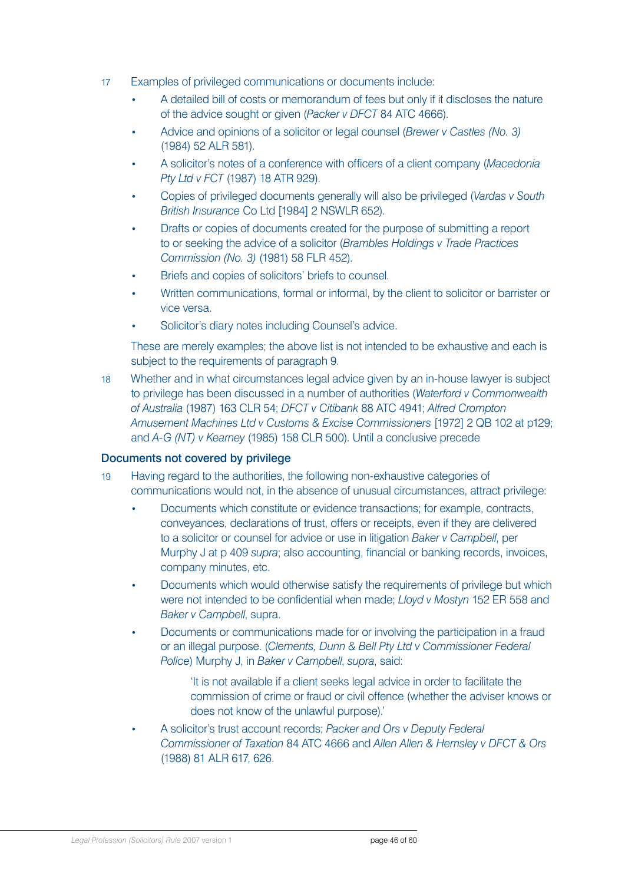- 17 Examples of privileged communications or documents include:
	- A detailed bill of costs or memorandum of fees but only if it discloses the nature of the advice sought or given (*Packer v DFCT* 84 ATC 4666).
	- Advice and opinions of a solicitor or legal counsel (*Brewer v Castles (No. 3)* (1984) 52 ALR 581).
	- A solicitor's notes of a conference with officers of a client company (*Macedonia Pty Ltd v FCT* (1987) 18 ATR 929).
	- Copies of privileged documents generally will also be privileged (*Vardas v South British Insurance* Co Ltd [1984] 2 NSWLR 652).
	- Drafts or copies of documents created for the purpose of submitting a report to or seeking the advice of a solicitor (*Brambles Holdings v Trade Practices Commission (No. 3)* (1981) 58 FLR 452).
	- Briefs and copies of solicitors' briefs to counsel.
	- Written communications, formal or informal, by the client to solicitor or barrister or vice versa.
	- Solicitor's diary notes including Counsel's advice.

These are merely examples; the above list is not intended to be exhaustive and each is subject to the requirements of paragraph 9.

18 Whether and in what circumstances legal advice given by an in-house lawyer is subject to privilege has been discussed in a number of authorities (*Waterford v Commonwealth of Australia* (1987) 163 CLR 54; *DFCT v Citibank* 88 ATC 4941; *Alfred Crompton Amusement Machines Ltd v Customs & Excise Commissioners* [1972] 2 QB 102 at p129; and *A-G (NT) v Kearney* (1985) 158 CLR 500). Until a conclusive precede

### Documents not covered by privilege

- 19 Having regard to the authorities, the following non-exhaustive categories of communications would not, in the absence of unusual circumstances, attract privilege:
	- Documents which constitute or evidence transactions; for example, contracts, conveyances, declarations of trust, offers or receipts, even if they are delivered to a solicitor or counsel for advice or use in litigation *Baker v Campbell*, per Murphy J at p 409 *supra*; also accounting, financial or banking records, invoices, company minutes, etc.
	- Documents which would otherwise satisfy the requirements of privilege but which were not intended to be confidential when made; *Lloyd v Mostyn* 152 ER 558 and *Baker v Campbell*, supra.
	- Documents or communications made for or involving the participation in a fraud or an illegal purpose. (*Clements, Dunn & Bell Pty Ltd v Commissioner Federal Police*) Murphy J, in *Baker v Campbell*, *supra*, said:
		- 'It is not available if a client seeks legal advice in order to facilitate the commission of crime or fraud or civil offence (whether the adviser knows or does not know of the unlawful purpose).'
	- A solicitor's trust account records; *Packer and Ors v Deputy Federal Commissioner of Taxation* 84 ATC 4666 and *Allen Allen & Hemsley v DFCT & Ors* (1988) 81 ALR 617, 626.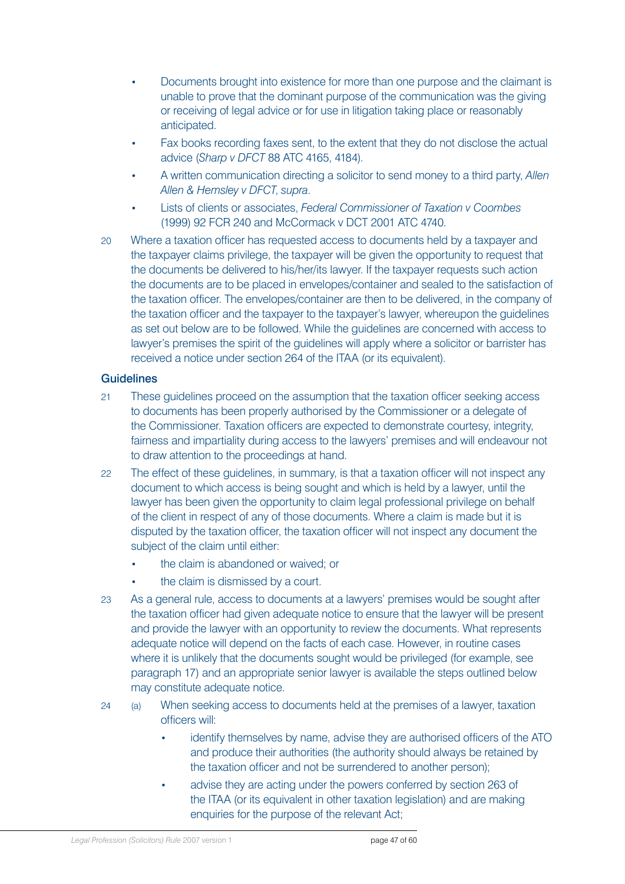- Documents brought into existence for more than one purpose and the claimant is unable to prove that the dominant purpose of the communication was the giving or receiving of legal advice or for use in litigation taking place or reasonably anticipated.
- Fax books recording faxes sent, to the extent that they do not disclose the actual advice (*Sharp v DFCT* 88 ATC 4165, 4184).
- A written communication directing a solicitor to send money to a third party, *Allen Allen & Hemsley v DFCT*, *supra*.
- Lists of clients or associates, *Federal Commissioner of Taxation v Coombes* (1999) 92 FCR 240 and McCormack v DCT 2001 ATC 4740.
- 20 Where a taxation officer has requested access to documents held by a taxpayer and the taxpayer claims privilege, the taxpayer will be given the opportunity to request that the documents be delivered to his/her/its lawyer. If the taxpayer requests such action the documents are to be placed in envelopes/container and sealed to the satisfaction of the taxation officer. The envelopes/container are then to be delivered, in the company of the taxation officer and the taxpayer to the taxpayer's lawyer, whereupon the guidelines as set out below are to be followed. While the guidelines are concerned with access to lawyer's premises the spirit of the guidelines will apply where a solicitor or barrister has received a notice under section 264 of the ITAA (or its equivalent).

### **Guidelines**

- 21 These guidelines proceed on the assumption that the taxation officer seeking access to documents has been properly authorised by the Commissioner or a delegate of the Commissioner. Taxation officers are expected to demonstrate courtesy, integrity, fairness and impartiality during access to the lawyers' premises and will endeavour not to draw attention to the proceedings at hand.
- 22 The effect of these guidelines, in summary, is that a taxation officer will not inspect any document to which access is being sought and which is held by a lawyer, until the lawyer has been given the opportunity to claim legal professional privilege on behalf of the client in respect of any of those documents. Where a claim is made but it is disputed by the taxation officer, the taxation officer will not inspect any document the subject of the claim until either:
	- the claim is abandoned or waived; or
	- the claim is dismissed by a court.
- 23 As a general rule, access to documents at a lawyers' premises would be sought after the taxation officer had given adequate notice to ensure that the lawyer will be present and provide the lawyer with an opportunity to review the documents. What represents adequate notice will depend on the facts of each case. However, in routine cases where it is unlikely that the documents sought would be privileged (for example, see paragraph 17) and an appropriate senior lawyer is available the steps outlined below may constitute adequate notice.
- 24 (a) When seeking access to documents held at the premises of a lawyer, taxation officers will:
	- identify themselves by name, advise they are authorised officers of the ATO and produce their authorities (the authority should always be retained by the taxation officer and not be surrendered to another person);
	- advise they are acting under the powers conferred by section 263 of the ITAA (or its equivalent in other taxation legislation) and are making enquiries for the purpose of the relevant Act;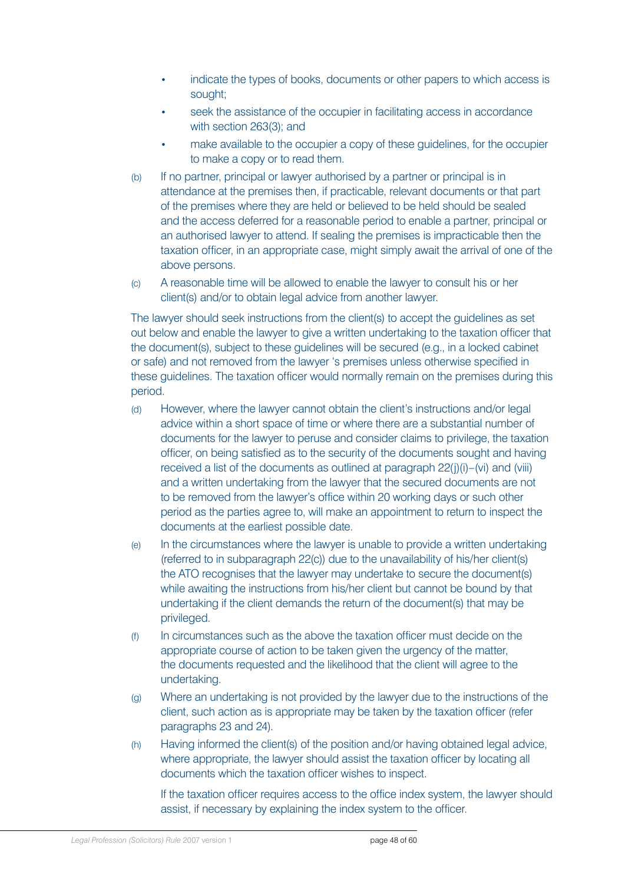- indicate the types of books, documents or other papers to which access is sought;
- seek the assistance of the occupier in facilitating access in accordance with section 263(3); and
- make available to the occupier a copy of these guidelines, for the occupier to make a copy or to read them.
- (b) If no partner, principal or lawyer authorised by a partner or principal is in attendance at the premises then, if practicable, relevant documents or that part of the premises where they are held or believed to be held should be sealed and the access deferred for a reasonable period to enable a partner, principal or an authorised lawyer to attend. If sealing the premises is impracticable then the taxation officer, in an appropriate case, might simply await the arrival of one of the above persons.
- (c) A reasonable time will be allowed to enable the lawyer to consult his or her client(s) and/or to obtain legal advice from another lawyer.

The lawyer should seek instructions from the client(s) to accept the guidelines as set out below and enable the lawyer to give a written undertaking to the taxation officer that the document(s), subject to these guidelines will be secured (e.g., in a locked cabinet or safe) and not removed from the lawyer 's premises unless otherwise specified in these guidelines. The taxation officer would normally remain on the premises during this period.

- (d) However, where the lawyer cannot obtain the client's instructions and/or legal advice within a short space of time or where there are a substantial number of documents for the lawyer to peruse and consider claims to privilege, the taxation officer, on being satisfied as to the security of the documents sought and having received a list of the documents as outlined at paragraph 22(j)(i)–(vi) and (viii) and a written undertaking from the lawyer that the secured documents are not to be removed from the lawyer's office within 20 working days or such other period as the parties agree to, will make an appointment to return to inspect the documents at the earliest possible date.
- (e) In the circumstances where the lawyer is unable to provide a written undertaking (referred to in subparagraph 22(c)) due to the unavailability of his/her client(s) the ATO recognises that the lawyer may undertake to secure the document(s) while awaiting the instructions from his/her client but cannot be bound by that undertaking if the client demands the return of the document(s) that may be privileged.
- (f) In circumstances such as the above the taxation officer must decide on the appropriate course of action to be taken given the urgency of the matter, the documents requested and the likelihood that the client will agree to the undertaking.
- (g) Where an undertaking is not provided by the lawyer due to the instructions of the client, such action as is appropriate may be taken by the taxation officer (refer paragraphs 23 and 24).
- (h) Having informed the client(s) of the position and/or having obtained legal advice, where appropriate, the lawyer should assist the taxation officer by locating all documents which the taxation officer wishes to inspect.

If the taxation officer requires access to the office index system, the lawyer should assist, if necessary by explaining the index system to the officer.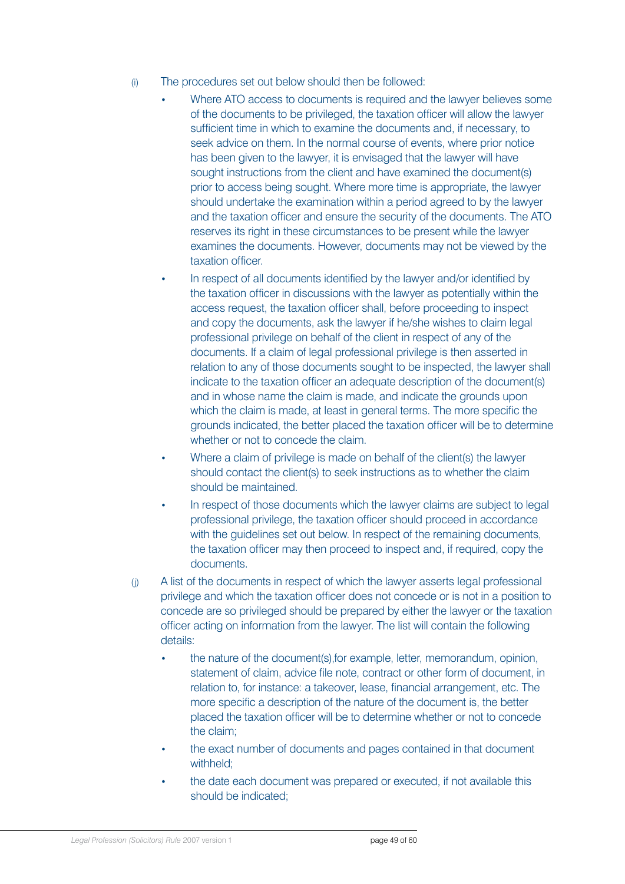- (i) The procedures set out below should then be followed:
	- Where ATO access to documents is required and the lawyer believes some of the documents to be privileged, the taxation officer will allow the lawyer sufficient time in which to examine the documents and, if necessary, to seek advice on them. In the normal course of events, where prior notice has been given to the lawyer, it is envisaged that the lawyer will have sought instructions from the client and have examined the document(s) prior to access being sought. Where more time is appropriate, the lawyer should undertake the examination within a period agreed to by the lawyer and the taxation officer and ensure the security of the documents. The ATO reserves its right in these circumstances to be present while the lawyer examines the documents. However, documents may not be viewed by the taxation officer.
	- In respect of all documents identified by the lawyer and/or identified by the taxation officer in discussions with the lawyer as potentially within the access request, the taxation officer shall, before proceeding to inspect and copy the documents, ask the lawyer if he/she wishes to claim legal professional privilege on behalf of the client in respect of any of the documents. If a claim of legal professional privilege is then asserted in relation to any of those documents sought to be inspected, the lawyer shall indicate to the taxation officer an adequate description of the document(s) and in whose name the claim is made, and indicate the grounds upon which the claim is made, at least in general terms. The more specific the grounds indicated, the better placed the taxation officer will be to determine whether or not to concede the claim.
	- Where a claim of privilege is made on behalf of the client(s) the lawyer should contact the client(s) to seek instructions as to whether the claim should be maintained.
	- In respect of those documents which the lawyer claims are subject to legal professional privilege, the taxation officer should proceed in accordance with the quidelines set out below. In respect of the remaining documents, the taxation officer may then proceed to inspect and, if required, copy the documents.
- (j) A list of the documents in respect of which the lawyer asserts legal professional privilege and which the taxation officer does not concede or is not in a position to concede are so privileged should be prepared by either the lawyer or the taxation officer acting on information from the lawyer. The list will contain the following details:
	- the nature of the document(s),for example, letter, memorandum, opinion, statement of claim, advice file note, contract or other form of document, in relation to, for instance: a takeover, lease, financial arrangement, etc. The more specific a description of the nature of the document is, the better placed the taxation officer will be to determine whether or not to concede the claim;
	- the exact number of documents and pages contained in that document withheld:
	- the date each document was prepared or executed, if not available this should be indicated;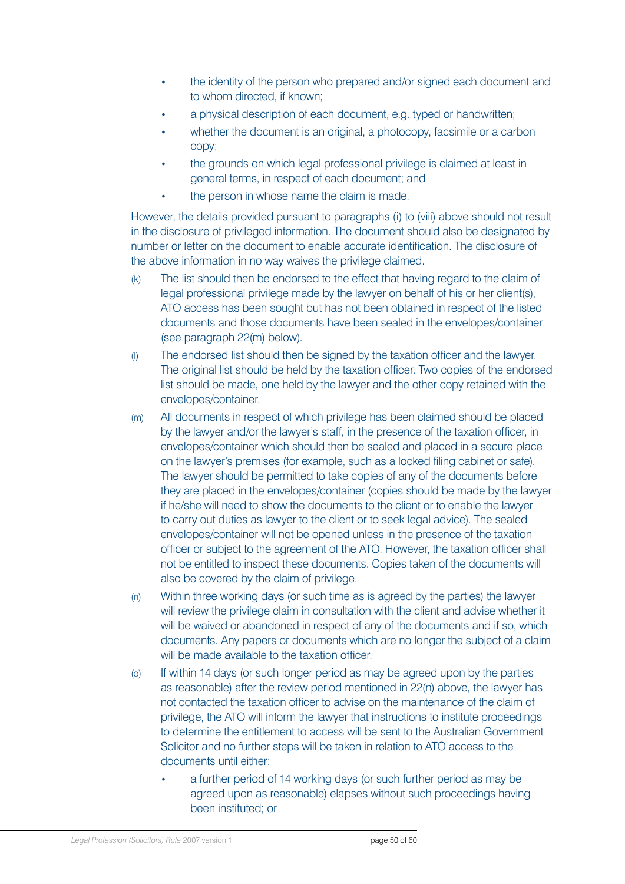- the identity of the person who prepared and/or signed each document and to whom directed, if known;
- a physical description of each document, e.g. typed or handwritten;
- whether the document is an original, a photocopy, facsimile or a carbon copy;
- the grounds on which legal professional privilege is claimed at least in general terms, in respect of each document; and
- the person in whose name the claim is made.

However, the details provided pursuant to paragraphs (i) to (viii) above should not result in the disclosure of privileged information. The document should also be designated by number or letter on the document to enable accurate identification. The disclosure of the above information in no way waives the privilege claimed.

- (k) The list should then be endorsed to the effect that having regard to the claim of legal professional privilege made by the lawyer on behalf of his or her client(s), ATO access has been sought but has not been obtained in respect of the listed documents and those documents have been sealed in the envelopes/container (see paragraph 22(m) below).
- (l) The endorsed list should then be signed by the taxation officer and the lawyer. The original list should be held by the taxation officer. Two copies of the endorsed list should be made, one held by the lawyer and the other copy retained with the envelopes/container.
- (m) All documents in respect of which privilege has been claimed should be placed by the lawyer and/or the lawyer's staff, in the presence of the taxation officer, in envelopes/container which should then be sealed and placed in a secure place on the lawyer's premises (for example, such as a locked filing cabinet or safe). The lawyer should be permitted to take copies of any of the documents before they are placed in the envelopes/container (copies should be made by the lawyer if he/she will need to show the documents to the client or to enable the lawyer to carry out duties as lawyer to the client or to seek legal advice). The sealed envelopes/container will not be opened unless in the presence of the taxation officer or subject to the agreement of the ATO. However, the taxation officer shall not be entitled to inspect these documents. Copies taken of the documents will also be covered by the claim of privilege.
- (n) Within three working days (or such time as is agreed by the parties) the lawyer will review the privilege claim in consultation with the client and advise whether it will be waived or abandoned in respect of any of the documents and if so, which documents. Any papers or documents which are no longer the subject of a claim will be made available to the taxation officer.
- (o) If within 14 days (or such longer period as may be agreed upon by the parties as reasonable) after the review period mentioned in 22(n) above, the lawyer has not contacted the taxation officer to advise on the maintenance of the claim of privilege, the ATO will inform the lawyer that instructions to institute proceedings to determine the entitlement to access will be sent to the Australian Government Solicitor and no further steps will be taken in relation to ATO access to the documents until either:
	- a further period of 14 working days (or such further period as may be agreed upon as reasonable) elapses without such proceedings having been instituted; or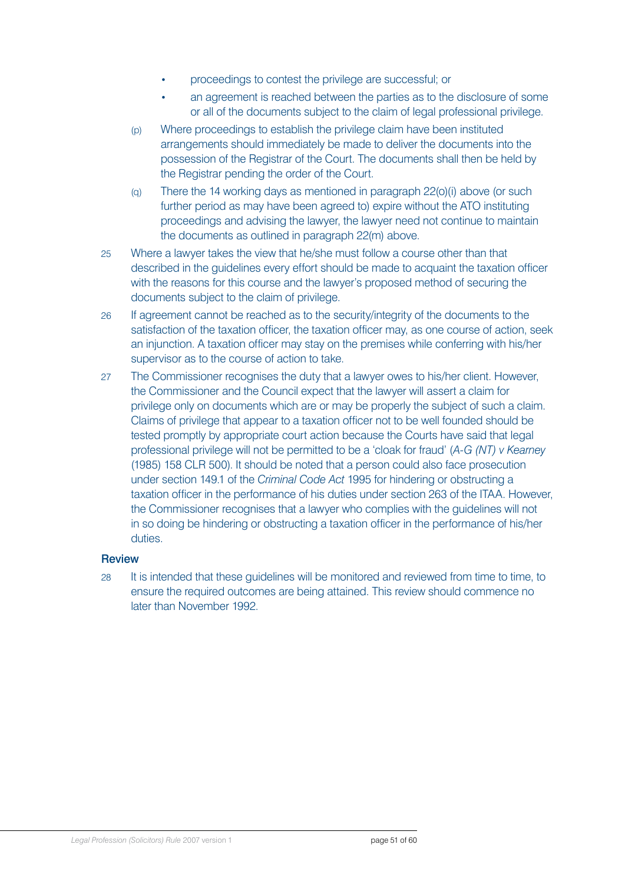- proceedings to contest the privilege are successful; or
- an agreement is reached between the parties as to the disclosure of some or all of the documents subject to the claim of legal professional privilege.
- (p) Where proceedings to establish the privilege claim have been instituted arrangements should immediately be made to deliver the documents into the possession of the Registrar of the Court. The documents shall then be held by the Registrar pending the order of the Court.
- (q) There the 14 working days as mentioned in paragraph 22(o)(i) above (or such further period as may have been agreed to) expire without the ATO instituting proceedings and advising the lawyer, the lawyer need not continue to maintain the documents as outlined in paragraph 22(m) above.
- 25 Where a lawyer takes the view that he/she must follow a course other than that described in the guidelines every effort should be made to acquaint the taxation officer with the reasons for this course and the lawyer's proposed method of securing the documents subject to the claim of privilege.
- 26 If agreement cannot be reached as to the security/integrity of the documents to the satisfaction of the taxation officer, the taxation officer may, as one course of action, seek an injunction. A taxation officer may stay on the premises while conferring with his/her supervisor as to the course of action to take.
- 27 The Commissioner recognises the duty that a lawyer owes to his/her client. However, the Commissioner and the Council expect that the lawyer will assert a claim for privilege only on documents which are or may be properly the subject of such a claim. Claims of privilege that appear to a taxation officer not to be well founded should be tested promptly by appropriate court action because the Courts have said that legal professional privilege will not be permitted to be a 'cloak for fraud' (*A-G (NT) v Kearney* (1985) 158 CLR 500). It should be noted that a person could also face prosecution under section 149.1 of the *Criminal Code Act* 1995 for hindering or obstructing a taxation officer in the performance of his duties under section 263 of the ITAA. However, the Commissioner recognises that a lawyer who complies with the guidelines will not in so doing be hindering or obstructing a taxation officer in the performance of his/her duties.

### Review

28 It is intended that these guidelines will be monitored and reviewed from time to time, to ensure the required outcomes are being attained. This review should commence no later than November 1992.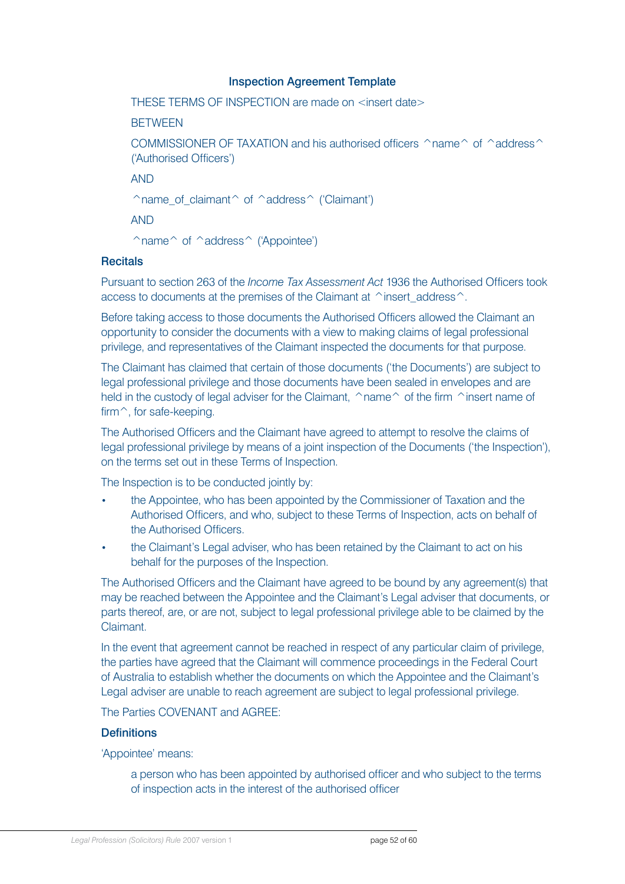#### Inspection Agreement Template

THESE TERMS OF INSPECTION are made on <insert date>

**BETWEEN** 

COMMISSIONER OF TAXATION and his authorised officers  $\hat{}$  name $\hat{}$  of  $\hat{}$  address $\hat{}$ ('Authorised Officers')

AND

 $\hat{\ }$ name\_of\_claimant $\hat{\ }$  of  $\hat{\ }$  address $\hat{\ }$  ('Claimant')

AND

 $\hat{\ }$  name  $\hat{\ }$  of  $\hat{\ }$  address  $\hat{\ }$  ('Appointee')

#### **Recitals**

Pursuant to section 263 of the *Income Tax Assessment Act* 1936 the Authorised Officers took access to documents at the premises of the Claimant at  $\wedge$  insert address $\wedge$ .

Before taking access to those documents the Authorised Officers allowed the Claimant an opportunity to consider the documents with a view to making claims of legal professional privilege, and representatives of the Claimant inspected the documents for that purpose.

The Claimant has claimed that certain of those documents ('the Documents') are subject to legal professional privilege and those documents have been sealed in envelopes and are held in the custody of legal adviser for the Claimant,  $\land$ name $\land$  of the firm  $\land$ insert name of firm<sup> $\hat{ }$ </sup>, for safe-keeping.

The Authorised Officers and the Claimant have agreed to attempt to resolve the claims of legal professional privilege by means of a joint inspection of the Documents ('the Inspection'), on the terms set out in these Terms of Inspection.

The Inspection is to be conducted jointly by:

- the Appointee, who has been appointed by the Commissioner of Taxation and the Authorised Officers, and who, subject to these Terms of Inspection, acts on behalf of the Authorised Officers.
- the Claimant's Legal adviser, who has been retained by the Claimant to act on his behalf for the purposes of the Inspection.

The Authorised Officers and the Claimant have agreed to be bound by any agreement(s) that may be reached between the Appointee and the Claimant's Legal adviser that documents, or parts thereof, are, or are not, subject to legal professional privilege able to be claimed by the Claimant.

In the event that agreement cannot be reached in respect of any particular claim of privilege, the parties have agreed that the Claimant will commence proceedings in the Federal Court of Australia to establish whether the documents on which the Appointee and the Claimant's Legal adviser are unable to reach agreement are subject to legal professional privilege.

The Parties COVENANT and AGREE:

#### **Definitions**

'Appointee' means:

a person who has been appointed by authorised officer and who subject to the terms of inspection acts in the interest of the authorised officer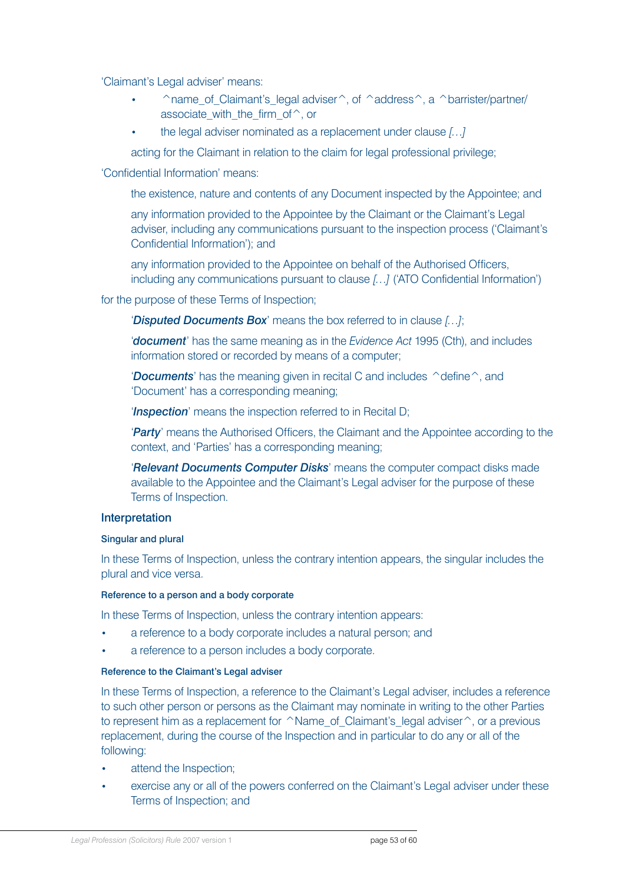'Claimant's Legal adviser' means:

- $\hat{\ }$  name of Claimant's legal adviser $\hat{\ }$ , of  $\hat{\ }$  address $\hat{\ }$ , a  $\hat{\ }$  barrister/partner/ associate with the firm of  $\hat{}$ , or
- the legal adviser nominated as a replacement under clause *[…]*

acting for the Claimant in relation to the claim for legal professional privilege;

'Confidential Information' means:

the existence, nature and contents of any Document inspected by the Appointee; and

any information provided to the Appointee by the Claimant or the Claimant's Legal adviser, including any communications pursuant to the inspection process ('Claimant's Confidential Information'); and

any information provided to the Appointee on behalf of the Authorised Officers, including any communications pursuant to clause *[…]* ('ATO Confidential Information')

for the purpose of these Terms of Inspection;

'*Disputed Documents Box*' means the box referred to in clause *[…]*;

'*document*' has the same meaning as in the *Evidence Act* 1995 (Cth), and includes information stored or recorded by means of a computer;

'*Documents*' has the meaning given in recital C and includes  $\hat{\ }$  define  $\hat{\ }$ , and 'Document' has a corresponding meaning;

'*Inspection*' means the inspection referred to in Recital D;

'*Party*' means the Authorised Officers, the Claimant and the Appointee according to the context, and 'Parties' has a corresponding meaning;

'*Relevant Documents Computer Disks*' means the computer compact disks made available to the Appointee and the Claimant's Legal adviser for the purpose of these Terms of Inspection.

#### Interpretation

#### Singular and plural

In these Terms of Inspection, unless the contrary intention appears, the singular includes the plural and vice versa.

#### Reference to a person and a body corporate

In these Terms of Inspection, unless the contrary intention appears:

- a reference to a body corporate includes a natural person; and
- a reference to a person includes a body corporate.

#### Reference to the Claimant's Legal adviser

In these Terms of Inspection, a reference to the Claimant's Legal adviser, includes a reference to such other person or persons as the Claimant may nominate in writing to the other Parties to represent him as a replacement for ^Name\_of\_Claimant's\_legal adviser ^, or a previous replacement, during the course of the Inspection and in particular to do any or all of the following:

- attend the Inspection;
- exercise any or all of the powers conferred on the Claimant's Legal adviser under these Terms of Inspection; and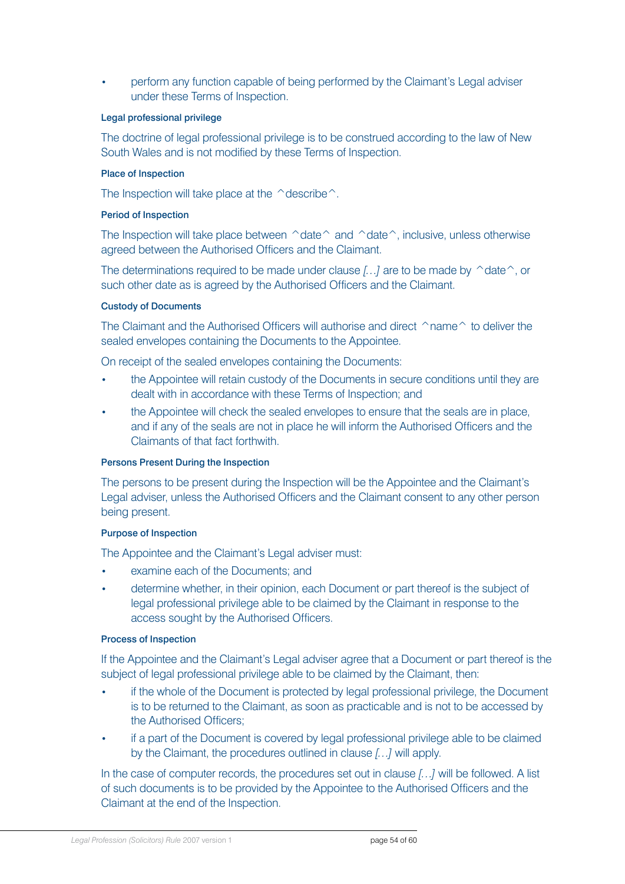• perform any function capable of being performed by the Claimant's Legal adviser under these Terms of Inspection.

#### Legal professional privilege

The doctrine of legal professional privilege is to be construed according to the law of New South Wales and is not modified by these Terms of Inspection.

#### Place of Inspection

The Inspection will take place at the  $\triangle$ describe $\triangle$ .

#### Period of Inspection

The Inspection will take place between  $\triangle$  date $\triangle$  and  $\triangle$  date $\triangle$ , inclusive, unless otherwise agreed between the Authorised Officers and the Claimant.

The determinations required to be made under clause *[...]* are to be made by ^date^, or such other date as is agreed by the Authorised Officers and the Claimant.

#### Custody of Documents

The Claimant and the Authorised Officers will authorise and direct  $\cap$ name $\cap$  to deliver the sealed envelopes containing the Documents to the Appointee.

On receipt of the sealed envelopes containing the Documents:

- the Appointee will retain custody of the Documents in secure conditions until they are dealt with in accordance with these Terms of Inspection; and
- the Appointee will check the sealed envelopes to ensure that the seals are in place, and if any of the seals are not in place he will inform the Authorised Officers and the Claimants of that fact forthwith.

#### Persons Present During the Inspection

The persons to be present during the Inspection will be the Appointee and the Claimant's Legal adviser, unless the Authorised Officers and the Claimant consent to any other person being present.

#### Purpose of Inspection

The Appointee and the Claimant's Legal adviser must:

- examine each of the Documents; and
- determine whether, in their opinion, each Document or part thereof is the subject of legal professional privilege able to be claimed by the Claimant in response to the access sought by the Authorised Officers.

#### Process of Inspection

If the Appointee and the Claimant's Legal adviser agree that a Document or part thereof is the subject of legal professional privilege able to be claimed by the Claimant, then:

- if the whole of the Document is protected by legal professional privilege, the Document is to be returned to the Claimant, as soon as practicable and is not to be accessed by the Authorised Officers;
- if a part of the Document is covered by legal professional privilege able to be claimed by the Claimant, the procedures outlined in clause *[…]* will apply.

In the case of computer records, the procedures set out in clause *[…]* will be followed. A list of such documents is to be provided by the Appointee to the Authorised Officers and the Claimant at the end of the Inspection.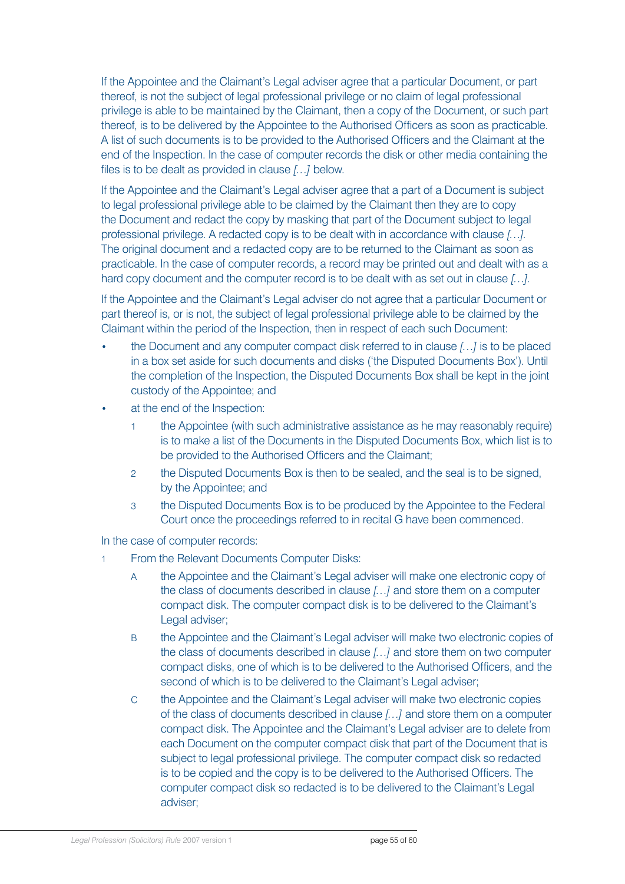If the Appointee and the Claimant's Legal adviser agree that a particular Document, or part thereof, is not the subject of legal professional privilege or no claim of legal professional privilege is able to be maintained by the Claimant, then a copy of the Document, or such part thereof, is to be delivered by the Appointee to the Authorised Officers as soon as practicable. A list of such documents is to be provided to the Authorised Officers and the Claimant at the end of the Inspection. In the case of computer records the disk or other media containing the files is to be dealt as provided in clause *[…]* below.

If the Appointee and the Claimant's Legal adviser agree that a part of a Document is subject to legal professional privilege able to be claimed by the Claimant then they are to copy the Document and redact the copy by masking that part of the Document subject to legal professional privilege. A redacted copy is to be dealt with in accordance with clause *[…]*. The original document and a redacted copy are to be returned to the Claimant as soon as practicable. In the case of computer records, a record may be printed out and dealt with as a hard copy document and the computer record is to be dealt with as set out in clause *[…]*.

If the Appointee and the Claimant's Legal adviser do not agree that a particular Document or part thereof is, or is not, the subject of legal professional privilege able to be claimed by the Claimant within the period of the Inspection, then in respect of each such Document:

- the Document and any computer compact disk referred to in clause *[…]* is to be placed in a box set aside for such documents and disks ('the Disputed Documents Box'). Until the completion of the Inspection, the Disputed Documents Box shall be kept in the joint custody of the Appointee; and
- at the end of the Inspection:
	- 1 the Appointee (with such administrative assistance as he may reasonably require) is to make a list of the Documents in the Disputed Documents Box, which list is to be provided to the Authorised Officers and the Claimant;
	- 2 the Disputed Documents Box is then to be sealed, and the seal is to be signed, by the Appointee; and
	- 3 the Disputed Documents Box is to be produced by the Appointee to the Federal Court once the proceedings referred to in recital G have been commenced.

In the case of computer records:

- 1 From the Relevant Documents Computer Disks:
	- A the Appointee and the Claimant's Legal adviser will make one electronic copy of the class of documents described in clause *[…]* and store them on a computer compact disk. The computer compact disk is to be delivered to the Claimant's Legal adviser;
	- B the Appointee and the Claimant's Legal adviser will make two electronic copies of the class of documents described in clause *[…]* and store them on two computer compact disks, one of which is to be delivered to the Authorised Officers, and the second of which is to be delivered to the Claimant's Legal adviser;
	- C the Appointee and the Claimant's Legal adviser will make two electronic copies of the class of documents described in clause *[…]* and store them on a computer compact disk. The Appointee and the Claimant's Legal adviser are to delete from each Document on the computer compact disk that part of the Document that is subject to legal professional privilege. The computer compact disk so redacted is to be copied and the copy is to be delivered to the Authorised Officers. The computer compact disk so redacted is to be delivered to the Claimant's Legal adviser;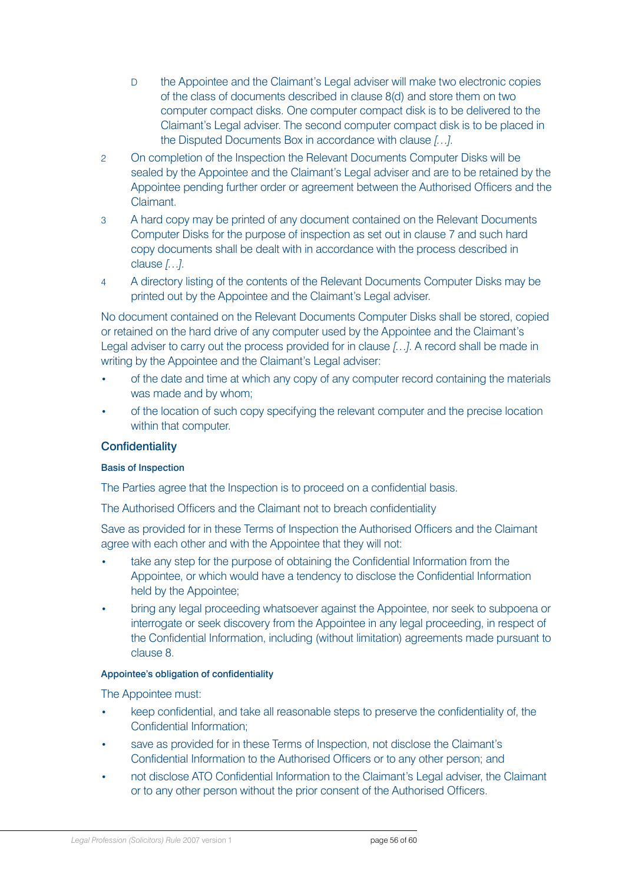- D the Appointee and the Claimant's Legal adviser will make two electronic copies of the class of documents described in clause 8(d) and store them on two computer compact disks. One computer compact disk is to be delivered to the Claimant's Legal adviser. The second computer compact disk is to be placed in the Disputed Documents Box in accordance with clause *[…]*.
- 2 On completion of the Inspection the Relevant Documents Computer Disks will be sealed by the Appointee and the Claimant's Legal adviser and are to be retained by the Appointee pending further order or agreement between the Authorised Officers and the Claimant.
- 3 A hard copy may be printed of any document contained on the Relevant Documents Computer Disks for the purpose of inspection as set out in clause 7 and such hard copy documents shall be dealt with in accordance with the process described in clause *[…]*.
- 4 A directory listing of the contents of the Relevant Documents Computer Disks may be printed out by the Appointee and the Claimant's Legal adviser.

No document contained on the Relevant Documents Computer Disks shall be stored, copied or retained on the hard drive of any computer used by the Appointee and the Claimant's Legal adviser to carry out the process provided for in clause *[…]*. A record shall be made in writing by the Appointee and the Claimant's Legal adviser:

- of the date and time at which any copy of any computer record containing the materials was made and by whom;
- of the location of such copy specifying the relevant computer and the precise location within that computer.

#### **Confidentiality**

#### Basis of Inspection

The Parties agree that the Inspection is to proceed on a confidential basis.

The Authorised Officers and the Claimant not to breach confidentiality

Save as provided for in these Terms of Inspection the Authorised Officers and the Claimant agree with each other and with the Appointee that they will not:

- take any step for the purpose of obtaining the Confidential Information from the Appointee, or which would have a tendency to disclose the Confidential Information held by the Appointee;
- bring any legal proceeding whatsoever against the Appointee, nor seek to subpoena or interrogate or seek discovery from the Appointee in any legal proceeding, in respect of the Confidential Information, including (without limitation) agreements made pursuant to clause 8.

#### Appointee's obligation of confidentiality

The Appointee must:

- keep confidential, and take all reasonable steps to preserve the confidentiality of, the Confidential Information;
- save as provided for in these Terms of Inspection, not disclose the Claimant's Confidential Information to the Authorised Officers or to any other person; and
- not disclose ATO Confidential Information to the Claimant's Legal adviser, the Claimant or to any other person without the prior consent of the Authorised Officers.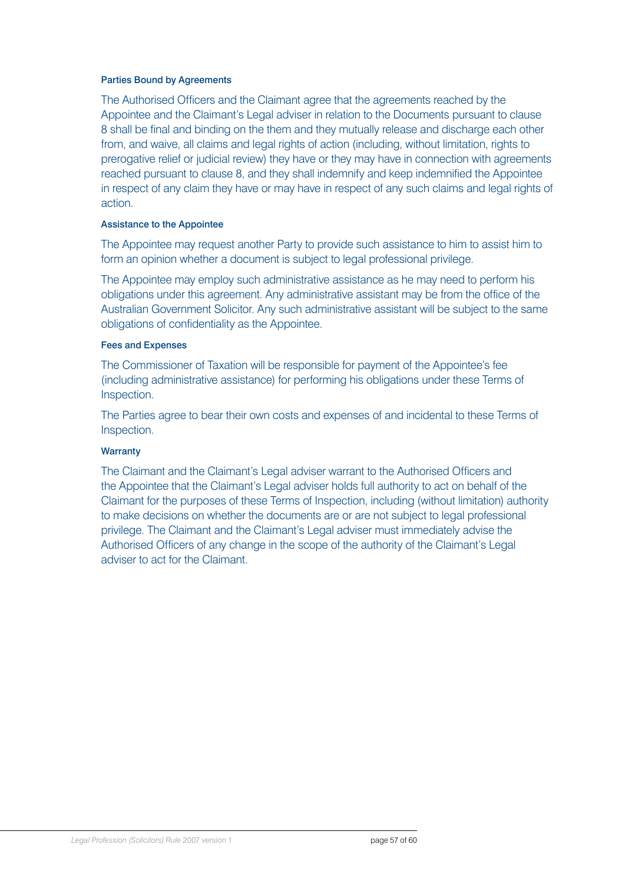#### Parties Bound by Agreements

The Authorised Officers and the Claimant agree that the agreements reached by the Appointee and the Claimant's Legal adviser in relation to the Documents pursuant to clause 8 shall be final and binding on the them and they mutually release and discharge each other from, and waive, all claims and legal rights of action (including, without limitation, rights to prerogative relief or judicial review) they have or they may have in connection with agreements reached pursuant to clause 8, and they shall indemnify and keep indemnified the Appointee in respect of any claim they have or may have in respect of any such claims and legal rights of action.

#### Assistance to the Appointee

The Appointee may request another Party to provide such assistance to him to assist him to form an opinion whether a document is subject to legal professional privilege.

The Appointee may employ such administrative assistance as he may need to perform his obligations under this agreement. Any administrative assistant may be from the office of the Australian Government Solicitor. Any such administrative assistant will be subject to the same obligations of confidentiality as the Appointee.

#### Fees and Expenses

The Commissioner of Taxation will be responsible for payment of the Appointee's fee (including administrative assistance) for performing his obligations under these Terms of Inspection.

The Parties agree to bear their own costs and expenses of and incidental to these Terms of Inspection.

#### **Warranty**

The Claimant and the Claimant's Legal adviser warrant to the Authorised Officers and the Appointee that the Claimant's Legal adviser holds full authority to act on behalf of the Claimant for the purposes of these Terms of Inspection, including (without limitation) authority to make decisions on whether the documents are or are not subject to legal professional privilege. The Claimant and the Claimant's Legal adviser must immediately advise the Authorised Officers of any change in the scope of the authority of the Claimant's Legal adviser to act for the Claimant.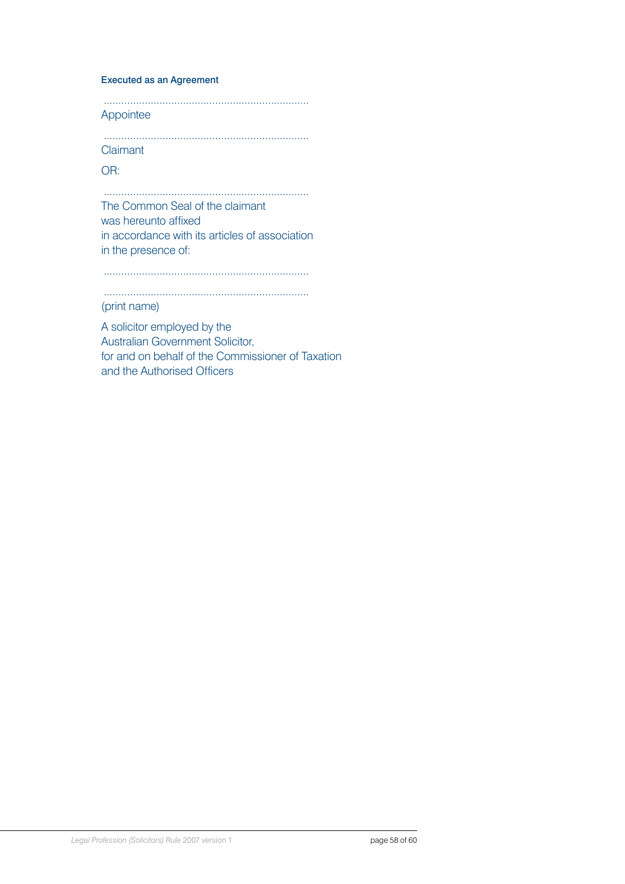#### Executed as an Agreement

...................................................................... Appointee

...................................................................... Claimant

OR:

...................................................................... The Common Seal of the claimant was hereunto affixed in accordance with its articles of association in the presence of:

......................................................................

......................................................................

# (print name)

A solicitor employed by the Australian Government Solicitor, for and on behalf of the Commissioner of Taxation and the Authorised Officers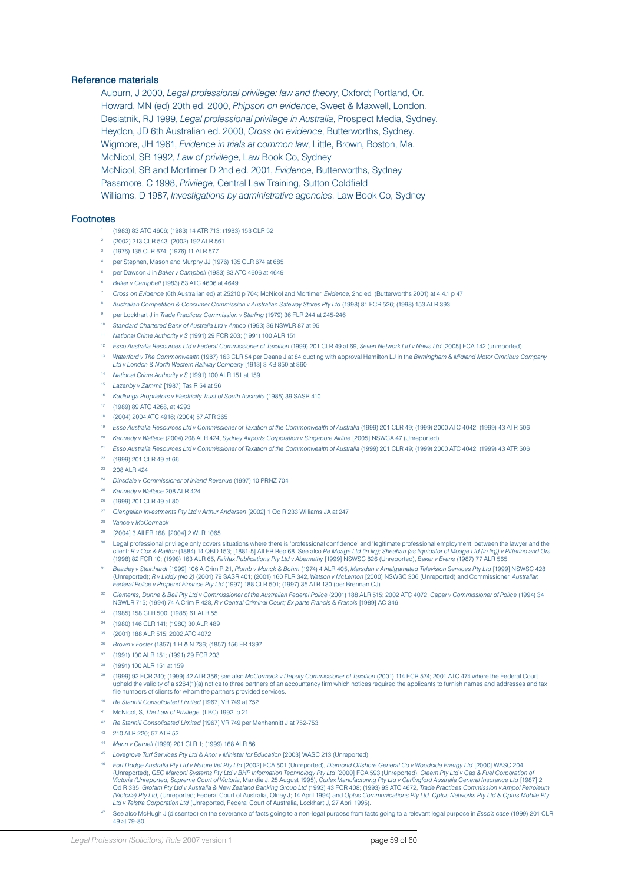#### Reference materials

Auburn, J 2000, *Legal professional privilege: law and theory*, Oxford; Portland, Or. Howard, MN (ed) 20th ed. 2000, *Phipson on evidence*, Sweet & Maxwell, London. Desiatnik, RJ 1999, *Legal professional privilege in Australia*, Prospect Media, Sydney. Heydon, JD 6th Australian ed. 2000, *Cross on evidence*, Butterworths, Sydney. Wigmore, JH 1961, *Evidence in trials at common law*, Little, Brown, Boston, Ma. McNicol, SB 1992, *Law of privilege*, Law Book Co, Sydney McNicol, SB and Mortimer D 2nd ed. 2001, *Evidence*, Butterworths, Sydney Passmore, C 1998, *Privilege*, Central Law Training, Sutton Coldfield Williams, D 1987, *Investigations by administrative agencies*, Law Book Co, Sydney

#### Footnotes

- (1983) 83 ATC 4606; (1983) 14 ATR 713; (1983) 153 CLR 52
- (2002) 213 CLR 543; (2002) 192 ALR 561
- (1976) 135 CLR 674; (1976) 11 ALR 577
- per Stephen, Mason and Murphy JJ (1976) 135 CLR 674 at 685
- per Dawson J in *Baker v Campbell* (1983) 83 ATC 4606 at 4649
- *Baker v Campbell* (1983) 83 ATC 4606 at 4649
- *Cross on Evidence* (6th Australian ed) at 25210 p 704; McNicol and Mortimer, *Evidence*, 2nd ed, (Butterworths 2001) at 4.4.1 p 47
- *Australian Competition & Consumer Commission v Australian Safeway Stores Pty Ltd* (1998) 81 FCR 526; (1998) 153 ALR 393
- per Lockhart J in *Trade Practices Commission v Sterling* (1979) 36 FLR 244 at 245-246
- *Standard Chartered Bank of Australia Ltd v Antico* (1993) 36 NSWLR 87 at 95
- *National Crime Authority v S* (1991) 29 FCR 203; (1991) 100 ALR 151
- *Esso Australia Resources Ltd v Federal Commissioner of Taxation* (1999) 201 CLR 49 at 69, *Seven Network Ltd v News Ltd* [2005] FCA 142 (unreported)
- *Waterford v The Commonwealth* (1987) 163 CLR 54 per Deane J at 84 quoting with approval Hamilton LJ in the *Birmingham & Midland Motor Omnibus Company Ltd v London & North Western Railway Company* [1913] 3 KB 850 at 860
- *National Crime Authority v S* (1991) 100 ALR 151 at 159
- *Lazenby v Zammit* [1987] Tas R 54 at 56
- *Kadlunga Proprietors v Electricity Trust of South Australia* (1985) 39 SASR 410
- (1989) 89 ATC 4268, at 4293
- (2004) 2004 ATC 4916; (2004) 57 ATR 365
- <sup>19</sup> Esso Australia Resources Ltd v Commissioner of Taxation of the Commonwealth of Australia (1999) 201 CLR 49; (1999) 2000 ATC 4042; (1999) 43 ATR 506
- *Kennedy v Wallace* (2004) 208 ALR 424, *Sydney Airports Corporation v Singapore Airline* [2005] NSWCA 47 (Unreported)
- <sup>21</sup> Esso Australia Resources Ltd v Commissioner of Taxation of the Commonwealth of Australia (1999) 201 CLR 49; (1999) 2000 ATC 4042; (1999) 43 ATR 506
- (1999) 201 CLR 49 at 66
- 208 ALR 424
- *Dinsdale v Commissioner of Inland Revenue* (1997) 10 PRNZ 704
- *Kennedy v Wallace* 208 ALR 424
- (1999) 201 CLR 49 at 80
- *Glengallan Investments Pty Ltd v Arthur Andersen* [2002] 1 Qd R 233 Williams JA at 247
- *Vance v McCormack*
- [2004] 3 All ER 168; [2004] 2 WLR 1065
- Legal professional privilege only covers situations where there is 'professional confidence' and 'legitimate professional employment' between the lawyer and the<br>client: R v Cox & Railton (1884) 14 QBD 153; [1881-5] All ER (1998) 82 FCR 10; (1998) 163 ALR 65, *Fairfax Publications Pty Ltd v Abernethy* [1999] NSWSC 826 (Unreported), *Baker v Evans* (1987) 77 ALR 565
- *Beazley v Steinhardt* [1999] 106 A Crim R 21, *Plumb v Monck & Bohm* (1974) 4 ALR 405, *Marsden v Amalgamated Television Services Pty Ltd* [1999] NSWSC 428 (Unreported); *R v Liddy (No 2) (*2001) 79 SASR 401; (2001) 160 FLR 342, Watson v McLernon [2000] NSWSC 306 (Unreported) and Commissioner, Australian<br>*Federal Police v Propend Finance Pty Ltd (*1997) 188 CLR 501; (1997) 35
- *Clements, Dunne & Bell Pty Ltd v Commissioner of the Australian Federal Police* (2001) 188 ALR 515; 2002 ATC 4072, *Capar v Commissioner of Police* (1994) 34 NSWLR 715; (1994) 74 A Crim R 428, *R v Central Criminal Court; Ex parte Francis & Francis* [1989] AC 346
- (1985) 158 CLR 500; (1985) 61 ALR 55
- (1980) 146 CLR 141; (1980) 30 ALR 489
- (2001) 188 ALR 515; 2002 ATC 4072
- *Brown v Foster* (1857) 1 H & N 736; (1857) 156 ER 1397
- (1991) 100 ALR 151; (1991) 29 FCR 203
- (1991) 100 ALR 151 at 159
- (1999) 92 FCR 240; (1999) 42 ATR 356; see also *McCormack v Deputy Commissioner of Taxation* (2001) 114 FCR 574; 2001 ATC 474 where the Federal Court upheld the validity of a s264(1)(a) notice to three partners of an accountancy firm which notices required the applicants to furnish names and addresses and tax file numbers of clients for whom the partners provided services.
- *Re Stanhill Consolidated Limited* [1967] VR 749 at 752
- McNicol, S, *The Law of Privilege*, (LBC) 1992, p 21
- *Re Stanhill Consolidated Limited* [1967] VR 749 per Menhennitt J at 752-753
- 210 ALR 220; 57 ATR 52
- *Mann v Carnell* (1999) 201 CLR 1; (1999) 168 ALR 86
- *Lovegrove Turf Services Pty Ltd & Anor v Minister for Education* [2003] WASC 213 (Unreported)
- *Fort Dodge Australia Pty Ltd v Nature Vet Pty Ltd* [2002] FCA 501 (Unreported), *Diamond Offshore General Co v Woodside Energy Ltd* [2000] WASC 204 (Unreported), GEC Marconi Systems Pty Ltd v BHP Information Technology Pty Ltd [2000] FCA 593 (Unreported), Gleem Pty Ltd v Gas & Fuel Corporation of<br>Victoria (Unreported, Supreme Court of Victoria, Mandie J, 25 August 199 *Ltd v Telstra Corporation Ltd* (Unreported, Federal Court of Australia, Lockhart J, 27 April 1995).
- See also McHugh J (dissented) on the severance of facts going to a non-legal purpose from facts going to a relevant legal purpose in *Esso's case* (1999) 201 CLR 49 at 79-80.